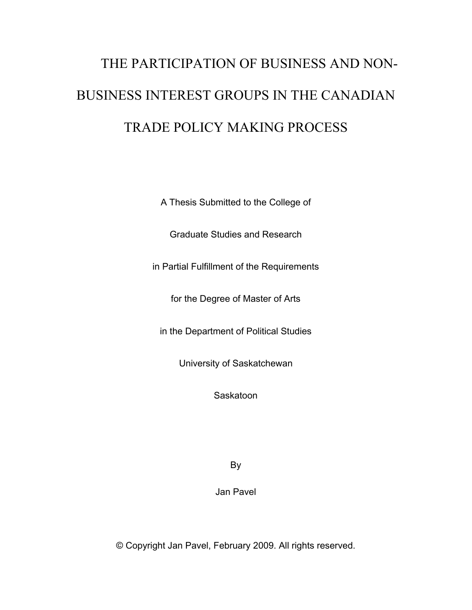# THE PARTICIPATION OF BUSINESS AND NON-BUSINESS INTEREST GROUPS IN THE CANADIAN TRADE POLICY MAKING PROCESS

A Thesis Submitted to the College of

Graduate Studies and Research

in Partial Fulfillment of the Requirements

for the Degree of Master of Arts

in the Department of Political Studies

University of Saskatchewan

**Saskatoon** 

By

Jan Pavel

© Copyright Jan Pavel, February 2009. All rights reserved.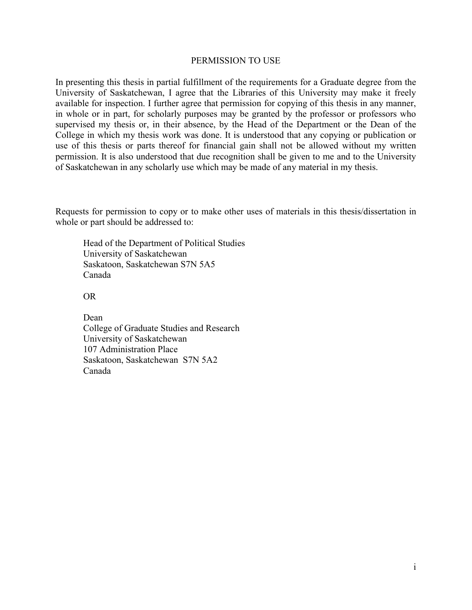#### PERMISSION TO USE

In presenting this thesis in partial fulfillment of the requirements for a Graduate degree from the University of Saskatchewan, I agree that the Libraries of this University may make it freely available for inspection. I further agree that permission for copying of this thesis in any manner, in whole or in part, for scholarly purposes may be granted by the professor or professors who supervised my thesis or, in their absence, by the Head of the Department or the Dean of the College in which my thesis work was done. It is understood that any copying or publication or use of this thesis or parts thereof for financial gain shall not be allowed without my written permission. It is also understood that due recognition shall be given to me and to the University of Saskatchewan in any scholarly use which may be made of any material in my thesis.

Requests for permission to copy or to make other uses of materials in this thesis/dissertation in whole or part should be addressed to:

Head of the Department of Political Studies University of Saskatchewan Saskatoon, Saskatchewan S7N 5A5 Canada

OR

Dean College of Graduate Studies and Research University of Saskatchewan 107 Administration Place Saskatoon, Saskatchewan S7N 5A2 Canada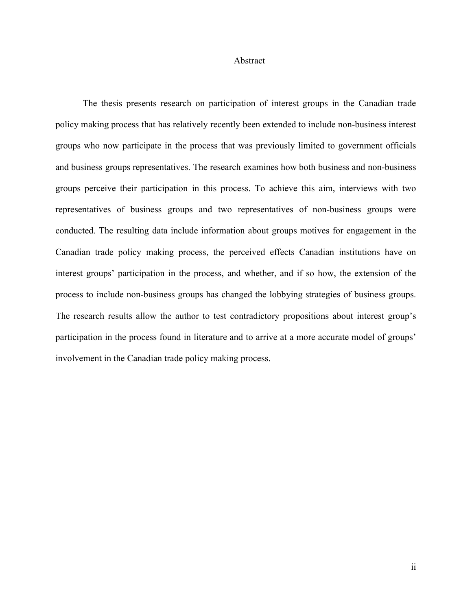#### Abstract

The thesis presents research on participation of interest groups in the Canadian trade policy making process that has relatively recently been extended to include non-business interest groups who now participate in the process that was previously limited to government officials and business groups representatives. The research examines how both business and non-business groups perceive their participation in this process. To achieve this aim, interviews with two representatives of business groups and two representatives of non-business groups were conducted. The resulting data include information about groups motives for engagement in the Canadian trade policy making process, the perceived effects Canadian institutions have on interest groups' participation in the process, and whether, and if so how, the extension of the process to include non-business groups has changed the lobbying strategies of business groups. The research results allow the author to test contradictory propositions about interest group's participation in the process found in literature and to arrive at a more accurate model of groups' involvement in the Canadian trade policy making process.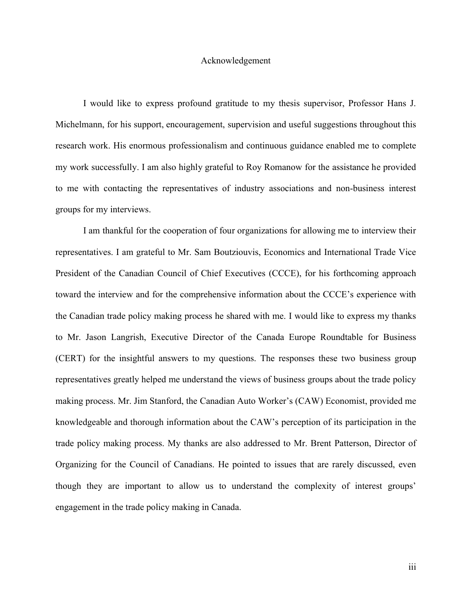#### Acknowledgement

I would like to express profound gratitude to my thesis supervisor, Professor Hans J. Michelmann, for his support, encouragement, supervision and useful suggestions throughout this research work. His enormous professionalism and continuous guidance enabled me to complete my work successfully. I am also highly grateful to Roy Romanow for the assistance he provided to me with contacting the representatives of industry associations and non-business interest groups for my interviews.

I am thankful for the cooperation of four organizations for allowing me to interview their representatives. I am grateful to Mr. Sam Boutziouvis, Economics and International Trade Vice President of the Canadian Council of Chief Executives (CCCE), for his forthcoming approach toward the interview and for the comprehensive information about the CCCE's experience with the Canadian trade policy making process he shared with me. I would like to express my thanks to Mr. Jason Langrish, Executive Director of the Canada Europe Roundtable for Business (CERT) for the insightful answers to my questions. The responses these two business group representatives greatly helped me understand the views of business groups about the trade policy making process. Mr. Jim Stanford, the Canadian Auto Worker's (CAW) Economist, provided me knowledgeable and thorough information about the CAW's perception of its participation in the trade policy making process. My thanks are also addressed to Mr. Brent Patterson, Director of Organizing for the Council of Canadians. He pointed to issues that are rarely discussed, even though they are important to allow us to understand the complexity of interest groups' engagement in the trade policy making in Canada.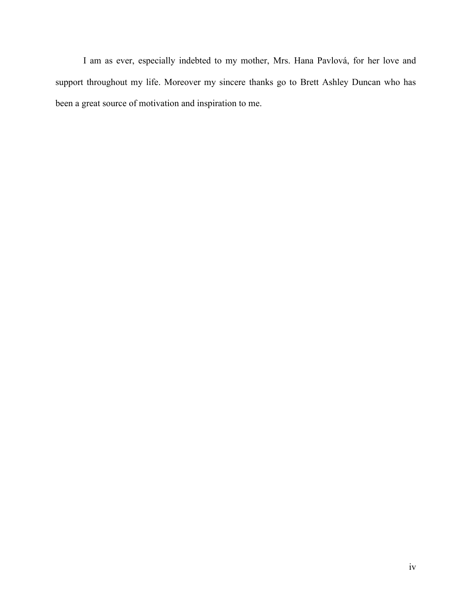I am as ever, especially indebted to my mother, Mrs. Hana Pavlová, for her love and support throughout my life. Moreover my sincere thanks go to Brett Ashley Duncan who has been a great source of motivation and inspiration to me.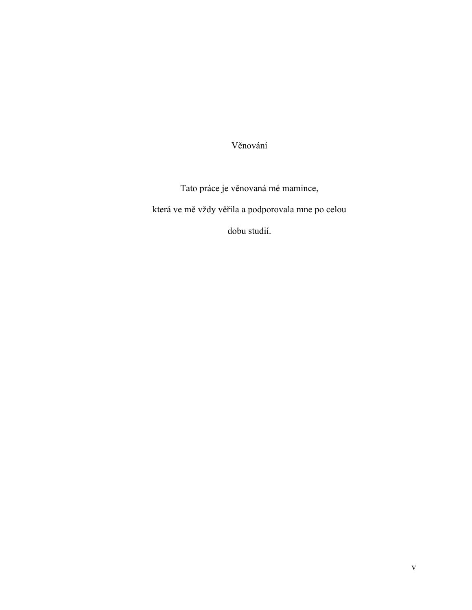Věnování

Tato práce je věnovaná mé mamince, která ve mě vždy věřila a podporovala mne po celou

dobu studií.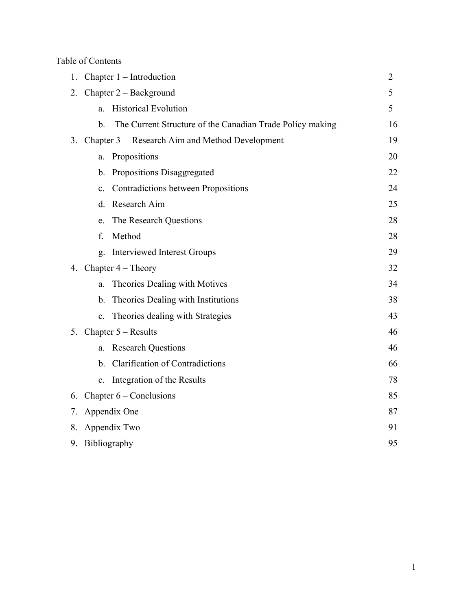Table of Contents

| 1. | Chapter $1$ – Introduction                                                 | $\overline{2}$ |
|----|----------------------------------------------------------------------------|----------------|
| 2. | Chapter 2 – Background                                                     | 5              |
|    | <b>Historical Evolution</b><br>a.                                          | 5              |
|    | $\mathbf b$ .<br>The Current Structure of the Canadian Trade Policy making | 16             |
|    | 3. Chapter 3 – Research Aim and Method Development                         | 19             |
|    | Propositions<br>a.                                                         | 20             |
|    | Propositions Disaggregated<br>b.                                           | 22             |
|    | Contradictions between Propositions<br>$\mathbf{c}$ .                      | 24             |
|    | Research Aim<br>d.                                                         | 25             |
|    | The Research Questions<br>e.                                               | 28             |
|    | f.<br>Method                                                               | 28             |
|    | <b>Interviewed Interest Groups</b><br>g.                                   | 29             |
|    | 4. Chapter $4 - Theory$                                                    | 32             |
|    | Theories Dealing with Motives<br>a.                                        | 34             |
|    | Theories Dealing with Institutions<br>$b_{\cdot}$                          | 38             |
|    | Theories dealing with Strategies<br>$\mathbf{c}$ .                         | 43             |
|    | 5. Chapter $5 - Results$                                                   | 46             |
|    | <b>Research Questions</b><br>a.                                            | 46             |
|    | <b>Clarification of Contradictions</b><br>$\mathbf{b}$ .                   | 66             |
|    | c. Integration of the Results                                              | 78             |
| 6. | Chapter $6$ – Conclusions                                                  | 85             |
| 7. | Appendix One                                                               | 87             |
| 8. | Appendix Two                                                               | 91             |
| 9. | Bibliography                                                               | 95             |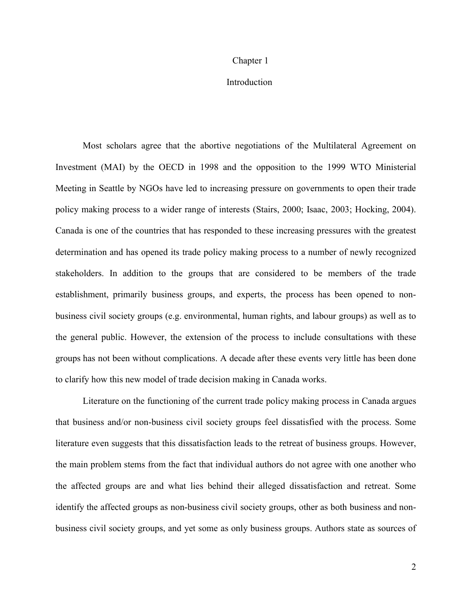#### Chapter 1

# **Introduction**

Most scholars agree that the abortive negotiations of the Multilateral Agreement on Investment (MAI) by the OECD in 1998 and the opposition to the 1999 WTO Ministerial Meeting in Seattle by NGOs have led to increasing pressure on governments to open their trade policy making process to a wider range of interests (Stairs, 2000; Isaac, 2003; Hocking, 2004). Canada is one of the countries that has responded to these increasing pressures with the greatest determination and has opened its trade policy making process to a number of newly recognized stakeholders. In addition to the groups that are considered to be members of the trade establishment, primarily business groups, and experts, the process has been opened to nonbusiness civil society groups (e.g. environmental, human rights, and labour groups) as well as to the general public. However, the extension of the process to include consultations with these groups has not been without complications. A decade after these events very little has been done to clarify how this new model of trade decision making in Canada works.

Literature on the functioning of the current trade policy making process in Canada argues that business and/or non-business civil society groups feel dissatisfied with the process. Some literature even suggests that this dissatisfaction leads to the retreat of business groups. However, the main problem stems from the fact that individual authors do not agree with one another who the affected groups are and what lies behind their alleged dissatisfaction and retreat. Some identify the affected groups as non-business civil society groups, other as both business and nonbusiness civil society groups, and yet some as only business groups. Authors state as sources of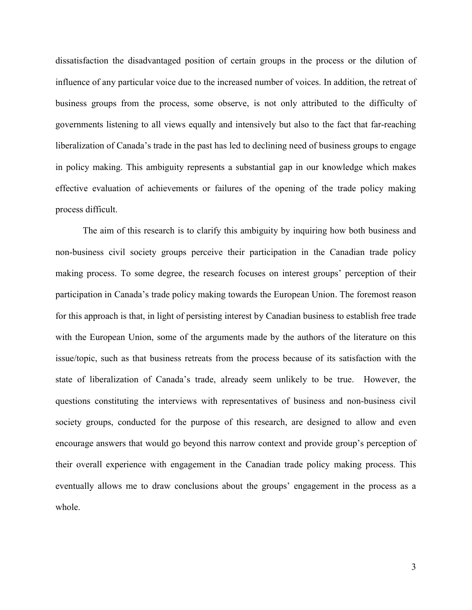dissatisfaction the disadvantaged position of certain groups in the process or the dilution of influence of any particular voice due to the increased number of voices. In addition, the retreat of business groups from the process, some observe, is not only attributed to the difficulty of governments listening to all views equally and intensively but also to the fact that far-reaching liberalization of Canada's trade in the past has led to declining need of business groups to engage in policy making. This ambiguity represents a substantial gap in our knowledge which makes effective evaluation of achievements or failures of the opening of the trade policy making process difficult.

The aim of this research is to clarify this ambiguity by inquiring how both business and non-business civil society groups perceive their participation in the Canadian trade policy making process. To some degree, the research focuses on interest groups' perception of their participation in Canada's trade policy making towards the European Union. The foremost reason for this approach is that, in light of persisting interest by Canadian business to establish free trade with the European Union, some of the arguments made by the authors of the literature on this issue/topic, such as that business retreats from the process because of its satisfaction with the state of liberalization of Canada's trade, already seem unlikely to be true. However, the questions constituting the interviews with representatives of business and non-business civil society groups, conducted for the purpose of this research, are designed to allow and even encourage answers that would go beyond this narrow context and provide group's perception of their overall experience with engagement in the Canadian trade policy making process. This eventually allows me to draw conclusions about the groups' engagement in the process as a whole.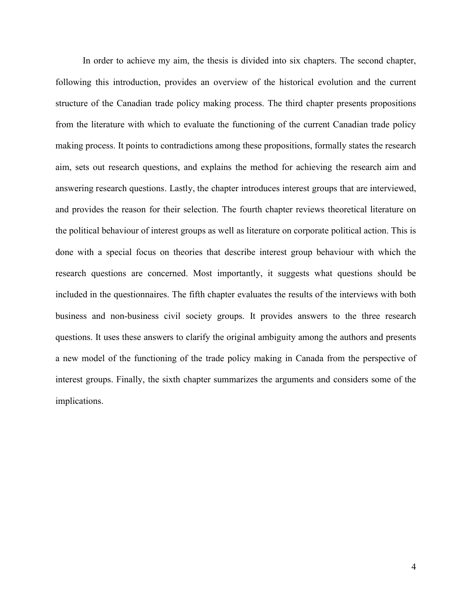In order to achieve my aim, the thesis is divided into six chapters. The second chapter, following this introduction, provides an overview of the historical evolution and the current structure of the Canadian trade policy making process. The third chapter presents propositions from the literature with which to evaluate the functioning of the current Canadian trade policy making process. It points to contradictions among these propositions, formally states the research aim, sets out research questions, and explains the method for achieving the research aim and answering research questions. Lastly, the chapter introduces interest groups that are interviewed, and provides the reason for their selection. The fourth chapter reviews theoretical literature on the political behaviour of interest groups as well as literature on corporate political action. This is done with a special focus on theories that describe interest group behaviour with which the research questions are concerned. Most importantly, it suggests what questions should be included in the questionnaires. The fifth chapter evaluates the results of the interviews with both business and non-business civil society groups. It provides answers to the three research questions. It uses these answers to clarify the original ambiguity among the authors and presents a new model of the functioning of the trade policy making in Canada from the perspective of interest groups. Finally, the sixth chapter summarizes the arguments and considers some of the implications.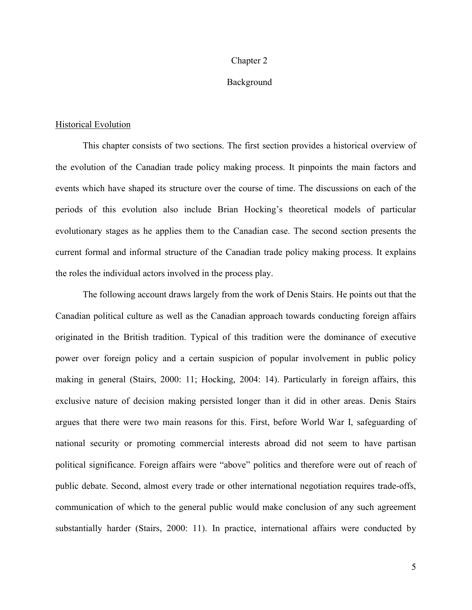#### Chapter 2

### Background

#### Historical Evolution

This chapter consists of two sections. The first section provides a historical overview of the evolution of the Canadian trade policy making process. It pinpoints the main factors and events which have shaped its structure over the course of time. The discussions on each of the periods of this evolution also include Brian Hocking's theoretical models of particular evolutionary stages as he applies them to the Canadian case. The second section presents the current formal and informal structure of the Canadian trade policy making process. It explains the roles the individual actors involved in the process play.

The following account draws largely from the work of Denis Stairs. He points out that the Canadian political culture as well as the Canadian approach towards conducting foreign affairs originated in the British tradition. Typical of this tradition were the dominance of executive power over foreign policy and a certain suspicion of popular involvement in public policy making in general (Stairs, 2000: 11; Hocking, 2004: 14). Particularly in foreign affairs, this exclusive nature of decision making persisted longer than it did in other areas. Denis Stairs argues that there were two main reasons for this. First, before World War I, safeguarding of national security or promoting commercial interests abroad did not seem to have partisan political significance. Foreign affairs were "above" politics and therefore were out of reach of public debate. Second, almost every trade or other international negotiation requires trade-offs, communication of which to the general public would make conclusion of any such agreement substantially harder (Stairs, 2000: 11). In practice, international affairs were conducted by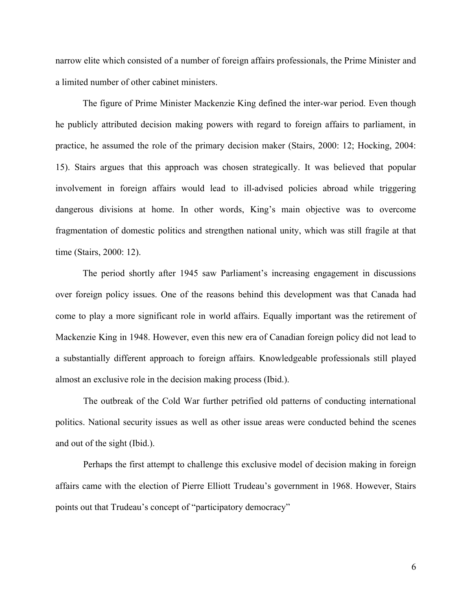narrow elite which consisted of a number of foreign affairs professionals, the Prime Minister and a limited number of other cabinet ministers.

The figure of Prime Minister Mackenzie King defined the inter-war period. Even though he publicly attributed decision making powers with regard to foreign affairs to parliament, in practice, he assumed the role of the primary decision maker (Stairs, 2000: 12; Hocking, 2004: 15). Stairs argues that this approach was chosen strategically. It was believed that popular involvement in foreign affairs would lead to ill-advised policies abroad while triggering dangerous divisions at home. In other words, King's main objective was to overcome fragmentation of domestic politics and strengthen national unity, which was still fragile at that time (Stairs, 2000: 12).

The period shortly after 1945 saw Parliament's increasing engagement in discussions over foreign policy issues. One of the reasons behind this development was that Canada had come to play a more significant role in world affairs. Equally important was the retirement of Mackenzie King in 1948. However, even this new era of Canadian foreign policy did not lead to a substantially different approach to foreign affairs. Knowledgeable professionals still played almost an exclusive role in the decision making process (Ibid.).

The outbreak of the Cold War further petrified old patterns of conducting international politics. National security issues as well as other issue areas were conducted behind the scenes and out of the sight (Ibid.).

Perhaps the first attempt to challenge this exclusive model of decision making in foreign affairs came with the election of Pierre Elliott Trudeau's government in 1968. However, Stairs points out that Trudeau's concept of "participatory democracy"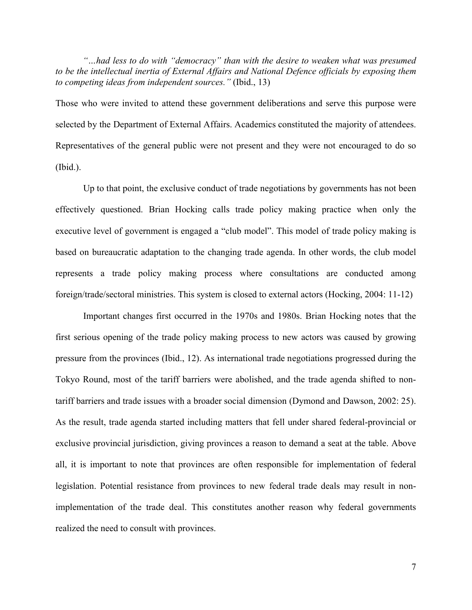*"…had less to do with "democracy" than with the desire to weaken what was presumed to be the intellectual inertia of External Affairs and National Defence officials by exposing them to competing ideas from independent sources."* (Ibid., 13)

Those who were invited to attend these government deliberations and serve this purpose were selected by the Department of External Affairs. Academics constituted the majority of attendees. Representatives of the general public were not present and they were not encouraged to do so (Ibid.).

Up to that point, the exclusive conduct of trade negotiations by governments has not been effectively questioned. Brian Hocking calls trade policy making practice when only the executive level of government is engaged a "club model". This model of trade policy making is based on bureaucratic adaptation to the changing trade agenda. In other words, the club model represents a trade policy making process where consultations are conducted among foreign/trade/sectoral ministries. This system is closed to external actors (Hocking, 2004: 11-12)

Important changes first occurred in the 1970s and 1980s. Brian Hocking notes that the first serious opening of the trade policy making process to new actors was caused by growing pressure from the provinces (Ibid., 12). As international trade negotiations progressed during the Tokyo Round, most of the tariff barriers were abolished, and the trade agenda shifted to nontariff barriers and trade issues with a broader social dimension (Dymond and Dawson, 2002: 25). As the result, trade agenda started including matters that fell under shared federal-provincial or exclusive provincial jurisdiction, giving provinces a reason to demand a seat at the table. Above all, it is important to note that provinces are often responsible for implementation of federal legislation. Potential resistance from provinces to new federal trade deals may result in nonimplementation of the trade deal. This constitutes another reason why federal governments realized the need to consult with provinces.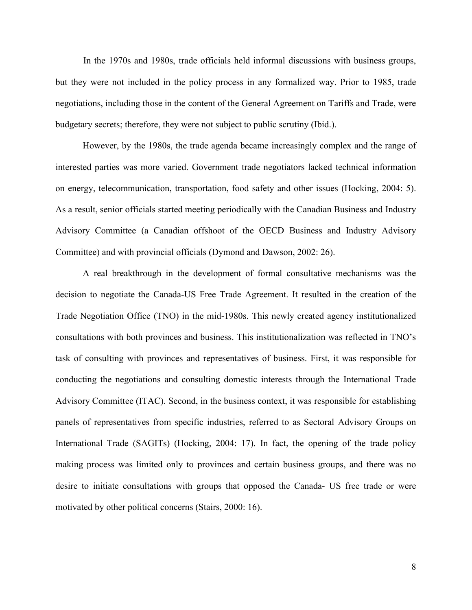In the 1970s and 1980s, trade officials held informal discussions with business groups, but they were not included in the policy process in any formalized way. Prior to 1985, trade negotiations, including those in the content of the General Agreement on Tariffs and Trade, were budgetary secrets; therefore, they were not subject to public scrutiny (Ibid.).

However, by the 1980s, the trade agenda became increasingly complex and the range of interested parties was more varied. Government trade negotiators lacked technical information on energy, telecommunication, transportation, food safety and other issues (Hocking, 2004: 5). As a result, senior officials started meeting periodically with the Canadian Business and Industry Advisory Committee (a Canadian offshoot of the OECD Business and Industry Advisory Committee) and with provincial officials (Dymond and Dawson, 2002: 26).

A real breakthrough in the development of formal consultative mechanisms was the decision to negotiate the Canada-US Free Trade Agreement. It resulted in the creation of the Trade Negotiation Office (TNO) in the mid-1980s. This newly created agency institutionalized consultations with both provinces and business. This institutionalization was reflected in TNO's task of consulting with provinces and representatives of business. First, it was responsible for conducting the negotiations and consulting domestic interests through the International Trade Advisory Committee (ITAC). Second, in the business context, it was responsible for establishing panels of representatives from specific industries, referred to as Sectoral Advisory Groups on International Trade (SAGITs) (Hocking, 2004: 17). In fact, the opening of the trade policy making process was limited only to provinces and certain business groups, and there was no desire to initiate consultations with groups that opposed the Canada- US free trade or were motivated by other political concerns (Stairs, 2000: 16).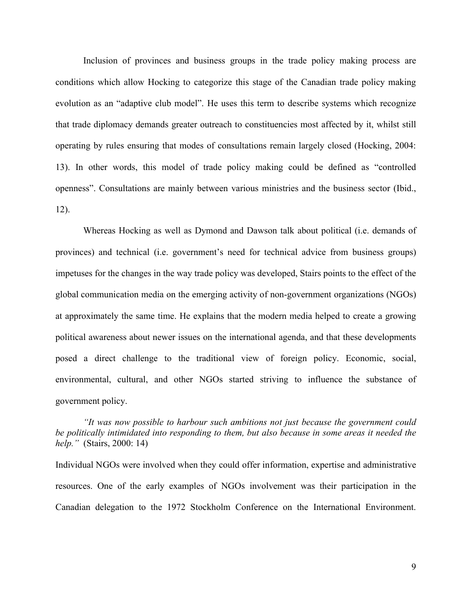Inclusion of provinces and business groups in the trade policy making process are conditions which allow Hocking to categorize this stage of the Canadian trade policy making evolution as an "adaptive club model". He uses this term to describe systems which recognize that trade diplomacy demands greater outreach to constituencies most affected by it, whilst still operating by rules ensuring that modes of consultations remain largely closed (Hocking, 2004: 13). In other words, this model of trade policy making could be defined as "controlled openness". Consultations are mainly between various ministries and the business sector (Ibid., 12).

Whereas Hocking as well as Dymond and Dawson talk about political (i.e. demands of provinces) and technical (i.e. government's need for technical advice from business groups) impetuses for the changes in the way trade policy was developed, Stairs points to the effect of the global communication media on the emerging activity of non-government organizations (NGOs) at approximately the same time. He explains that the modern media helped to create a growing political awareness about newer issues on the international agenda, and that these developments posed a direct challenge to the traditional view of foreign policy. Economic, social, environmental, cultural, and other NGOs started striving to influence the substance of government policy.

*"It was now possible to harbour such ambitions not just because the government could be politically intimidated into responding to them, but also because in some areas it needed the help."* (Stairs, 2000: 14)

Individual NGOs were involved when they could offer information, expertise and administrative resources. One of the early examples of NGOs involvement was their participation in the Canadian delegation to the 1972 Stockholm Conference on the International Environment.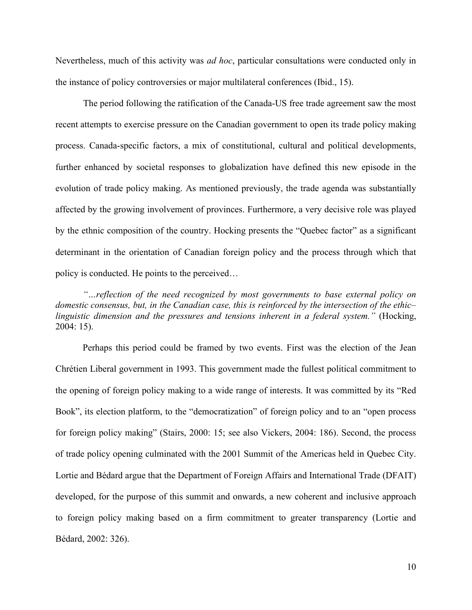Nevertheless, much of this activity was *ad hoc*, particular consultations were conducted only in the instance of policy controversies or major multilateral conferences (Ibid., 15).

The period following the ratification of the Canada-US free trade agreement saw the most recent attempts to exercise pressure on the Canadian government to open its trade policy making process. Canada-specific factors, a mix of constitutional, cultural and political developments, further enhanced by societal responses to globalization have defined this new episode in the evolution of trade policy making. As mentioned previously, the trade agenda was substantially affected by the growing involvement of provinces. Furthermore, a very decisive role was played by the ethnic composition of the country. Hocking presents the "Quebec factor" as a significant determinant in the orientation of Canadian foreign policy and the process through which that policy is conducted. He points to the perceived…

*"…reflection of the need recognized by most governments to base external policy on domestic consensus, but, in the Canadian case, this is reinforced by the intersection of the ethic– linguistic dimension and the pressures and tensions inherent in a federal system."* (Hocking, 2004: 15).

Perhaps this period could be framed by two events. First was the election of the Jean Chrétien Liberal government in 1993. This government made the fullest political commitment to the opening of foreign policy making to a wide range of interests. It was committed by its "Red Book", its election platform, to the "democratization" of foreign policy and to an "open process for foreign policy making" (Stairs, 2000: 15; see also Vickers, 2004: 186). Second, the process of trade policy opening culminated with the 2001 Summit of the Americas held in Quebec City. Lortie and Bédard argue that the Department of Foreign Affairs and International Trade (DFAIT) developed, for the purpose of this summit and onwards, a new coherent and inclusive approach to foreign policy making based on a firm commitment to greater transparency (Lortie and Bédard, 2002: 326).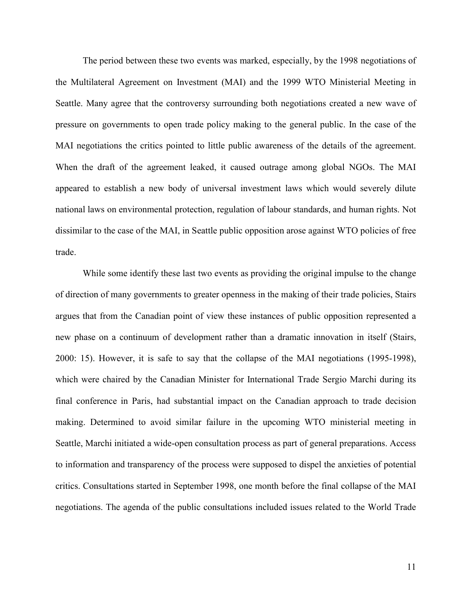The period between these two events was marked, especially, by the 1998 negotiations of the Multilateral Agreement on Investment (MAI) and the 1999 WTO Ministerial Meeting in Seattle. Many agree that the controversy surrounding both negotiations created a new wave of pressure on governments to open trade policy making to the general public. In the case of the MAI negotiations the critics pointed to little public awareness of the details of the agreement. When the draft of the agreement leaked, it caused outrage among global NGOs. The MAI appeared to establish a new body of universal investment laws which would severely dilute national laws on environmental protection, regulation of labour standards, and human rights. Not dissimilar to the case of the MAI, in Seattle public opposition arose against WTO policies of free trade.

While some identify these last two events as providing the original impulse to the change of direction of many governments to greater openness in the making of their trade policies, Stairs argues that from the Canadian point of view these instances of public opposition represented a new phase on a continuum of development rather than a dramatic innovation in itself (Stairs, 2000: 15). However, it is safe to say that the collapse of the MAI negotiations (1995-1998), which were chaired by the Canadian Minister for International Trade Sergio Marchi during its final conference in Paris, had substantial impact on the Canadian approach to trade decision making. Determined to avoid similar failure in the upcoming WTO ministerial meeting in Seattle, Marchi initiated a wide-open consultation process as part of general preparations. Access to information and transparency of the process were supposed to dispel the anxieties of potential critics. Consultations started in September 1998, one month before the final collapse of the MAI negotiations. The agenda of the public consultations included issues related to the World Trade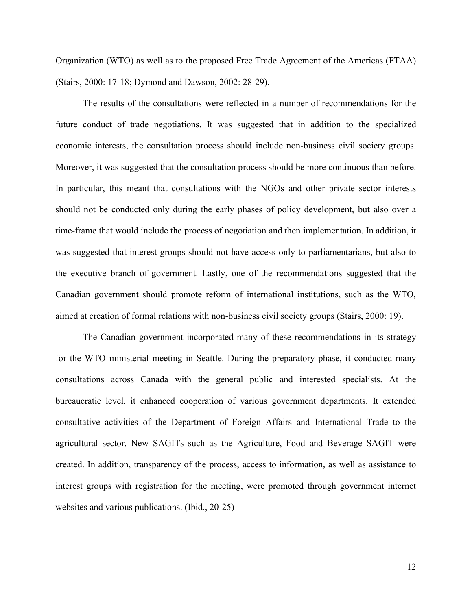Organization (WTO) as well as to the proposed Free Trade Agreement of the Americas (FTAA) (Stairs, 2000: 17-18; Dymond and Dawson, 2002: 28-29).

The results of the consultations were reflected in a number of recommendations for the future conduct of trade negotiations. It was suggested that in addition to the specialized economic interests, the consultation process should include non-business civil society groups. Moreover, it was suggested that the consultation process should be more continuous than before. In particular, this meant that consultations with the NGOs and other private sector interests should not be conducted only during the early phases of policy development, but also over a time-frame that would include the process of negotiation and then implementation. In addition, it was suggested that interest groups should not have access only to parliamentarians, but also to the executive branch of government. Lastly, one of the recommendations suggested that the Canadian government should promote reform of international institutions, such as the WTO, aimed at creation of formal relations with non-business civil society groups (Stairs, 2000: 19).

The Canadian government incorporated many of these recommendations in its strategy for the WTO ministerial meeting in Seattle. During the preparatory phase, it conducted many consultations across Canada with the general public and interested specialists. At the bureaucratic level, it enhanced cooperation of various government departments. It extended consultative activities of the Department of Foreign Affairs and International Trade to the agricultural sector. New SAGITs such as the Agriculture, Food and Beverage SAGIT were created. In addition, transparency of the process, access to information, as well as assistance to interest groups with registration for the meeting, were promoted through government internet websites and various publications. (Ibid., 20-25)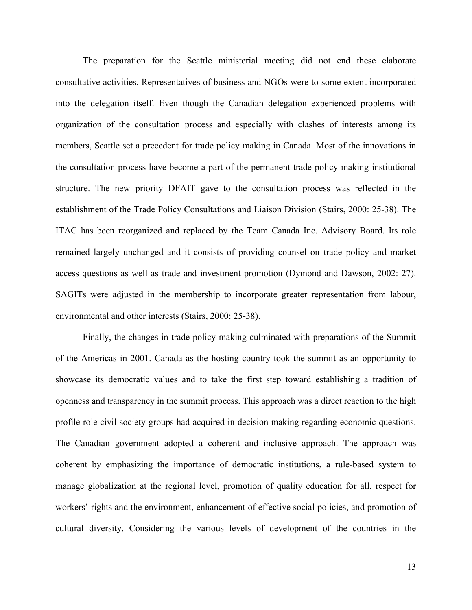The preparation for the Seattle ministerial meeting did not end these elaborate consultative activities. Representatives of business and NGOs were to some extent incorporated into the delegation itself. Even though the Canadian delegation experienced problems with organization of the consultation process and especially with clashes of interests among its members, Seattle set a precedent for trade policy making in Canada. Most of the innovations in the consultation process have become a part of the permanent trade policy making institutional structure. The new priority DFAIT gave to the consultation process was reflected in the establishment of the Trade Policy Consultations and Liaison Division (Stairs, 2000: 25-38). The ITAC has been reorganized and replaced by the Team Canada Inc. Advisory Board. Its role remained largely unchanged and it consists of providing counsel on trade policy and market access questions as well as trade and investment promotion (Dymond and Dawson, 2002: 27). SAGITs were adjusted in the membership to incorporate greater representation from labour, environmental and other interests (Stairs, 2000: 25-38).

Finally, the changes in trade policy making culminated with preparations of the Summit of the Americas in 2001. Canada as the hosting country took the summit as an opportunity to showcase its democratic values and to take the first step toward establishing a tradition of openness and transparency in the summit process. This approach was a direct reaction to the high profile role civil society groups had acquired in decision making regarding economic questions. The Canadian government adopted a coherent and inclusive approach. The approach was coherent by emphasizing the importance of democratic institutions, a rule-based system to manage globalization at the regional level, promotion of quality education for all, respect for workers' rights and the environment, enhancement of effective social policies, and promotion of cultural diversity. Considering the various levels of development of the countries in the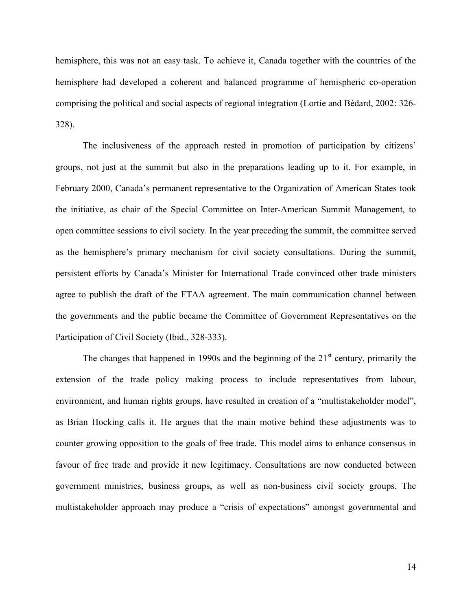hemisphere, this was not an easy task. To achieve it, Canada together with the countries of the hemisphere had developed a coherent and balanced programme of hemispheric co-operation comprising the political and social aspects of regional integration (Lortie and Bédard, 2002: 326- 328).

The inclusiveness of the approach rested in promotion of participation by citizens' groups, not just at the summit but also in the preparations leading up to it. For example, in February 2000, Canada's permanent representative to the Organization of American States took the initiative, as chair of the Special Committee on Inter-American Summit Management, to open committee sessions to civil society. In the year preceding the summit, the committee served as the hemisphere's primary mechanism for civil society consultations. During the summit, persistent efforts by Canada's Minister for International Trade convinced other trade ministers agree to publish the draft of the FTAA agreement. The main communication channel between the governments and the public became the Committee of Government Representatives on the Participation of Civil Society (Ibid., 328-333).

The changes that happened in 1990s and the beginning of the  $21<sup>st</sup>$  century, primarily the extension of the trade policy making process to include representatives from labour, environment, and human rights groups, have resulted in creation of a "multistakeholder model", as Brian Hocking calls it. He argues that the main motive behind these adjustments was to counter growing opposition to the goals of free trade. This model aims to enhance consensus in favour of free trade and provide it new legitimacy. Consultations are now conducted between government ministries, business groups, as well as non-business civil society groups. The multistakeholder approach may produce a "crisis of expectations" amongst governmental and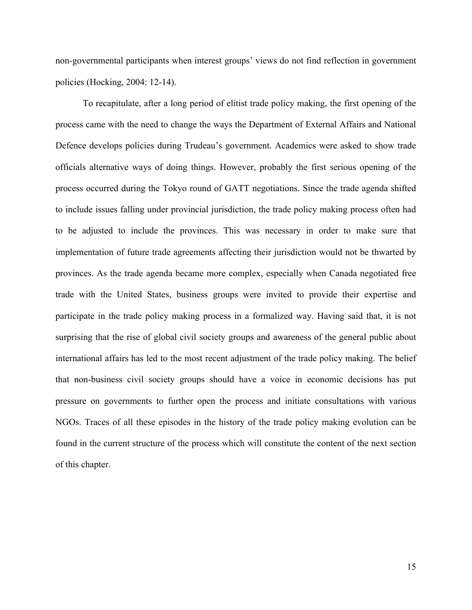non-governmental participants when interest groups' views do not find reflection in government policies (Hocking, 2004: 12-14).

To recapitulate, after a long period of elitist trade policy making, the first opening of the process came with the need to change the ways the Department of External Affairs and National Defence develops policies during Trudeau's government. Academics were asked to show trade officials alternative ways of doing things. However, probably the first serious opening of the process occurred during the Tokyo round of GATT negotiations. Since the trade agenda shifted to include issues falling under provincial jurisdiction, the trade policy making process often had to be adjusted to include the provinces. This was necessary in order to make sure that implementation of future trade agreements affecting their jurisdiction would not be thwarted by provinces. As the trade agenda became more complex, especially when Canada negotiated free trade with the United States, business groups were invited to provide their expertise and participate in the trade policy making process in a formalized way. Having said that, it is not surprising that the rise of global civil society groups and awareness of the general public about international affairs has led to the most recent adjustment of the trade policy making. The belief that non-business civil society groups should have a voice in economic decisions has put pressure on governments to further open the process and initiate consultations with various NGOs. Traces of all these episodes in the history of the trade policy making evolution can be found in the current structure of the process which will constitute the content of the next section of this chapter.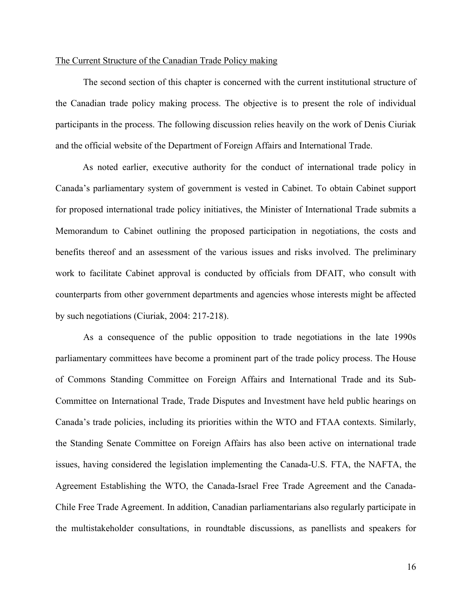#### The Current Structure of the Canadian Trade Policy making

The second section of this chapter is concerned with the current institutional structure of the Canadian trade policy making process. The objective is to present the role of individual participants in the process. The following discussion relies heavily on the work of Denis Ciuriak and the official website of the Department of Foreign Affairs and International Trade.

As noted earlier, executive authority for the conduct of international trade policy in Canada's parliamentary system of government is vested in Cabinet. To obtain Cabinet support for proposed international trade policy initiatives, the Minister of International Trade submits a Memorandum to Cabinet outlining the proposed participation in negotiations, the costs and benefits thereof and an assessment of the various issues and risks involved. The preliminary work to facilitate Cabinet approval is conducted by officials from DFAIT, who consult with counterparts from other government departments and agencies whose interests might be affected by such negotiations (Ciuriak, 2004: 217-218).

As a consequence of the public opposition to trade negotiations in the late 1990s parliamentary committees have become a prominent part of the trade policy process. The House of Commons Standing Committee on Foreign Affairs and International Trade and its Sub-Committee on International Trade, Trade Disputes and Investment have held public hearings on Canada's trade policies, including its priorities within the WTO and FTAA contexts. Similarly, the Standing Senate Committee on Foreign Affairs has also been active on international trade issues, having considered the legislation implementing the Canada-U.S. FTA, the NAFTA, the Agreement Establishing the WTO, the Canada-Israel Free Trade Agreement and the Canada-Chile Free Trade Agreement. In addition, Canadian parliamentarians also regularly participate in the multistakeholder consultations, in roundtable discussions, as panellists and speakers for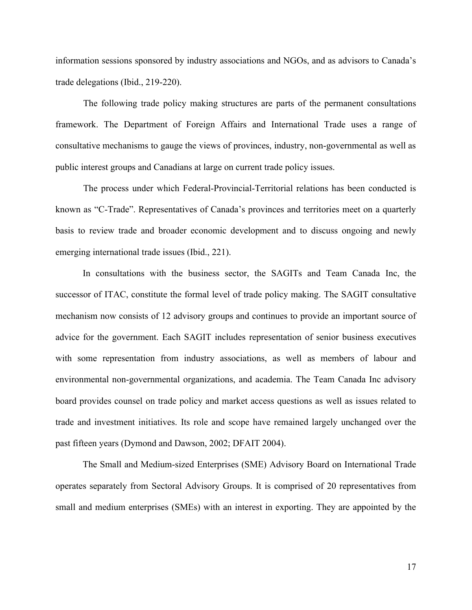information sessions sponsored by industry associations and NGOs, and as advisors to Canada's trade delegations (Ibid., 219-220).

The following trade policy making structures are parts of the permanent consultations framework. The Department of Foreign Affairs and International Trade uses a range of consultative mechanisms to gauge the views of provinces, industry, non-governmental as well as public interest groups and Canadians at large on current trade policy issues.

The process under which Federal-Provincial-Territorial relations has been conducted is known as "C-Trade". Representatives of Canada's provinces and territories meet on a quarterly basis to review trade and broader economic development and to discuss ongoing and newly emerging international trade issues (Ibid., 221).

In consultations with the business sector, the SAGITs and Team Canada Inc, the successor of ITAC, constitute the formal level of trade policy making. The SAGIT consultative mechanism now consists of 12 advisory groups and continues to provide an important source of advice for the government. Each SAGIT includes representation of senior business executives with some representation from industry associations, as well as members of labour and environmental non-governmental organizations, and academia. The Team Canada Inc advisory board provides counsel on trade policy and market access questions as well as issues related to trade and investment initiatives. Its role and scope have remained largely unchanged over the past fifteen years (Dymond and Dawson, 2002; DFAIT 2004).

The Small and Medium-sized Enterprises (SME) Advisory Board on International Trade operates separately from Sectoral Advisory Groups. It is comprised of 20 representatives from small and medium enterprises (SMEs) with an interest in exporting. They are appointed by the

17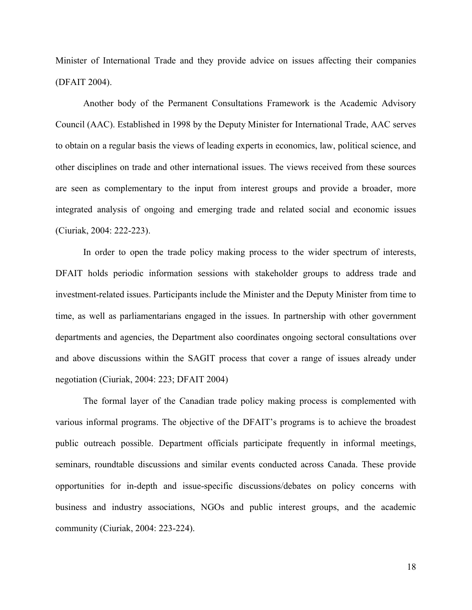Minister of International Trade and they provide advice on issues affecting their companies (DFAIT 2004).

Another body of the Permanent Consultations Framework is the Academic Advisory Council (AAC). Established in 1998 by the Deputy Minister for International Trade, AAC serves to obtain on a regular basis the views of leading experts in economics, law, political science, and other disciplines on trade and other international issues. The views received from these sources are seen as complementary to the input from interest groups and provide a broader, more integrated analysis of ongoing and emerging trade and related social and economic issues (Ciuriak, 2004: 222-223).

In order to open the trade policy making process to the wider spectrum of interests, DFAIT holds periodic information sessions with stakeholder groups to address trade and investment-related issues. Participants include the Minister and the Deputy Minister from time to time, as well as parliamentarians engaged in the issues. In partnership with other government departments and agencies, the Department also coordinates ongoing sectoral consultations over and above discussions within the SAGIT process that cover a range of issues already under negotiation (Ciuriak, 2004: 223; DFAIT 2004)

The formal layer of the Canadian trade policy making process is complemented with various informal programs. The objective of the DFAIT's programs is to achieve the broadest public outreach possible. Department officials participate frequently in informal meetings, seminars, roundtable discussions and similar events conducted across Canada. These provide opportunities for in-depth and issue-specific discussions/debates on policy concerns with business and industry associations, NGOs and public interest groups, and the academic community (Ciuriak, 2004: 223-224).

18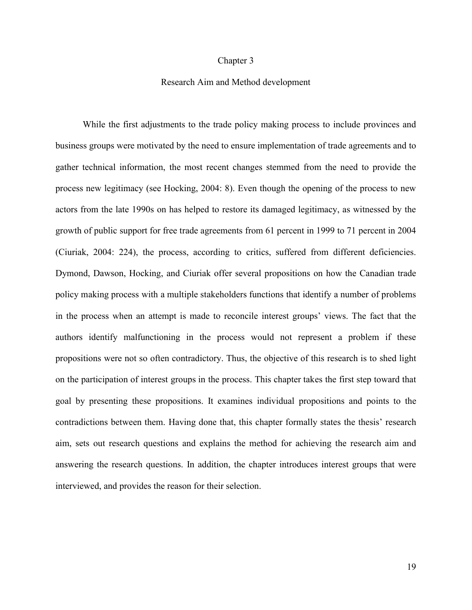#### Chapter 3

## Research Aim and Method development

While the first adjustments to the trade policy making process to include provinces and business groups were motivated by the need to ensure implementation of trade agreements and to gather technical information, the most recent changes stemmed from the need to provide the process new legitimacy (see Hocking, 2004: 8). Even though the opening of the process to new actors from the late 1990s on has helped to restore its damaged legitimacy, as witnessed by the growth of public support for free trade agreements from 61 percent in 1999 to 71 percent in 2004 (Ciuriak, 2004: 224), the process, according to critics, suffered from different deficiencies. Dymond, Dawson, Hocking, and Ciuriak offer several propositions on how the Canadian trade policy making process with a multiple stakeholders functions that identify a number of problems in the process when an attempt is made to reconcile interest groups' views. The fact that the authors identify malfunctioning in the process would not represent a problem if these propositions were not so often contradictory. Thus, the objective of this research is to shed light on the participation of interest groups in the process. This chapter takes the first step toward that goal by presenting these propositions. It examines individual propositions and points to the contradictions between them. Having done that, this chapter formally states the thesis' research aim, sets out research questions and explains the method for achieving the research aim and answering the research questions. In addition, the chapter introduces interest groups that were interviewed, and provides the reason for their selection.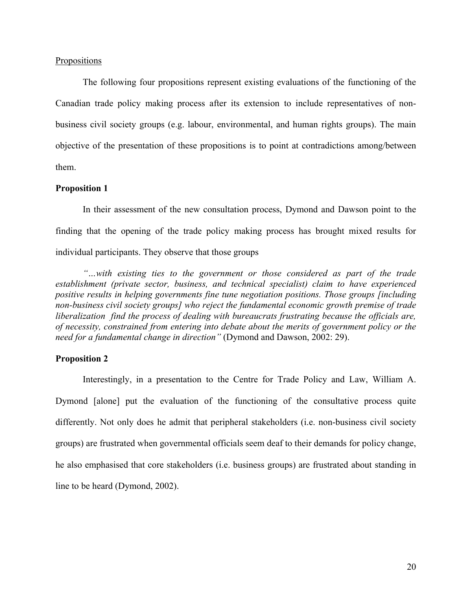#### **Propositions**

The following four propositions represent existing evaluations of the functioning of the Canadian trade policy making process after its extension to include representatives of nonbusiness civil society groups (e.g. labour, environmental, and human rights groups). The main objective of the presentation of these propositions is to point at contradictions among/between them.

## **Proposition 1**

In their assessment of the new consultation process, Dymond and Dawson point to the finding that the opening of the trade policy making process has brought mixed results for individual participants. They observe that those groups

*"…with existing ties to the government or those considered as part of the trade establishment (private sector, business, and technical specialist) claim to have experienced positive results in helping governments fine tune negotiation positions. Those groups [including non-business civil society groups] who reject the fundamental economic growth premise of trade liberalization find the process of dealing with bureaucrats frustrating because the officials are, of necessity, constrained from entering into debate about the merits of government policy or the need for a fundamental change in direction"* (Dymond and Dawson, 2002: 29).

#### **Proposition 2**

Interestingly, in a presentation to the Centre for Trade Policy and Law, William A. Dymond [alone] put the evaluation of the functioning of the consultative process quite differently. Not only does he admit that peripheral stakeholders (i.e. non-business civil society groups) are frustrated when governmental officials seem deaf to their demands for policy change, he also emphasised that core stakeholders (i.e. business groups) are frustrated about standing in line to be heard (Dymond, 2002).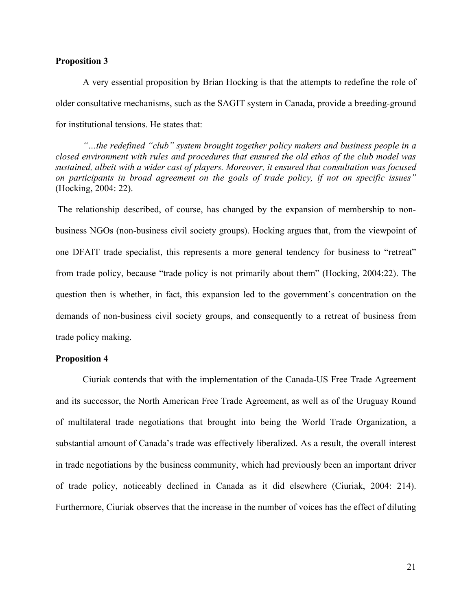## **Proposition 3**

A very essential proposition by Brian Hocking is that the attempts to redefine the role of older consultative mechanisms, such as the SAGIT system in Canada, provide a breeding-ground for institutional tensions. He states that:

*"…the redefined "club" system brought together policy makers and business people in a closed environment with rules and procedures that ensured the old ethos of the club model was sustained, albeit with a wider cast of players. Moreover, it ensured that consultation was focused on participants in broad agreement on the goals of trade policy, if not on specific issues"* (Hocking, 2004: 22).

The relationship described, of course, has changed by the expansion of membership to nonbusiness NGOs (non-business civil society groups). Hocking argues that, from the viewpoint of one DFAIT trade specialist, this represents a more general tendency for business to "retreat" from trade policy, because "trade policy is not primarily about them" (Hocking, 2004:22). The question then is whether, in fact, this expansion led to the government's concentration on the demands of non-business civil society groups, and consequently to a retreat of business from trade policy making.

#### **Proposition 4**

Ciuriak contends that with the implementation of the Canada-US Free Trade Agreement and its successor, the North American Free Trade Agreement, as well as of the Uruguay Round of multilateral trade negotiations that brought into being the World Trade Organization, a substantial amount of Canada's trade was effectively liberalized. As a result, the overall interest in trade negotiations by the business community, which had previously been an important driver of trade policy, noticeably declined in Canada as it did elsewhere (Ciuriak, 2004: 214). Furthermore, Ciuriak observes that the increase in the number of voices has the effect of diluting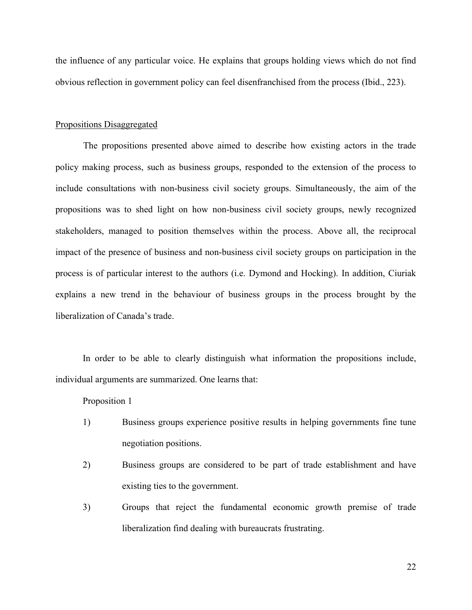the influence of any particular voice. He explains that groups holding views which do not find obvious reflection in government policy can feel disenfranchised from the process (Ibid., 223).

#### Propositions Disaggregated

The propositions presented above aimed to describe how existing actors in the trade policy making process, such as business groups, responded to the extension of the process to include consultations with non-business civil society groups. Simultaneously, the aim of the propositions was to shed light on how non-business civil society groups, newly recognized stakeholders, managed to position themselves within the process. Above all, the reciprocal impact of the presence of business and non-business civil society groups on participation in the process is of particular interest to the authors (i.e. Dymond and Hocking). In addition, Ciuriak explains a new trend in the behaviour of business groups in the process brought by the liberalization of Canada's trade.

In order to be able to clearly distinguish what information the propositions include, individual arguments are summarized. One learns that:

### Proposition 1

- 1) Business groups experience positive results in helping governments fine tune negotiation positions.
- 2) Business groups are considered to be part of trade establishment and have existing ties to the government.
- 3) Groups that reject the fundamental economic growth premise of trade liberalization find dealing with bureaucrats frustrating.

22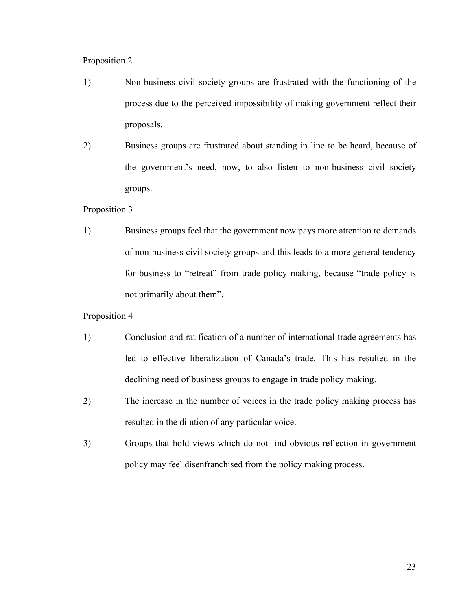# Proposition 2

- 1) Non-business civil society groups are frustrated with the functioning of the process due to the perceived impossibility of making government reflect their proposals.
- 2) Business groups are frustrated about standing in line to be heard, because of the government's need, now, to also listen to non-business civil society groups.

## Proposition 3

1) Business groups feel that the government now pays more attention to demands of non-business civil society groups and this leads to a more general tendency for business to "retreat" from trade policy making, because "trade policy is not primarily about them".

### Proposition 4

- 1) Conclusion and ratification of a number of international trade agreements has led to effective liberalization of Canada's trade. This has resulted in the declining need of business groups to engage in trade policy making.
- 2) The increase in the number of voices in the trade policy making process has resulted in the dilution of any particular voice.
- 3) Groups that hold views which do not find obvious reflection in government policy may feel disenfranchised from the policy making process.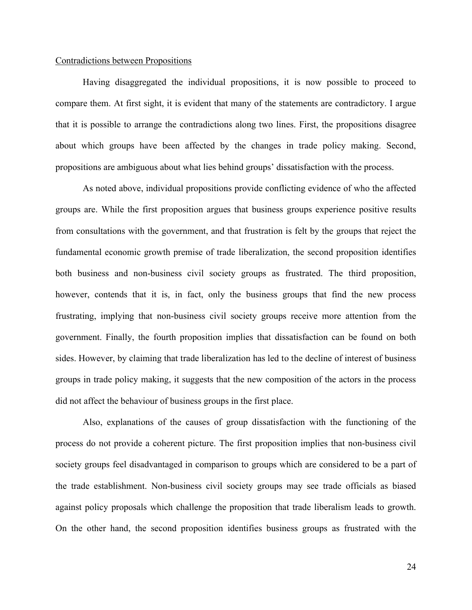#### Contradictions between Propositions

Having disaggregated the individual propositions, it is now possible to proceed to compare them. At first sight, it is evident that many of the statements are contradictory. I argue that it is possible to arrange the contradictions along two lines. First, the propositions disagree about which groups have been affected by the changes in trade policy making. Second, propositions are ambiguous about what lies behind groups' dissatisfaction with the process.

As noted above, individual propositions provide conflicting evidence of who the affected groups are. While the first proposition argues that business groups experience positive results from consultations with the government, and that frustration is felt by the groups that reject the fundamental economic growth premise of trade liberalization, the second proposition identifies both business and non-business civil society groups as frustrated. The third proposition, however, contends that it is, in fact, only the business groups that find the new process frustrating, implying that non-business civil society groups receive more attention from the government. Finally, the fourth proposition implies that dissatisfaction can be found on both sides. However, by claiming that trade liberalization has led to the decline of interest of business groups in trade policy making, it suggests that the new composition of the actors in the process did not affect the behaviour of business groups in the first place.

Also, explanations of the causes of group dissatisfaction with the functioning of the process do not provide a coherent picture. The first proposition implies that non-business civil society groups feel disadvantaged in comparison to groups which are considered to be a part of the trade establishment. Non-business civil society groups may see trade officials as biased against policy proposals which challenge the proposition that trade liberalism leads to growth. On the other hand, the second proposition identifies business groups as frustrated with the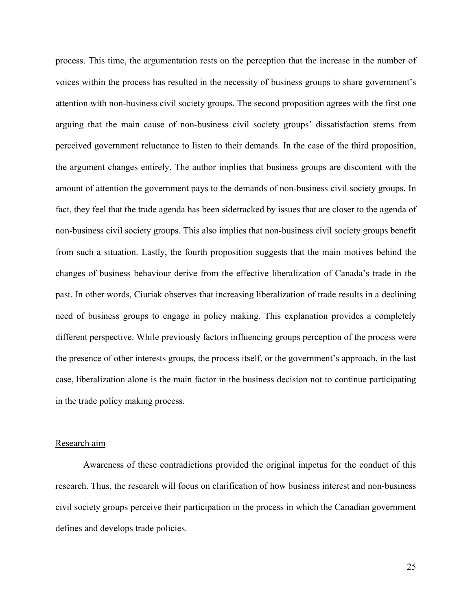process. This time, the argumentation rests on the perception that the increase in the number of voices within the process has resulted in the necessity of business groups to share government's attention with non-business civil society groups. The second proposition agrees with the first one arguing that the main cause of non-business civil society groups' dissatisfaction stems from perceived government reluctance to listen to their demands. In the case of the third proposition, the argument changes entirely. The author implies that business groups are discontent with the amount of attention the government pays to the demands of non-business civil society groups. In fact, they feel that the trade agenda has been sidetracked by issues that are closer to the agenda of non-business civil society groups. This also implies that non-business civil society groups benefit from such a situation. Lastly, the fourth proposition suggests that the main motives behind the changes of business behaviour derive from the effective liberalization of Canada's trade in the past. In other words, Ciuriak observes that increasing liberalization of trade results in a declining need of business groups to engage in policy making. This explanation provides a completely different perspective. While previously factors influencing groups perception of the process were the presence of other interests groups, the process itself, or the government's approach, in the last case, liberalization alone is the main factor in the business decision not to continue participating in the trade policy making process.

#### Research aim

Awareness of these contradictions provided the original impetus for the conduct of this research. Thus, the research will focus on clarification of how business interest and non-business civil society groups perceive their participation in the process in which the Canadian government defines and develops trade policies.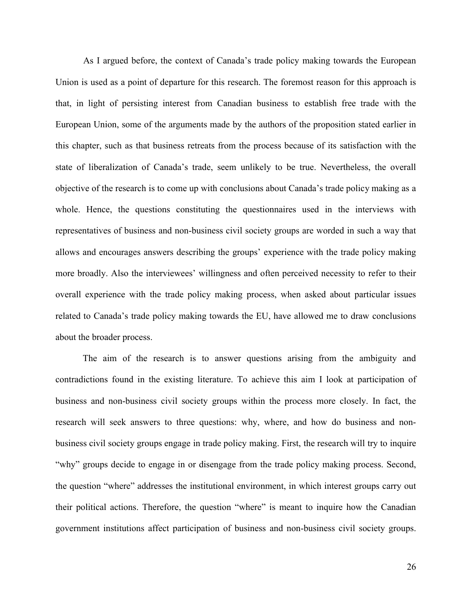As I argued before, the context of Canada's trade policy making towards the European Union is used as a point of departure for this research. The foremost reason for this approach is that, in light of persisting interest from Canadian business to establish free trade with the European Union, some of the arguments made by the authors of the proposition stated earlier in this chapter, such as that business retreats from the process because of its satisfaction with the state of liberalization of Canada's trade, seem unlikely to be true. Nevertheless, the overall objective of the research is to come up with conclusions about Canada's trade policy making as a whole. Hence, the questions constituting the questionnaires used in the interviews with representatives of business and non-business civil society groups are worded in such a way that allows and encourages answers describing the groups' experience with the trade policy making more broadly. Also the interviewees' willingness and often perceived necessity to refer to their overall experience with the trade policy making process, when asked about particular issues related to Canada's trade policy making towards the EU, have allowed me to draw conclusions about the broader process.

The aim of the research is to answer questions arising from the ambiguity and contradictions found in the existing literature. To achieve this aim I look at participation of business and non-business civil society groups within the process more closely. In fact, the research will seek answers to three questions: why, where, and how do business and nonbusiness civil society groups engage in trade policy making. First, the research will try to inquire "why" groups decide to engage in or disengage from the trade policy making process. Second, the question "where" addresses the institutional environment, in which interest groups carry out their political actions. Therefore, the question "where" is meant to inquire how the Canadian government institutions affect participation of business and non-business civil society groups.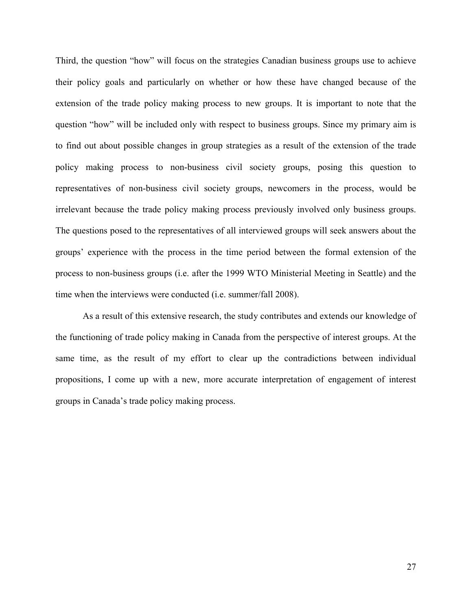Third, the question "how" will focus on the strategies Canadian business groups use to achieve their policy goals and particularly on whether or how these have changed because of the extension of the trade policy making process to new groups. It is important to note that the question "how" will be included only with respect to business groups. Since my primary aim is to find out about possible changes in group strategies as a result of the extension of the trade policy making process to non-business civil society groups, posing this question to representatives of non-business civil society groups, newcomers in the process, would be irrelevant because the trade policy making process previously involved only business groups. The questions posed to the representatives of all interviewed groups will seek answers about the groups' experience with the process in the time period between the formal extension of the process to non-business groups (i.e. after the 1999 WTO Ministerial Meeting in Seattle) and the time when the interviews were conducted (i.e. summer/fall 2008).

As a result of this extensive research, the study contributes and extends our knowledge of the functioning of trade policy making in Canada from the perspective of interest groups. At the same time, as the result of my effort to clear up the contradictions between individual propositions, I come up with a new, more accurate interpretation of engagement of interest groups in Canada's trade policy making process.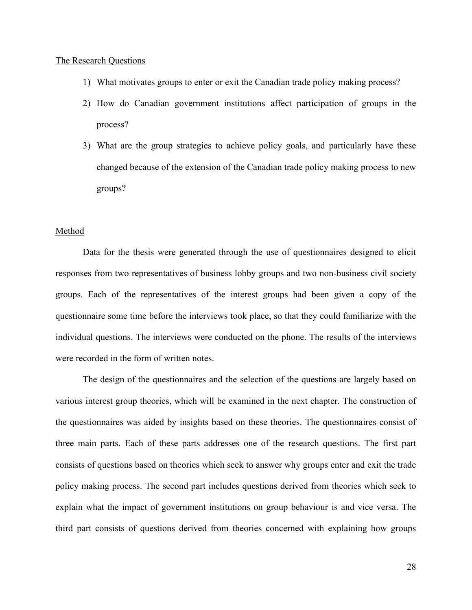# The Research Questions

- 1) What motivates groups to enter or exit the Canadian trade policy making process?
- 2) How do Canadian government institutions affect participation of groups in the process?
- 3) What are the group strategies to achieve policy goals, and particularly have these changed because of the extension of the Canadian trade policy making process to new groups?

# Method

Data for the thesis were generated through the use of questionnaires designed to elicit responses from two representatives of business lobby groups and two non-business civil society groups. Each of the representatives of the interest groups had been given a copy of the questionnaire some time before the interviews took place, so that they could familiarize with the individual questions. The interviews were conducted on the phone. The results of the interviews were recorded in the form of written notes.

The design of the questionnaires and the selection of the questions are largely based on various interest group theories, which will be examined in the next chapter. The construction of the questionnaires was aided by insights based on these theories. The questionnaires consist of three main parts. Each of these parts addresses one of the research questions. The first part consists of questions based on theories which seek to answer why groups enter and exit the trade policy making process. The second part includes questions derived from theories which seek to explain what the impact of government institutions on group behaviour is and vice versa. The third part consists of questions derived from theories concerned with explaining how groups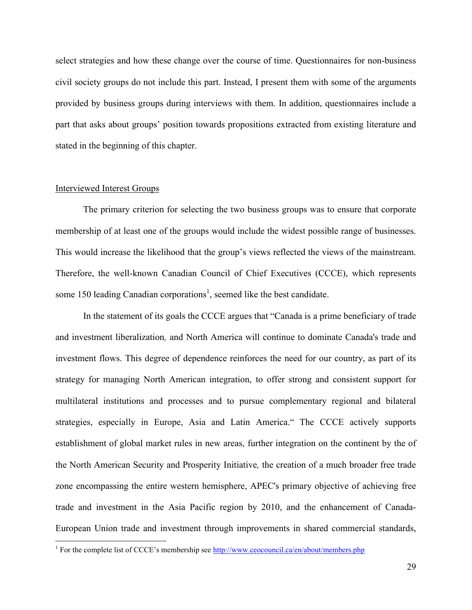select strategies and how these change over the course of time. Questionnaires for non-business civil society groups do not include this part. Instead, I present them with some of the arguments provided by business groups during interviews with them. In addition, questionnaires include a part that asks about groups' position towards propositions extracted from existing literature and stated in the beginning of this chapter.

### Interviewed Interest Groups

1

The primary criterion for selecting the two business groups was to ensure that corporate membership of at least one of the groups would include the widest possible range of businesses. This would increase the likelihood that the group's views reflected the views of the mainstream. Therefore, the well-known Canadian Council of Chief Executives (CCCE), which represents some 150 leading Canadian corporations<sup>1</sup>, seemed like the best candidate.

In the statement of its goals the CCCE argues that "Canada is a prime beneficiary of trade and investment liberalization*,* and North America will continue to dominate Canada's trade and investment flows. This degree of dependence reinforces the need for our country, as part of its strategy for managing North American integration, to offer strong and consistent support for multilateral institutions and processes and to pursue complementary regional and bilateral strategies, especially in Europe, Asia and Latin America." The CCCE actively supports establishment of global market rules in new areas, further integration on the continent by the of the North American Security and Prosperity Initiative*,* the creation of a much broader free trade zone encompassing the entire western hemisphere, APEC's primary objective of achieving free trade and investment in the Asia Pacific region by 2010, and the enhancement of Canada-European Union trade and investment through improvements in shared commercial standards,

<sup>&</sup>lt;sup>1</sup> For the complete list of CCCE's membership see http://www.ceocouncil.ca/en/about/members.php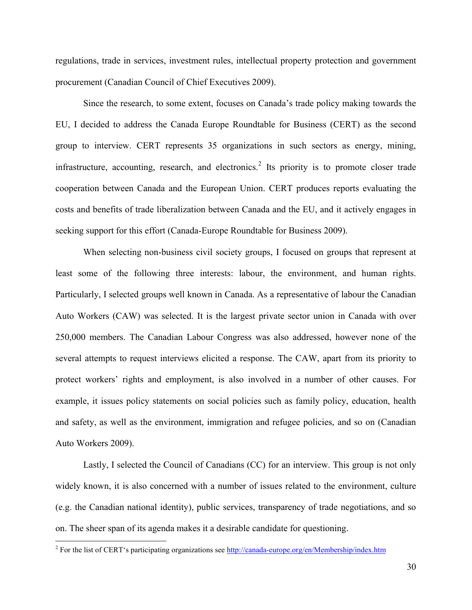regulations, trade in services, investment rules, intellectual property protection and government procurement (Canadian Council of Chief Executives 2009).

Since the research, to some extent, focuses on Canada's trade policy making towards the EU, I decided to address the Canada Europe Roundtable for Business (CERT) as the second group to interview. CERT represents 35 organizations in such sectors as energy, mining, infrastructure, accounting, research, and electronics.<sup>2</sup> Its priority is to promote closer trade cooperation between Canada and the European Union. CERT produces reports evaluating the costs and benefits of trade liberalization between Canada and the EU, and it actively engages in seeking support for this effort (Canada-Europe Roundtable for Business 2009).

When selecting non-business civil society groups, I focused on groups that represent at least some of the following three interests: labour, the environment, and human rights. Particularly, I selected groups well known in Canada. As a representative of labour the Canadian Auto Workers (CAW) was selected. It is the largest private sector union in Canada with over 250,000 members. The Canadian Labour Congress was also addressed, however none of the several attempts to request interviews elicited a response. The CAW, apart from its priority to protect workers' rights and employment, is also involved in a number of other causes. For example, it issues policy statements on social policies such as family policy, education, health and safety, as well as the environment, immigration and refugee policies, and so on (Canadian Auto Workers 2009).

Lastly, I selected the Council of Canadians (CC) for an interview. This group is not only widely known, it is also concerned with a number of issues related to the environment, culture (e.g. the Canadian national identity), public services, transparency of trade negotiations, and so on. The sheer span of its agenda makes it a desirable candidate for questioning.

1

<sup>&</sup>lt;sup>2</sup> For the list of CERT's participating organizations see http://canada-europe.org/en/Membership/index.htm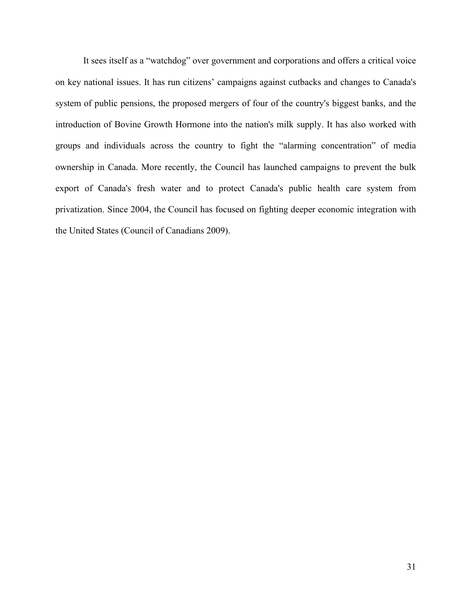It sees itself as a "watchdog" over government and corporations and offers a critical voice on key national issues. It has run citizens' campaigns against cutbacks and changes to Canada's system of public pensions, the proposed mergers of four of the country's biggest banks, and the introduction of Bovine Growth Hormone into the nation's milk supply. It has also worked with groups and individuals across the country to fight the "alarming concentration" of media ownership in Canada. More recently, the Council has launched campaigns to prevent the bulk export of Canada's fresh water and to protect Canada's public health care system from privatization. Since 2004, the Council has focused on fighting deeper economic integration with the United States (Council of Canadians 2009).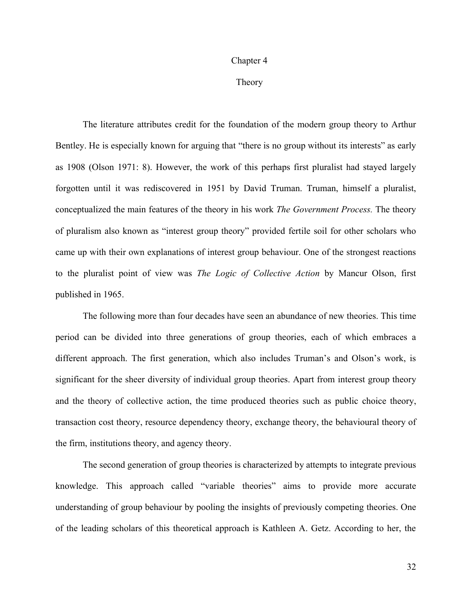#### Chapter 4

Theory

The literature attributes credit for the foundation of the modern group theory to Arthur Bentley. He is especially known for arguing that "there is no group without its interests" as early as 1908 (Olson 1971: 8). However, the work of this perhaps first pluralist had stayed largely forgotten until it was rediscovered in 1951 by David Truman. Truman, himself a pluralist, conceptualized the main features of the theory in his work *The Government Process.* The theory of pluralism also known as "interest group theory" provided fertile soil for other scholars who came up with their own explanations of interest group behaviour. One of the strongest reactions to the pluralist point of view was *The Logic of Collective Action* by Mancur Olson, first published in 1965.

The following more than four decades have seen an abundance of new theories. This time period can be divided into three generations of group theories, each of which embraces a different approach. The first generation, which also includes Truman's and Olson's work, is significant for the sheer diversity of individual group theories. Apart from interest group theory and the theory of collective action, the time produced theories such as public choice theory, transaction cost theory, resource dependency theory, exchange theory, the behavioural theory of the firm, institutions theory, and agency theory.

The second generation of group theories is characterized by attempts to integrate previous knowledge. This approach called "variable theories" aims to provide more accurate understanding of group behaviour by pooling the insights of previously competing theories. One of the leading scholars of this theoretical approach is Kathleen A. Getz. According to her, the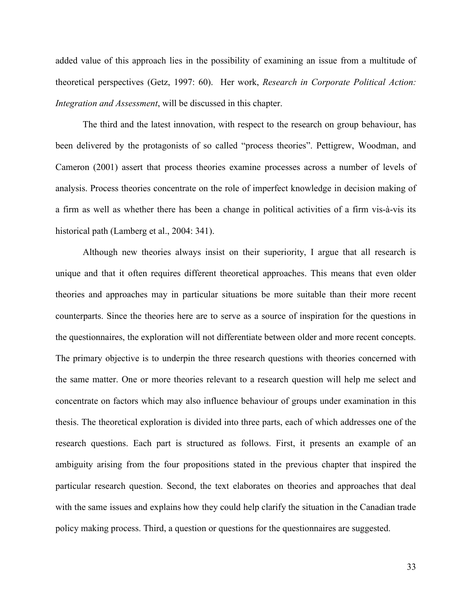added value of this approach lies in the possibility of examining an issue from a multitude of theoretical perspectives (Getz, 1997: 60). Her work, *Research in Corporate Political Action: Integration and Assessment*, will be discussed in this chapter.

The third and the latest innovation, with respect to the research on group behaviour, has been delivered by the protagonists of so called "process theories". Pettigrew, Woodman, and Cameron (2001) assert that process theories examine processes across a number of levels of analysis. Process theories concentrate on the role of imperfect knowledge in decision making of a firm as well as whether there has been a change in political activities of a firm vis-à-vis its historical path (Lamberg et al., 2004: 341).

Although new theories always insist on their superiority, I argue that all research is unique and that it often requires different theoretical approaches. This means that even older theories and approaches may in particular situations be more suitable than their more recent counterparts. Since the theories here are to serve as a source of inspiration for the questions in the questionnaires, the exploration will not differentiate between older and more recent concepts. The primary objective is to underpin the three research questions with theories concerned with the same matter. One or more theories relevant to a research question will help me select and concentrate on factors which may also influence behaviour of groups under examination in this thesis. The theoretical exploration is divided into three parts, each of which addresses one of the research questions. Each part is structured as follows. First, it presents an example of an ambiguity arising from the four propositions stated in the previous chapter that inspired the particular research question. Second, the text elaborates on theories and approaches that deal with the same issues and explains how they could help clarify the situation in the Canadian trade policy making process. Third, a question or questions for the questionnaires are suggested.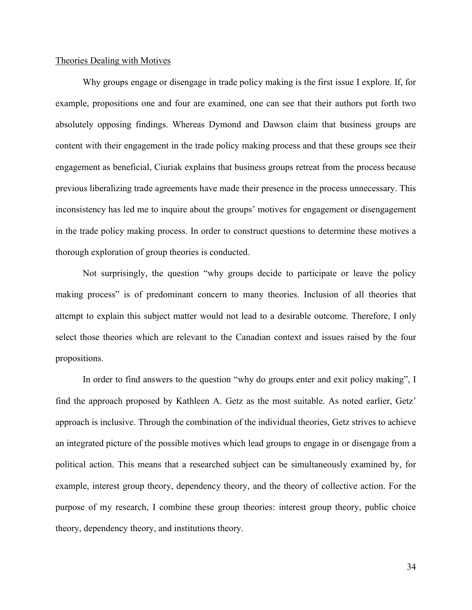### Theories Dealing with Motives

Why groups engage or disengage in trade policy making is the first issue I explore. If, for example, propositions one and four are examined, one can see that their authors put forth two absolutely opposing findings. Whereas Dymond and Dawson claim that business groups are content with their engagement in the trade policy making process and that these groups see their engagement as beneficial, Ciuriak explains that business groups retreat from the process because previous liberalizing trade agreements have made their presence in the process unnecessary. This inconsistency has led me to inquire about the groups' motives for engagement or disengagement in the trade policy making process. In order to construct questions to determine these motives a thorough exploration of group theories is conducted.

Not surprisingly, the question "why groups decide to participate or leave the policy making process" is of predominant concern to many theories. Inclusion of all theories that attempt to explain this subject matter would not lead to a desirable outcome. Therefore, I only select those theories which are relevant to the Canadian context and issues raised by the four propositions.

In order to find answers to the question "why do groups enter and exit policy making", I find the approach proposed by Kathleen A. Getz as the most suitable. As noted earlier, Getz' approach is inclusive. Through the combination of the individual theories, Getz strives to achieve an integrated picture of the possible motives which lead groups to engage in or disengage from a political action. This means that a researched subject can be simultaneously examined by, for example, interest group theory, dependency theory, and the theory of collective action. For the purpose of my research, I combine these group theories: interest group theory, public choice theory, dependency theory, and institutions theory.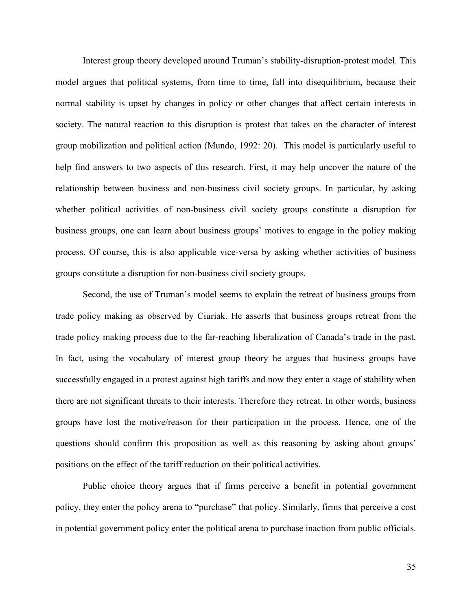Interest group theory developed around Truman's stability-disruption-protest model. This model argues that political systems, from time to time, fall into disequilibrium, because their normal stability is upset by changes in policy or other changes that affect certain interests in society. The natural reaction to this disruption is protest that takes on the character of interest group mobilization and political action (Mundo, 1992: 20). This model is particularly useful to help find answers to two aspects of this research. First, it may help uncover the nature of the relationship between business and non-business civil society groups. In particular, by asking whether political activities of non-business civil society groups constitute a disruption for business groups, one can learn about business groups' motives to engage in the policy making process. Of course, this is also applicable vice-versa by asking whether activities of business groups constitute a disruption for non-business civil society groups.

Second, the use of Truman's model seems to explain the retreat of business groups from trade policy making as observed by Ciuriak. He asserts that business groups retreat from the trade policy making process due to the far-reaching liberalization of Canada's trade in the past. In fact, using the vocabulary of interest group theory he argues that business groups have successfully engaged in a protest against high tariffs and now they enter a stage of stability when there are not significant threats to their interests. Therefore they retreat. In other words, business groups have lost the motive/reason for their participation in the process. Hence, one of the questions should confirm this proposition as well as this reasoning by asking about groups' positions on the effect of the tariff reduction on their political activities.

Public choice theory argues that if firms perceive a benefit in potential government policy, they enter the policy arena to "purchase" that policy. Similarly, firms that perceive a cost in potential government policy enter the political arena to purchase inaction from public officials.

35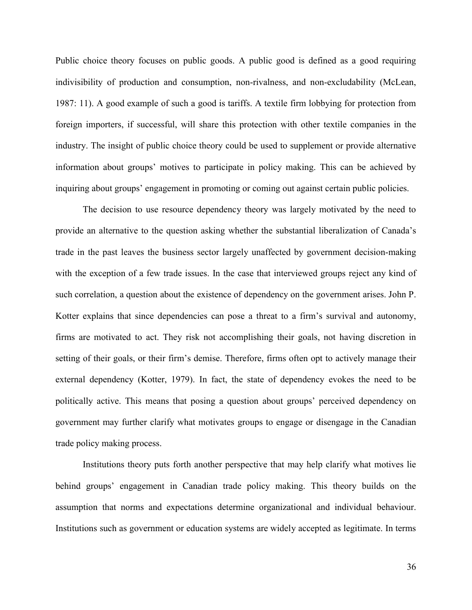Public choice theory focuses on public goods. A public good is defined as a good requiring indivisibility of production and consumption, non-rivalness, and non-excludability (McLean, 1987: 11). A good example of such a good is tariffs. A textile firm lobbying for protection from foreign importers, if successful, will share this protection with other textile companies in the industry. The insight of public choice theory could be used to supplement or provide alternative information about groups' motives to participate in policy making. This can be achieved by inquiring about groups' engagement in promoting or coming out against certain public policies.

The decision to use resource dependency theory was largely motivated by the need to provide an alternative to the question asking whether the substantial liberalization of Canada's trade in the past leaves the business sector largely unaffected by government decision-making with the exception of a few trade issues. In the case that interviewed groups reject any kind of such correlation, a question about the existence of dependency on the government arises. John P. Kotter explains that since dependencies can pose a threat to a firm's survival and autonomy, firms are motivated to act. They risk not accomplishing their goals, not having discretion in setting of their goals, or their firm's demise. Therefore, firms often opt to actively manage their external dependency (Kotter, 1979). In fact, the state of dependency evokes the need to be politically active. This means that posing a question about groups' perceived dependency on government may further clarify what motivates groups to engage or disengage in the Canadian trade policy making process.

Institutions theory puts forth another perspective that may help clarify what motives lie behind groups' engagement in Canadian trade policy making. This theory builds on the assumption that norms and expectations determine organizational and individual behaviour. Institutions such as government or education systems are widely accepted as legitimate. In terms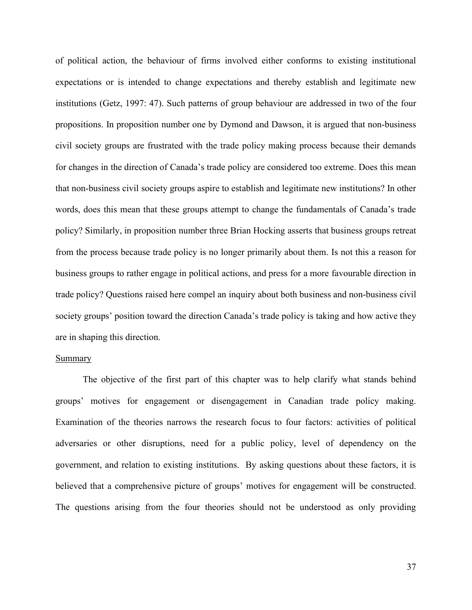of political action, the behaviour of firms involved either conforms to existing institutional expectations or is intended to change expectations and thereby establish and legitimate new institutions (Getz, 1997: 47). Such patterns of group behaviour are addressed in two of the four propositions. In proposition number one by Dymond and Dawson, it is argued that non-business civil society groups are frustrated with the trade policy making process because their demands for changes in the direction of Canada's trade policy are considered too extreme. Does this mean that non-business civil society groups aspire to establish and legitimate new institutions? In other words, does this mean that these groups attempt to change the fundamentals of Canada's trade policy? Similarly, in proposition number three Brian Hocking asserts that business groups retreat from the process because trade policy is no longer primarily about them. Is not this a reason for business groups to rather engage in political actions, and press for a more favourable direction in trade policy? Questions raised here compel an inquiry about both business and non-business civil society groups' position toward the direction Canada's trade policy is taking and how active they are in shaping this direction.

# **Summary**

The objective of the first part of this chapter was to help clarify what stands behind groups' motives for engagement or disengagement in Canadian trade policy making. Examination of the theories narrows the research focus to four factors: activities of political adversaries or other disruptions, need for a public policy, level of dependency on the government, and relation to existing institutions. By asking questions about these factors, it is believed that a comprehensive picture of groups' motives for engagement will be constructed. The questions arising from the four theories should not be understood as only providing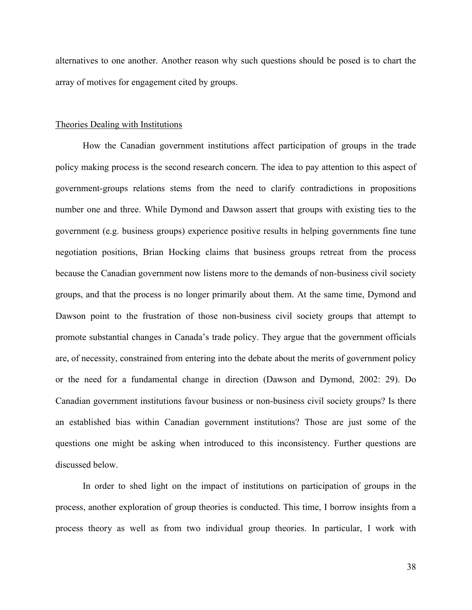alternatives to one another. Another reason why such questions should be posed is to chart the array of motives for engagement cited by groups.

## Theories Dealing with Institutions

How the Canadian government institutions affect participation of groups in the trade policy making process is the second research concern. The idea to pay attention to this aspect of government-groups relations stems from the need to clarify contradictions in propositions number one and three. While Dymond and Dawson assert that groups with existing ties to the government (e.g. business groups) experience positive results in helping governments fine tune negotiation positions, Brian Hocking claims that business groups retreat from the process because the Canadian government now listens more to the demands of non-business civil society groups, and that the process is no longer primarily about them. At the same time, Dymond and Dawson point to the frustration of those non-business civil society groups that attempt to promote substantial changes in Canada's trade policy. They argue that the government officials are, of necessity, constrained from entering into the debate about the merits of government policy or the need for a fundamental change in direction (Dawson and Dymond, 2002: 29). Do Canadian government institutions favour business or non-business civil society groups? Is there an established bias within Canadian government institutions? Those are just some of the questions one might be asking when introduced to this inconsistency. Further questions are discussed below.

In order to shed light on the impact of institutions on participation of groups in the process, another exploration of group theories is conducted. This time, I borrow insights from a process theory as well as from two individual group theories. In particular, I work with

38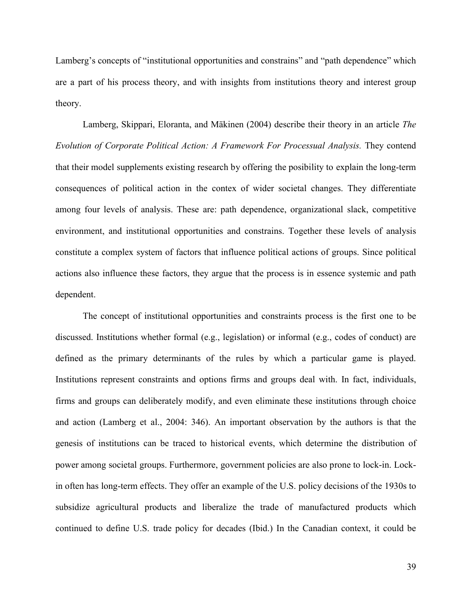Lamberg's concepts of "institutional opportunities and constrains" and "path dependence" which are a part of his process theory, and with insights from institutions theory and interest group theory.

Lamberg, Skippari, Eloranta, and Mäkinen (2004) describe their theory in an article *The Evolution of Corporate Political Action: A Framework For Processual Analysis.* They contend that their model supplements existing research by offering the posibility to explain the long-term consequences of political action in the contex of wider societal changes. They differentiate among four levels of analysis. These are: path dependence, organizational slack, competitive environment, and institutional opportunities and constrains. Together these levels of analysis constitute a complex system of factors that influence political actions of groups. Since political actions also influence these factors, they argue that the process is in essence systemic and path dependent.

The concept of institutional opportunities and constraints process is the first one to be discussed. Institutions whether formal (e.g., legislation) or informal (e.g., codes of conduct) are defined as the primary determinants of the rules by which a particular game is played. Institutions represent constraints and options firms and groups deal with. In fact, individuals, firms and groups can deliberately modify, and even eliminate these institutions through choice and action (Lamberg et al., 2004: 346). An important observation by the authors is that the genesis of institutions can be traced to historical events, which determine the distribution of power among societal groups. Furthermore, government policies are also prone to lock-in. Lockin often has long-term effects. They offer an example of the U.S. policy decisions of the 1930s to subsidize agricultural products and liberalize the trade of manufactured products which continued to define U.S. trade policy for decades (Ibid.) In the Canadian context, it could be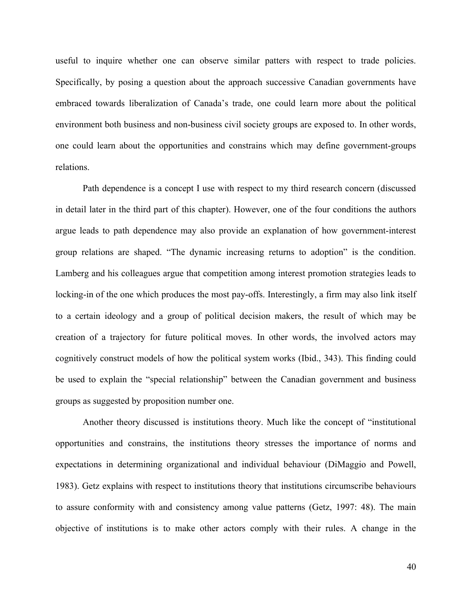useful to inquire whether one can observe similar patters with respect to trade policies. Specifically, by posing a question about the approach successive Canadian governments have embraced towards liberalization of Canada's trade, one could learn more about the political environment both business and non-business civil society groups are exposed to. In other words, one could learn about the opportunities and constrains which may define government-groups relations.

Path dependence is a concept I use with respect to my third research concern (discussed in detail later in the third part of this chapter). However, one of the four conditions the authors argue leads to path dependence may also provide an explanation of how government-interest group relations are shaped. "The dynamic increasing returns to adoption" is the condition. Lamberg and his colleagues argue that competition among interest promotion strategies leads to locking-in of the one which produces the most pay-offs. Interestingly, a firm may also link itself to a certain ideology and a group of political decision makers, the result of which may be creation of a trajectory for future political moves. In other words, the involved actors may cognitively construct models of how the political system works (Ibid., 343). This finding could be used to explain the "special relationship" between the Canadian government and business groups as suggested by proposition number one.

Another theory discussed is institutions theory. Much like the concept of "institutional opportunities and constrains, the institutions theory stresses the importance of norms and expectations in determining organizational and individual behaviour (DiMaggio and Powell, 1983). Getz explains with respect to institutions theory that institutions circumscribe behaviours to assure conformity with and consistency among value patterns (Getz, 1997: 48). The main objective of institutions is to make other actors comply with their rules. A change in the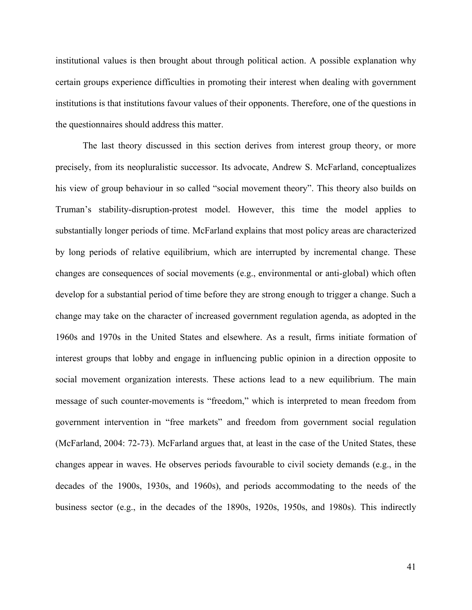institutional values is then brought about through political action. A possible explanation why certain groups experience difficulties in promoting their interest when dealing with government institutions is that institutions favour values of their opponents. Therefore, one of the questions in the questionnaires should address this matter.

The last theory discussed in this section derives from interest group theory, or more precisely, from its neopluralistic successor. Its advocate, Andrew S. McFarland, conceptualizes his view of group behaviour in so called "social movement theory". This theory also builds on Truman's stability-disruption-protest model. However, this time the model applies to substantially longer periods of time. McFarland explains that most policy areas are characterized by long periods of relative equilibrium, which are interrupted by incremental change. These changes are consequences of social movements (e.g., environmental or anti-global) which often develop for a substantial period of time before they are strong enough to trigger a change. Such a change may take on the character of increased government regulation agenda, as adopted in the 1960s and 1970s in the United States and elsewhere. As a result, firms initiate formation of interest groups that lobby and engage in influencing public opinion in a direction opposite to social movement organization interests. These actions lead to a new equilibrium. The main message of such counter-movements is "freedom," which is interpreted to mean freedom from government intervention in "free markets" and freedom from government social regulation (McFarland, 2004: 72-73). McFarland argues that, at least in the case of the United States, these changes appear in waves. He observes periods favourable to civil society demands (e.g., in the decades of the 1900s, 1930s, and 1960s), and periods accommodating to the needs of the business sector (e.g., in the decades of the 1890s, 1920s, 1950s, and 1980s). This indirectly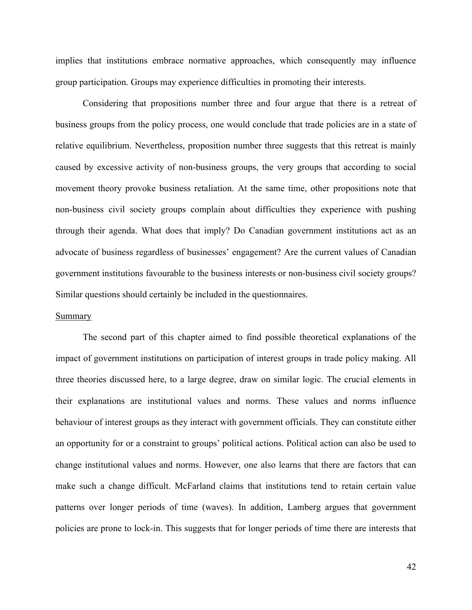implies that institutions embrace normative approaches, which consequently may influence group participation. Groups may experience difficulties in promoting their interests.

Considering that propositions number three and four argue that there is a retreat of business groups from the policy process, one would conclude that trade policies are in a state of relative equilibrium. Nevertheless, proposition number three suggests that this retreat is mainly caused by excessive activity of non-business groups, the very groups that according to social movement theory provoke business retaliation. At the same time, other propositions note that non-business civil society groups complain about difficulties they experience with pushing through their agenda. What does that imply? Do Canadian government institutions act as an advocate of business regardless of businesses' engagement? Are the current values of Canadian government institutions favourable to the business interests or non-business civil society groups? Similar questions should certainly be included in the questionnaires.

#### Summary

The second part of this chapter aimed to find possible theoretical explanations of the impact of government institutions on participation of interest groups in trade policy making. All three theories discussed here, to a large degree, draw on similar logic. The crucial elements in their explanations are institutional values and norms. These values and norms influence behaviour of interest groups as they interact with government officials. They can constitute either an opportunity for or a constraint to groups' political actions. Political action can also be used to change institutional values and norms. However, one also learns that there are factors that can make such a change difficult. McFarland claims that institutions tend to retain certain value patterns over longer periods of time (waves). In addition, Lamberg argues that government policies are prone to lock-in. This suggests that for longer periods of time there are interests that

42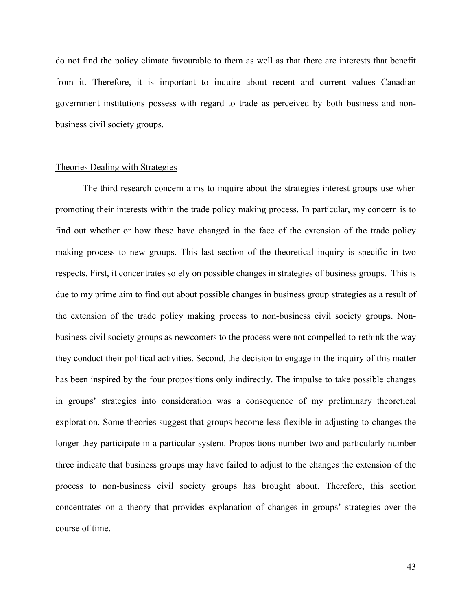do not find the policy climate favourable to them as well as that there are interests that benefit from it. Therefore, it is important to inquire about recent and current values Canadian government institutions possess with regard to trade as perceived by both business and nonbusiness civil society groups.

# Theories Dealing with Strategies

The third research concern aims to inquire about the strategies interest groups use when promoting their interests within the trade policy making process. In particular, my concern is to find out whether or how these have changed in the face of the extension of the trade policy making process to new groups. This last section of the theoretical inquiry is specific in two respects. First, it concentrates solely on possible changes in strategies of business groups. This is due to my prime aim to find out about possible changes in business group strategies as a result of the extension of the trade policy making process to non-business civil society groups. Nonbusiness civil society groups as newcomers to the process were not compelled to rethink the way they conduct their political activities. Second, the decision to engage in the inquiry of this matter has been inspired by the four propositions only indirectly. The impulse to take possible changes in groups' strategies into consideration was a consequence of my preliminary theoretical exploration. Some theories suggest that groups become less flexible in adjusting to changes the longer they participate in a particular system. Propositions number two and particularly number three indicate that business groups may have failed to adjust to the changes the extension of the process to non-business civil society groups has brought about. Therefore, this section concentrates on a theory that provides explanation of changes in groups' strategies over the course of time.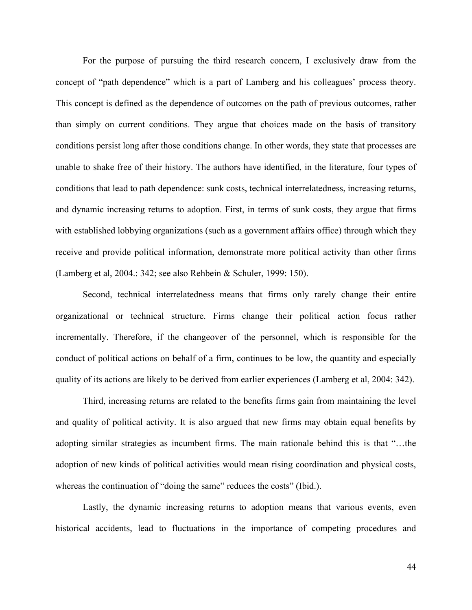For the purpose of pursuing the third research concern, I exclusively draw from the concept of "path dependence" which is a part of Lamberg and his colleagues' process theory. This concept is defined as the dependence of outcomes on the path of previous outcomes, rather than simply on current conditions. They argue that choices made on the basis of transitory conditions persist long after those conditions change. In other words, they state that processes are unable to shake free of their history. The authors have identified, in the literature, four types of conditions that lead to path dependence: sunk costs, technical interrelatedness, increasing returns, and dynamic increasing returns to adoption. First, in terms of sunk costs, they argue that firms with established lobbying organizations (such as a government affairs office) through which they receive and provide political information, demonstrate more political activity than other firms (Lamberg et al, 2004.: 342; see also Rehbein & Schuler, 1999: 150).

Second, technical interrelatedness means that firms only rarely change their entire organizational or technical structure. Firms change their political action focus rather incrementally. Therefore, if the changeover of the personnel, which is responsible for the conduct of political actions on behalf of a firm, continues to be low, the quantity and especially quality of its actions are likely to be derived from earlier experiences (Lamberg et al, 2004: 342).

Third, increasing returns are related to the benefits firms gain from maintaining the level and quality of political activity. It is also argued that new firms may obtain equal benefits by adopting similar strategies as incumbent firms. The main rationale behind this is that "…the adoption of new kinds of political activities would mean rising coordination and physical costs, whereas the continuation of "doing the same" reduces the costs" (Ibid.).

Lastly, the dynamic increasing returns to adoption means that various events, even historical accidents, lead to fluctuations in the importance of competing procedures and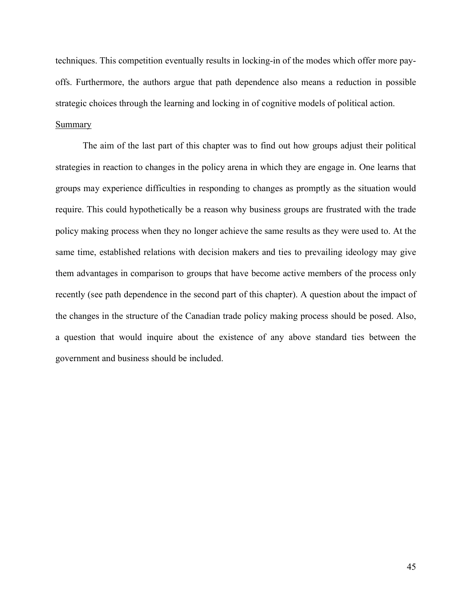techniques. This competition eventually results in locking-in of the modes which offer more payoffs. Furthermore, the authors argue that path dependence also means a reduction in possible strategic choices through the learning and locking in of cognitive models of political action. Summary

The aim of the last part of this chapter was to find out how groups adjust their political strategies in reaction to changes in the policy arena in which they are engage in. One learns that groups may experience difficulties in responding to changes as promptly as the situation would require. This could hypothetically be a reason why business groups are frustrated with the trade policy making process when they no longer achieve the same results as they were used to. At the same time, established relations with decision makers and ties to prevailing ideology may give them advantages in comparison to groups that have become active members of the process only recently (see path dependence in the second part of this chapter). A question about the impact of the changes in the structure of the Canadian trade policy making process should be posed. Also, a question that would inquire about the existence of any above standard ties between the government and business should be included.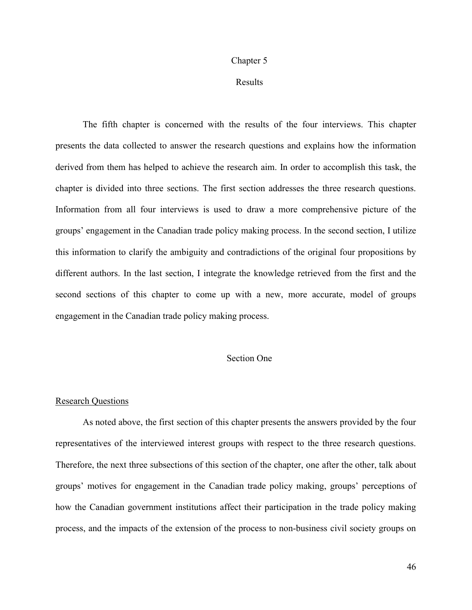#### Chapter 5

# Results

The fifth chapter is concerned with the results of the four interviews. This chapter presents the data collected to answer the research questions and explains how the information derived from them has helped to achieve the research aim. In order to accomplish this task, the chapter is divided into three sections. The first section addresses the three research questions. Information from all four interviews is used to draw a more comprehensive picture of the groups' engagement in the Canadian trade policy making process. In the second section, I utilize this information to clarify the ambiguity and contradictions of the original four propositions by different authors. In the last section, I integrate the knowledge retrieved from the first and the second sections of this chapter to come up with a new, more accurate, model of groups engagement in the Canadian trade policy making process.

# Section One

#### Research Questions

As noted above, the first section of this chapter presents the answers provided by the four representatives of the interviewed interest groups with respect to the three research questions. Therefore, the next three subsections of this section of the chapter, one after the other, talk about groups' motives for engagement in the Canadian trade policy making, groups' perceptions of how the Canadian government institutions affect their participation in the trade policy making process, and the impacts of the extension of the process to non-business civil society groups on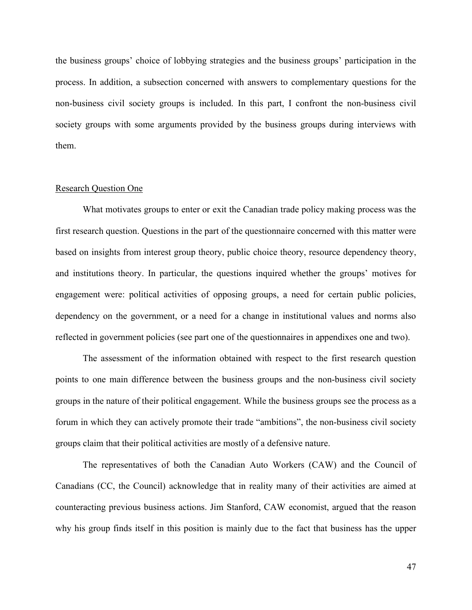the business groups' choice of lobbying strategies and the business groups' participation in the process. In addition, a subsection concerned with answers to complementary questions for the non-business civil society groups is included. In this part, I confront the non-business civil society groups with some arguments provided by the business groups during interviews with them.

# Research Question One

What motivates groups to enter or exit the Canadian trade policy making process was the first research question. Questions in the part of the questionnaire concerned with this matter were based on insights from interest group theory, public choice theory, resource dependency theory, and institutions theory. In particular, the questions inquired whether the groups' motives for engagement were: political activities of opposing groups, a need for certain public policies, dependency on the government, or a need for a change in institutional values and norms also reflected in government policies (see part one of the questionnaires in appendixes one and two).

The assessment of the information obtained with respect to the first research question points to one main difference between the business groups and the non-business civil society groups in the nature of their political engagement. While the business groups see the process as a forum in which they can actively promote their trade "ambitions", the non-business civil society groups claim that their political activities are mostly of a defensive nature.

The representatives of both the Canadian Auto Workers (CAW) and the Council of Canadians (CC, the Council) acknowledge that in reality many of their activities are aimed at counteracting previous business actions. Jim Stanford, CAW economist, argued that the reason why his group finds itself in this position is mainly due to the fact that business has the upper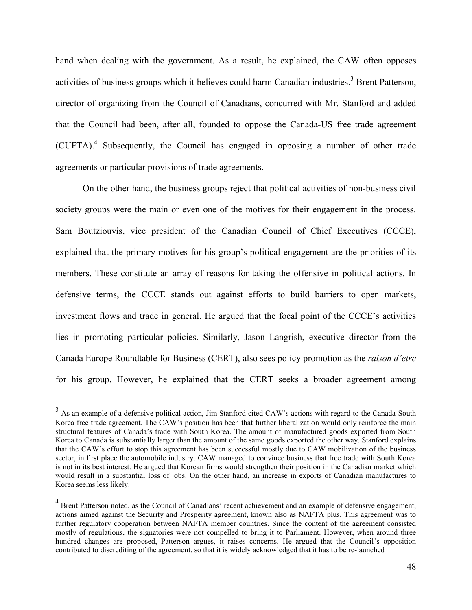hand when dealing with the government. As a result, he explained, the CAW often opposes activities of business groups which it believes could harm Canadian industries.<sup>3</sup> Brent Patterson, director of organizing from the Council of Canadians, concurred with Mr. Stanford and added that the Council had been, after all, founded to oppose the Canada-US free trade agreement (CUFTA).4 Subsequently, the Council has engaged in opposing a number of other trade agreements or particular provisions of trade agreements.

On the other hand, the business groups reject that political activities of non-business civil society groups were the main or even one of the motives for their engagement in the process. Sam Boutziouvis, vice president of the Canadian Council of Chief Executives (CCCE), explained that the primary motives for his group's political engagement are the priorities of its members. These constitute an array of reasons for taking the offensive in political actions. In defensive terms, the CCCE stands out against efforts to build barriers to open markets, investment flows and trade in general. He argued that the focal point of the CCCE's activities lies in promoting particular policies. Similarly, Jason Langrish, executive director from the Canada Europe Roundtable for Business (CERT), also sees policy promotion as the *raison d'etre*  for his group. However, he explained that the CERT seeks a broader agreement among

 $\overline{a}$ 

 $3$  As an example of a defensive political action, Jim Stanford cited CAW's actions with regard to the Canada-South Korea free trade agreement. The CAW's position has been that further liberalization would only reinforce the main structural features of Canada's trade with South Korea. The amount of manufactured goods exported from South Korea to Canada is substantially larger than the amount of the same goods exported the other way. Stanford explains that the CAW's effort to stop this agreement has been successful mostly due to CAW mobilization of the business sector, in first place the automobile industry. CAW managed to convince business that free trade with South Korea is not in its best interest. He argued that Korean firms would strengthen their position in the Canadian market which would result in a substantial loss of jobs. On the other hand, an increase in exports of Canadian manufactures to Korea seems less likely.

<sup>&</sup>lt;sup>4</sup> Brent Patterson noted, as the Council of Canadians' recent achievement and an example of defensive engagement, actions aimed against the Security and Prosperity agreement, known also as NAFTA plus. This agreement was to further regulatory cooperation between NAFTA member countries. Since the content of the agreement consisted mostly of regulations, the signatories were not compelled to bring it to Parliament. However, when around three hundred changes are proposed, Patterson argues, it raises concerns. He argued that the Council's opposition contributed to discrediting of the agreement, so that it is widely acknowledged that it has to be re-launched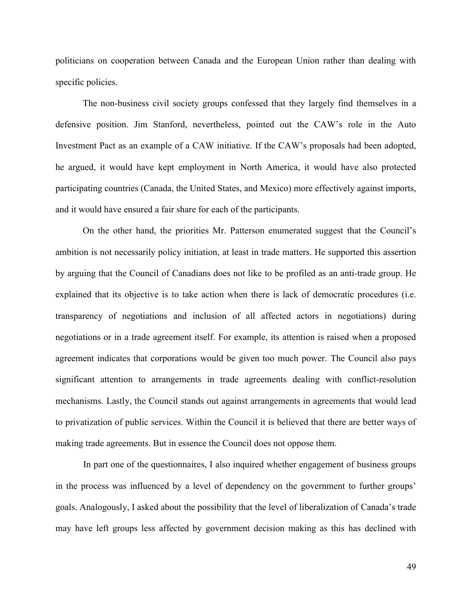politicians on cooperation between Canada and the European Union rather than dealing with specific policies.

The non-business civil society groups confessed that they largely find themselves in a defensive position. Jim Stanford, nevertheless, pointed out the CAW's role in the Auto Investment Pact as an example of a CAW initiative. If the CAW's proposals had been adopted, he argued, it would have kept employment in North America, it would have also protected participating countries (Canada, the United States, and Mexico) more effectively against imports, and it would have ensured a fair share for each of the participants.

On the other hand, the priorities Mr. Patterson enumerated suggest that the Council's ambition is not necessarily policy initiation, at least in trade matters. He supported this assertion by arguing that the Council of Canadians does not like to be profiled as an anti-trade group. He explained that its objective is to take action when there is lack of democratic procedures (i.e. transparency of negotiations and inclusion of all affected actors in negotiations) during negotiations or in a trade agreement itself. For example, its attention is raised when a proposed agreement indicates that corporations would be given too much power. The Council also pays significant attention to arrangements in trade agreements dealing with conflict-resolution mechanisms. Lastly, the Council stands out against arrangements in agreements that would lead to privatization of public services. Within the Council it is believed that there are better ways of making trade agreements. But in essence the Council does not oppose them.

In part one of the questionnaires, I also inquired whether engagement of business groups in the process was influenced by a level of dependency on the government to further groups' goals. Analogously, I asked about the possibility that the level of liberalization of Canada's trade may have left groups less affected by government decision making as this has declined with

49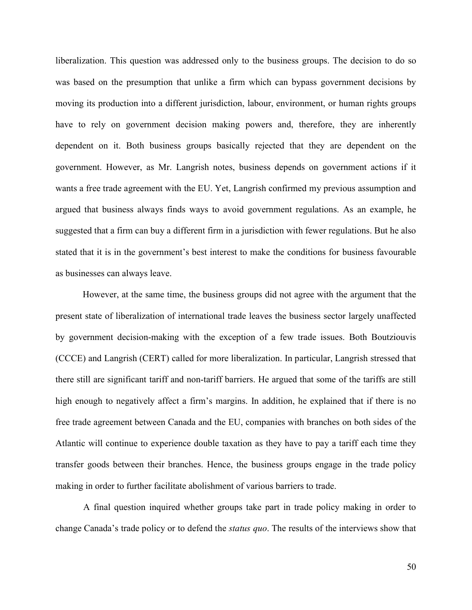liberalization. This question was addressed only to the business groups. The decision to do so was based on the presumption that unlike a firm which can bypass government decisions by moving its production into a different jurisdiction, labour, environment, or human rights groups have to rely on government decision making powers and, therefore, they are inherently dependent on it. Both business groups basically rejected that they are dependent on the government. However, as Mr. Langrish notes, business depends on government actions if it wants a free trade agreement with the EU. Yet, Langrish confirmed my previous assumption and argued that business always finds ways to avoid government regulations. As an example, he suggested that a firm can buy a different firm in a jurisdiction with fewer regulations. But he also stated that it is in the government's best interest to make the conditions for business favourable as businesses can always leave.

However, at the same time, the business groups did not agree with the argument that the present state of liberalization of international trade leaves the business sector largely unaffected by government decision-making with the exception of a few trade issues. Both Boutziouvis (CCCE) and Langrish (CERT) called for more liberalization. In particular, Langrish stressed that there still are significant tariff and non-tariff barriers. He argued that some of the tariffs are still high enough to negatively affect a firm's margins. In addition, he explained that if there is no free trade agreement between Canada and the EU, companies with branches on both sides of the Atlantic will continue to experience double taxation as they have to pay a tariff each time they transfer goods between their branches. Hence, the business groups engage in the trade policy making in order to further facilitate abolishment of various barriers to trade.

A final question inquired whether groups take part in trade policy making in order to change Canada's trade policy or to defend the *status quo*. The results of the interviews show that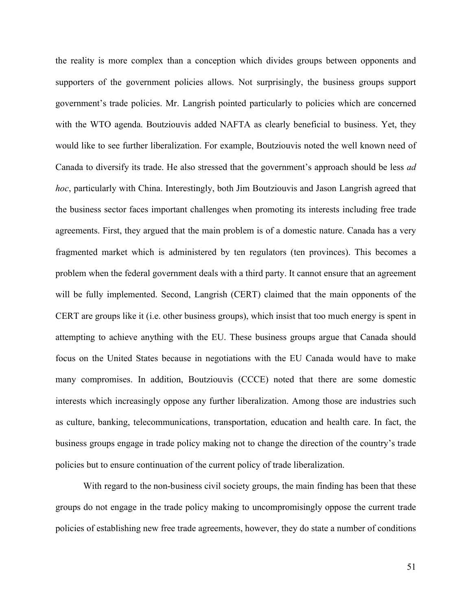the reality is more complex than a conception which divides groups between opponents and supporters of the government policies allows. Not surprisingly, the business groups support government's trade policies. Mr. Langrish pointed particularly to policies which are concerned with the WTO agenda. Boutziouvis added NAFTA as clearly beneficial to business. Yet, they would like to see further liberalization. For example, Boutziouvis noted the well known need of Canada to diversify its trade. He also stressed that the government's approach should be less *ad hoc*, particularly with China. Interestingly, both Jim Boutziouvis and Jason Langrish agreed that the business sector faces important challenges when promoting its interests including free trade agreements. First, they argued that the main problem is of a domestic nature. Canada has a very fragmented market which is administered by ten regulators (ten provinces). This becomes a problem when the federal government deals with a third party. It cannot ensure that an agreement will be fully implemented. Second, Langrish (CERT) claimed that the main opponents of the CERT are groups like it (i.e. other business groups), which insist that too much energy is spent in attempting to achieve anything with the EU. These business groups argue that Canada should focus on the United States because in negotiations with the EU Canada would have to make many compromises. In addition, Boutziouvis (CCCE) noted that there are some domestic interests which increasingly oppose any further liberalization. Among those are industries such as culture, banking, telecommunications, transportation, education and health care. In fact, the business groups engage in trade policy making not to change the direction of the country's trade policies but to ensure continuation of the current policy of trade liberalization.

With regard to the non-business civil society groups, the main finding has been that these groups do not engage in the trade policy making to uncompromisingly oppose the current trade policies of establishing new free trade agreements, however, they do state a number of conditions

51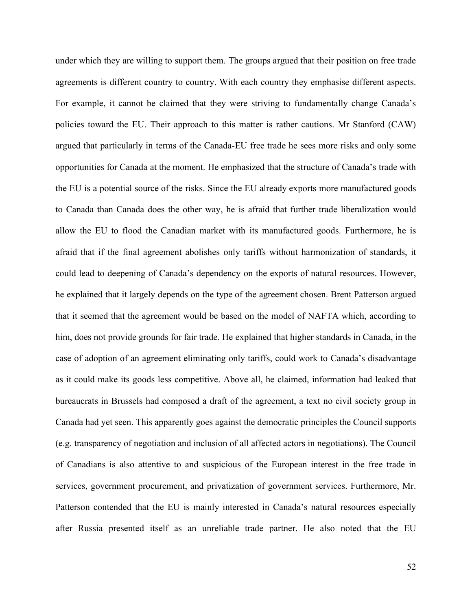under which they are willing to support them. The groups argued that their position on free trade agreements is different country to country. With each country they emphasise different aspects. For example, it cannot be claimed that they were striving to fundamentally change Canada's policies toward the EU. Their approach to this matter is rather cautions. Mr Stanford (CAW) argued that particularly in terms of the Canada-EU free trade he sees more risks and only some opportunities for Canada at the moment. He emphasized that the structure of Canada's trade with the EU is a potential source of the risks. Since the EU already exports more manufactured goods to Canada than Canada does the other way, he is afraid that further trade liberalization would allow the EU to flood the Canadian market with its manufactured goods. Furthermore, he is afraid that if the final agreement abolishes only tariffs without harmonization of standards, it could lead to deepening of Canada's dependency on the exports of natural resources. However, he explained that it largely depends on the type of the agreement chosen. Brent Patterson argued that it seemed that the agreement would be based on the model of NAFTA which, according to him, does not provide grounds for fair trade. He explained that higher standards in Canada, in the case of adoption of an agreement eliminating only tariffs, could work to Canada's disadvantage as it could make its goods less competitive. Above all, he claimed, information had leaked that bureaucrats in Brussels had composed a draft of the agreement, a text no civil society group in Canada had yet seen. This apparently goes against the democratic principles the Council supports (e.g. transparency of negotiation and inclusion of all affected actors in negotiations). The Council of Canadians is also attentive to and suspicious of the European interest in the free trade in services, government procurement, and privatization of government services. Furthermore, Mr. Patterson contended that the EU is mainly interested in Canada's natural resources especially after Russia presented itself as an unreliable trade partner. He also noted that the EU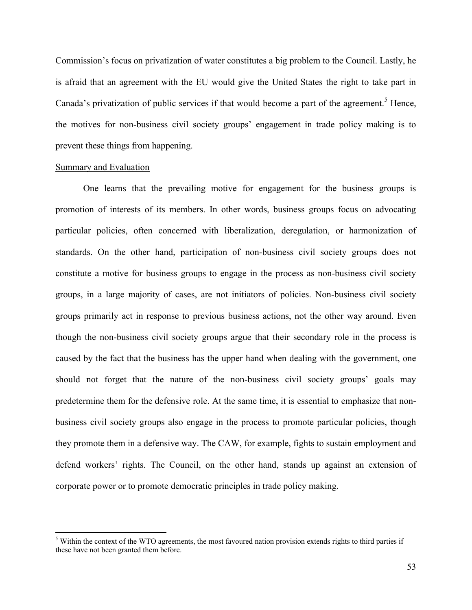Commission's focus on privatization of water constitutes a big problem to the Council. Lastly, he is afraid that an agreement with the EU would give the United States the right to take part in Canada's privatization of public services if that would become a part of the agreement.<sup>5</sup> Hence, the motives for non-business civil society groups' engagement in trade policy making is to prevent these things from happening.

#### Summary and Evaluation

 $\overline{a}$ 

One learns that the prevailing motive for engagement for the business groups is promotion of interests of its members. In other words, business groups focus on advocating particular policies, often concerned with liberalization, deregulation, or harmonization of standards. On the other hand, participation of non-business civil society groups does not constitute a motive for business groups to engage in the process as non-business civil society groups, in a large majority of cases, are not initiators of policies. Non-business civil society groups primarily act in response to previous business actions, not the other way around. Even though the non-business civil society groups argue that their secondary role in the process is caused by the fact that the business has the upper hand when dealing with the government, one should not forget that the nature of the non-business civil society groups' goals may predetermine them for the defensive role. At the same time, it is essential to emphasize that nonbusiness civil society groups also engage in the process to promote particular policies, though they promote them in a defensive way. The CAW, for example, fights to sustain employment and defend workers' rights. The Council, on the other hand, stands up against an extension of corporate power or to promote democratic principles in trade policy making.

<sup>&</sup>lt;sup>5</sup> Within the context of the WTO agreements, the most favoured nation provision extends rights to third parties if these have not been granted them before.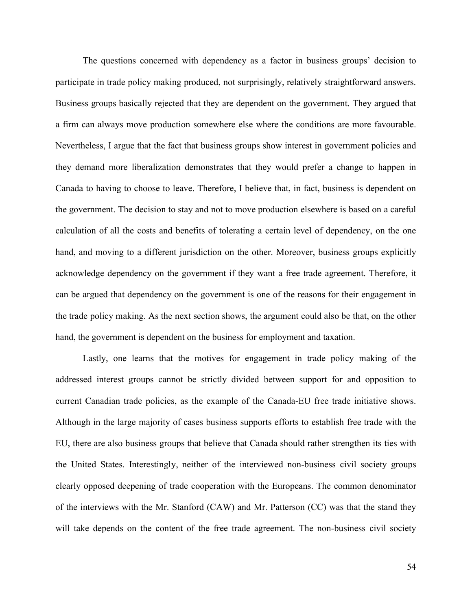The questions concerned with dependency as a factor in business groups' decision to participate in trade policy making produced, not surprisingly, relatively straightforward answers. Business groups basically rejected that they are dependent on the government. They argued that a firm can always move production somewhere else where the conditions are more favourable. Nevertheless, I argue that the fact that business groups show interest in government policies and they demand more liberalization demonstrates that they would prefer a change to happen in Canada to having to choose to leave. Therefore, I believe that, in fact, business is dependent on the government. The decision to stay and not to move production elsewhere is based on a careful calculation of all the costs and benefits of tolerating a certain level of dependency, on the one hand, and moving to a different jurisdiction on the other. Moreover, business groups explicitly acknowledge dependency on the government if they want a free trade agreement. Therefore, it can be argued that dependency on the government is one of the reasons for their engagement in the trade policy making. As the next section shows, the argument could also be that, on the other hand, the government is dependent on the business for employment and taxation.

Lastly, one learns that the motives for engagement in trade policy making of the addressed interest groups cannot be strictly divided between support for and opposition to current Canadian trade policies, as the example of the Canada-EU free trade initiative shows. Although in the large majority of cases business supports efforts to establish free trade with the EU, there are also business groups that believe that Canada should rather strengthen its ties with the United States. Interestingly, neither of the interviewed non-business civil society groups clearly opposed deepening of trade cooperation with the Europeans. The common denominator of the interviews with the Mr. Stanford (CAW) and Mr. Patterson (CC) was that the stand they will take depends on the content of the free trade agreement. The non-business civil society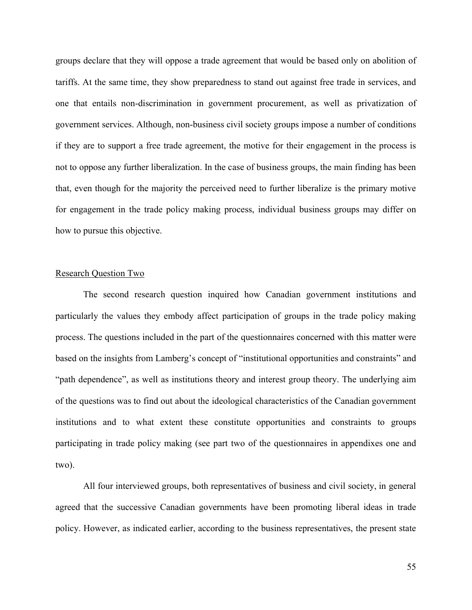groups declare that they will oppose a trade agreement that would be based only on abolition of tariffs. At the same time, they show preparedness to stand out against free trade in services, and one that entails non-discrimination in government procurement, as well as privatization of government services. Although, non-business civil society groups impose a number of conditions if they are to support a free trade agreement, the motive for their engagement in the process is not to oppose any further liberalization. In the case of business groups, the main finding has been that, even though for the majority the perceived need to further liberalize is the primary motive for engagement in the trade policy making process, individual business groups may differ on how to pursue this objective.

# Research Question Two

The second research question inquired how Canadian government institutions and particularly the values they embody affect participation of groups in the trade policy making process. The questions included in the part of the questionnaires concerned with this matter were based on the insights from Lamberg's concept of "institutional opportunities and constraints" and "path dependence", as well as institutions theory and interest group theory. The underlying aim of the questions was to find out about the ideological characteristics of the Canadian government institutions and to what extent these constitute opportunities and constraints to groups participating in trade policy making (see part two of the questionnaires in appendixes one and two).

All four interviewed groups, both representatives of business and civil society, in general agreed that the successive Canadian governments have been promoting liberal ideas in trade policy. However, as indicated earlier, according to the business representatives, the present state

55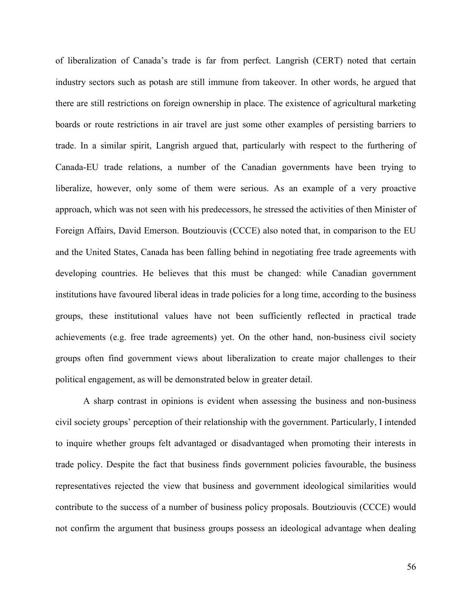of liberalization of Canada's trade is far from perfect. Langrish (CERT) noted that certain industry sectors such as potash are still immune from takeover. In other words, he argued that there are still restrictions on foreign ownership in place. The existence of agricultural marketing boards or route restrictions in air travel are just some other examples of persisting barriers to trade. In a similar spirit, Langrish argued that, particularly with respect to the furthering of Canada-EU trade relations, a number of the Canadian governments have been trying to liberalize, however, only some of them were serious. As an example of a very proactive approach, which was not seen with his predecessors, he stressed the activities of then Minister of Foreign Affairs, David Emerson. Boutziouvis (CCCE) also noted that, in comparison to the EU and the United States, Canada has been falling behind in negotiating free trade agreements with developing countries. He believes that this must be changed: while Canadian government institutions have favoured liberal ideas in trade policies for a long time, according to the business groups, these institutional values have not been sufficiently reflected in practical trade achievements (e.g. free trade agreements) yet. On the other hand, non-business civil society groups often find government views about liberalization to create major challenges to their political engagement, as will be demonstrated below in greater detail.

A sharp contrast in opinions is evident when assessing the business and non-business civil society groups' perception of their relationship with the government. Particularly, I intended to inquire whether groups felt advantaged or disadvantaged when promoting their interests in trade policy. Despite the fact that business finds government policies favourable, the business representatives rejected the view that business and government ideological similarities would contribute to the success of a number of business policy proposals. Boutziouvis (CCCE) would not confirm the argument that business groups possess an ideological advantage when dealing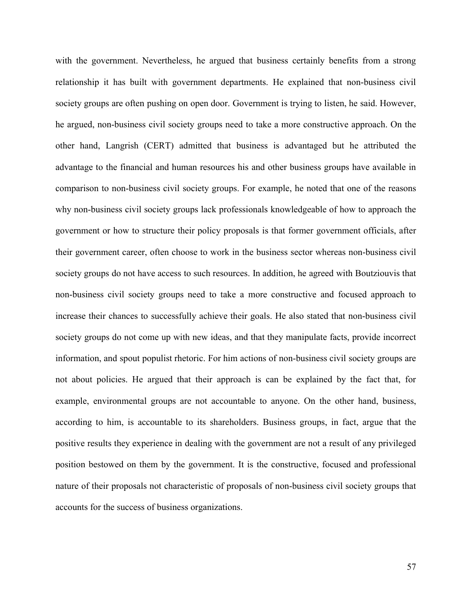with the government. Nevertheless, he argued that business certainly benefits from a strong relationship it has built with government departments. He explained that non-business civil society groups are often pushing on open door. Government is trying to listen, he said. However, he argued, non-business civil society groups need to take a more constructive approach. On the other hand, Langrish (CERT) admitted that business is advantaged but he attributed the advantage to the financial and human resources his and other business groups have available in comparison to non-business civil society groups. For example, he noted that one of the reasons why non-business civil society groups lack professionals knowledgeable of how to approach the government or how to structure their policy proposals is that former government officials, after their government career, often choose to work in the business sector whereas non-business civil society groups do not have access to such resources. In addition, he agreed with Boutziouvis that non-business civil society groups need to take a more constructive and focused approach to increase their chances to successfully achieve their goals. He also stated that non-business civil society groups do not come up with new ideas, and that they manipulate facts, provide incorrect information, and spout populist rhetoric. For him actions of non-business civil society groups are not about policies. He argued that their approach is can be explained by the fact that, for example, environmental groups are not accountable to anyone. On the other hand, business, according to him, is accountable to its shareholders. Business groups, in fact, argue that the positive results they experience in dealing with the government are not a result of any privileged position bestowed on them by the government. It is the constructive, focused and professional nature of their proposals not characteristic of proposals of non-business civil society groups that accounts for the success of business organizations.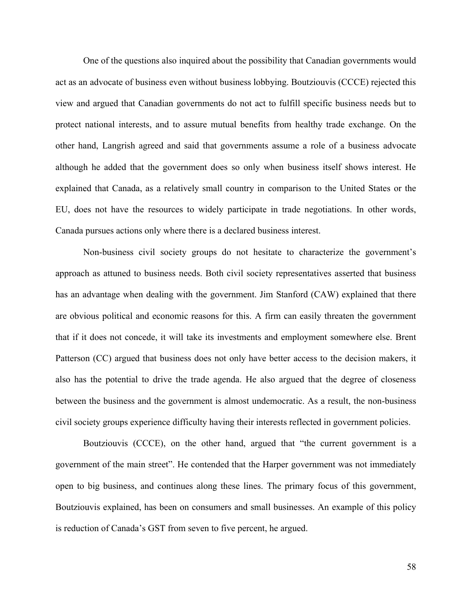One of the questions also inquired about the possibility that Canadian governments would act as an advocate of business even without business lobbying. Boutziouvis (CCCE) rejected this view and argued that Canadian governments do not act to fulfill specific business needs but to protect national interests, and to assure mutual benefits from healthy trade exchange. On the other hand, Langrish agreed and said that governments assume a role of a business advocate although he added that the government does so only when business itself shows interest. He explained that Canada, as a relatively small country in comparison to the United States or the EU, does not have the resources to widely participate in trade negotiations. In other words, Canada pursues actions only where there is a declared business interest.

Non-business civil society groups do not hesitate to characterize the government's approach as attuned to business needs. Both civil society representatives asserted that business has an advantage when dealing with the government. Jim Stanford (CAW) explained that there are obvious political and economic reasons for this. A firm can easily threaten the government that if it does not concede, it will take its investments and employment somewhere else. Brent Patterson (CC) argued that business does not only have better access to the decision makers, it also has the potential to drive the trade agenda. He also argued that the degree of closeness between the business and the government is almost undemocratic. As a result, the non-business civil society groups experience difficulty having their interests reflected in government policies.

Boutziouvis (CCCE), on the other hand, argued that "the current government is a government of the main street". He contended that the Harper government was not immediately open to big business, and continues along these lines. The primary focus of this government, Boutziouvis explained, has been on consumers and small businesses. An example of this policy is reduction of Canada's GST from seven to five percent, he argued.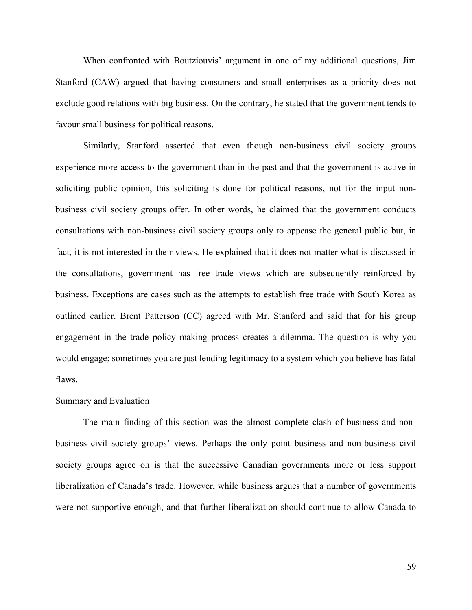When confronted with Boutziouvis' argument in one of my additional questions, Jim Stanford (CAW) argued that having consumers and small enterprises as a priority does not exclude good relations with big business. On the contrary, he stated that the government tends to favour small business for political reasons.

Similarly, Stanford asserted that even though non-business civil society groups experience more access to the government than in the past and that the government is active in soliciting public opinion, this soliciting is done for political reasons, not for the input nonbusiness civil society groups offer. In other words, he claimed that the government conducts consultations with non-business civil society groups only to appease the general public but, in fact, it is not interested in their views. He explained that it does not matter what is discussed in the consultations, government has free trade views which are subsequently reinforced by business. Exceptions are cases such as the attempts to establish free trade with South Korea as outlined earlier. Brent Patterson (CC) agreed with Mr. Stanford and said that for his group engagement in the trade policy making process creates a dilemma. The question is why you would engage; sometimes you are just lending legitimacy to a system which you believe has fatal flaws.

#### Summary and Evaluation

The main finding of this section was the almost complete clash of business and nonbusiness civil society groups' views. Perhaps the only point business and non-business civil society groups agree on is that the successive Canadian governments more or less support liberalization of Canada's trade. However, while business argues that a number of governments were not supportive enough, and that further liberalization should continue to allow Canada to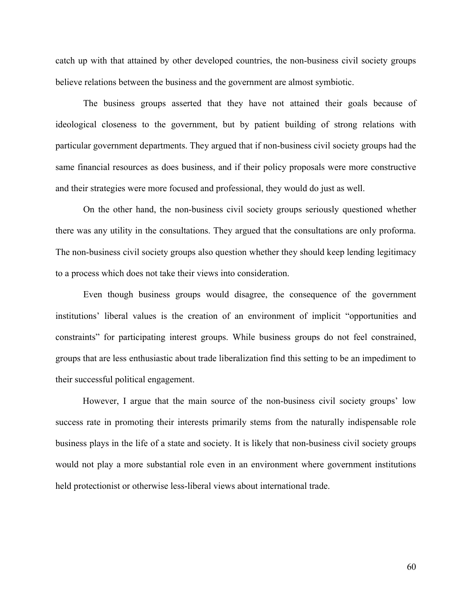catch up with that attained by other developed countries, the non-business civil society groups believe relations between the business and the government are almost symbiotic.

The business groups asserted that they have not attained their goals because of ideological closeness to the government, but by patient building of strong relations with particular government departments. They argued that if non-business civil society groups had the same financial resources as does business, and if their policy proposals were more constructive and their strategies were more focused and professional, they would do just as well.

On the other hand, the non-business civil society groups seriously questioned whether there was any utility in the consultations. They argued that the consultations are only proforma. The non-business civil society groups also question whether they should keep lending legitimacy to a process which does not take their views into consideration.

Even though business groups would disagree, the consequence of the government institutions' liberal values is the creation of an environment of implicit "opportunities and constraints" for participating interest groups. While business groups do not feel constrained, groups that are less enthusiastic about trade liberalization find this setting to be an impediment to their successful political engagement.

However, I argue that the main source of the non-business civil society groups' low success rate in promoting their interests primarily stems from the naturally indispensable role business plays in the life of a state and society. It is likely that non-business civil society groups would not play a more substantial role even in an environment where government institutions held protectionist or otherwise less-liberal views about international trade.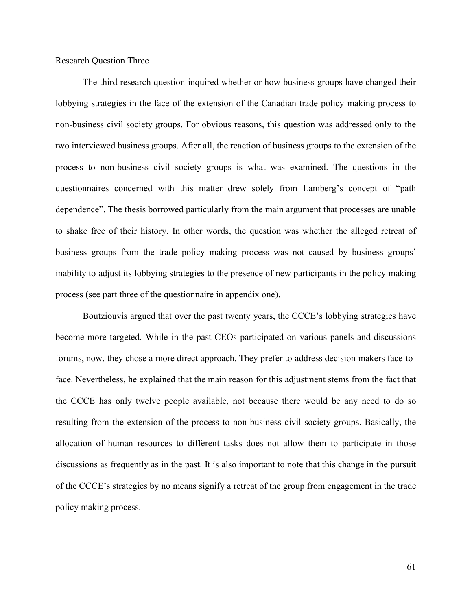# Research Question Three

The third research question inquired whether or how business groups have changed their lobbying strategies in the face of the extension of the Canadian trade policy making process to non-business civil society groups. For obvious reasons, this question was addressed only to the two interviewed business groups. After all, the reaction of business groups to the extension of the process to non-business civil society groups is what was examined. The questions in the questionnaires concerned with this matter drew solely from Lamberg's concept of "path dependence". The thesis borrowed particularly from the main argument that processes are unable to shake free of their history. In other words, the question was whether the alleged retreat of business groups from the trade policy making process was not caused by business groups' inability to adjust its lobbying strategies to the presence of new participants in the policy making process (see part three of the questionnaire in appendix one).

Boutziouvis argued that over the past twenty years, the CCCE's lobbying strategies have become more targeted. While in the past CEOs participated on various panels and discussions forums, now, they chose a more direct approach. They prefer to address decision makers face-toface. Nevertheless, he explained that the main reason for this adjustment stems from the fact that the CCCE has only twelve people available, not because there would be any need to do so resulting from the extension of the process to non-business civil society groups. Basically, the allocation of human resources to different tasks does not allow them to participate in those discussions as frequently as in the past. It is also important to note that this change in the pursuit of the CCCE's strategies by no means signify a retreat of the group from engagement in the trade policy making process.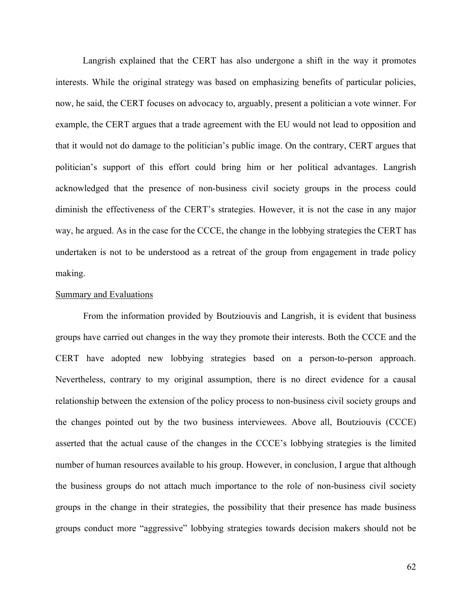Langrish explained that the CERT has also undergone a shift in the way it promotes interests. While the original strategy was based on emphasizing benefits of particular policies, now, he said, the CERT focuses on advocacy to, arguably, present a politician a vote winner. For example, the CERT argues that a trade agreement with the EU would not lead to opposition and that it would not do damage to the politician's public image. On the contrary, CERT argues that politician's support of this effort could bring him or her political advantages. Langrish acknowledged that the presence of non-business civil society groups in the process could diminish the effectiveness of the CERT's strategies. However, it is not the case in any major way, he argued. As in the case for the CCCE, the change in the lobbying strategies the CERT has undertaken is not to be understood as a retreat of the group from engagement in trade policy making.

#### Summary and Evaluations

From the information provided by Boutziouvis and Langrish, it is evident that business groups have carried out changes in the way they promote their interests. Both the CCCE and the CERT have adopted new lobbying strategies based on a person-to-person approach. Nevertheless, contrary to my original assumption, there is no direct evidence for a causal relationship between the extension of the policy process to non-business civil society groups and the changes pointed out by the two business interviewees. Above all, Boutziouvis (CCCE) asserted that the actual cause of the changes in the CCCE's lobbying strategies is the limited number of human resources available to his group. However, in conclusion, I argue that although the business groups do not attach much importance to the role of non-business civil society groups in the change in their strategies, the possibility that their presence has made business groups conduct more "aggressive" lobbying strategies towards decision makers should not be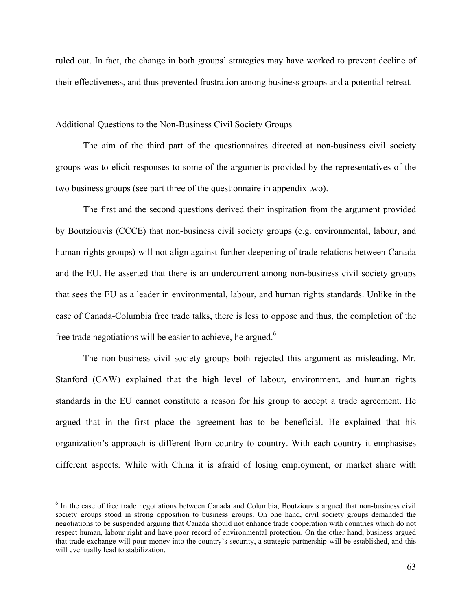ruled out. In fact, the change in both groups' strategies may have worked to prevent decline of their effectiveness, and thus prevented frustration among business groups and a potential retreat.

# Additional Questions to the Non-Business Civil Society Groups

The aim of the third part of the questionnaires directed at non-business civil society groups was to elicit responses to some of the arguments provided by the representatives of the two business groups (see part three of the questionnaire in appendix two).

The first and the second questions derived their inspiration from the argument provided by Boutziouvis (CCCE) that non-business civil society groups (e.g. environmental, labour, and human rights groups) will not align against further deepening of trade relations between Canada and the EU. He asserted that there is an undercurrent among non-business civil society groups that sees the EU as a leader in environmental, labour, and human rights standards. Unlike in the case of Canada-Columbia free trade talks, there is less to oppose and thus, the completion of the free trade negotiations will be easier to achieve, he argued.<sup>6</sup>

The non-business civil society groups both rejected this argument as misleading. Mr. Stanford (CAW) explained that the high level of labour, environment, and human rights standards in the EU cannot constitute a reason for his group to accept a trade agreement. He argued that in the first place the agreement has to be beneficial. He explained that his organization's approach is different from country to country. With each country it emphasises different aspects. While with China it is afraid of losing employment, or market share with

 $\overline{a}$ 

<sup>6</sup> In the case of free trade negotiations between Canada and Columbia, Boutziouvis argued that non-business civil society groups stood in strong opposition to business groups. On one hand, civil society groups demanded the negotiations to be suspended arguing that Canada should not enhance trade cooperation with countries which do not respect human, labour right and have poor record of environmental protection. On the other hand, business argued that trade exchange will pour money into the country's security, a strategic partnership will be established, and this will eventually lead to stabilization.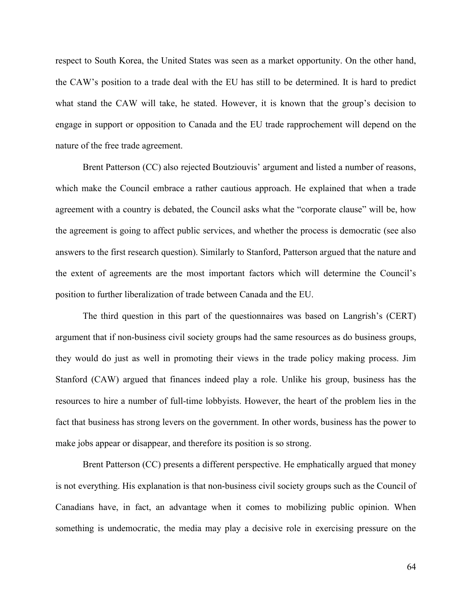respect to South Korea, the United States was seen as a market opportunity. On the other hand, the CAW's position to a trade deal with the EU has still to be determined. It is hard to predict what stand the CAW will take, he stated. However, it is known that the group's decision to engage in support or opposition to Canada and the EU trade rapprochement will depend on the nature of the free trade agreement.

Brent Patterson (CC) also rejected Boutziouvis' argument and listed a number of reasons, which make the Council embrace a rather cautious approach. He explained that when a trade agreement with a country is debated, the Council asks what the "corporate clause" will be, how the agreement is going to affect public services, and whether the process is democratic (see also answers to the first research question). Similarly to Stanford, Patterson argued that the nature and the extent of agreements are the most important factors which will determine the Council's position to further liberalization of trade between Canada and the EU.

The third question in this part of the questionnaires was based on Langrish's (CERT) argument that if non-business civil society groups had the same resources as do business groups, they would do just as well in promoting their views in the trade policy making process. Jim Stanford (CAW) argued that finances indeed play a role. Unlike his group, business has the resources to hire a number of full-time lobbyists. However, the heart of the problem lies in the fact that business has strong levers on the government. In other words, business has the power to make jobs appear or disappear, and therefore its position is so strong.

Brent Patterson (CC) presents a different perspective. He emphatically argued that money is not everything. His explanation is that non-business civil society groups such as the Council of Canadians have, in fact, an advantage when it comes to mobilizing public opinion. When something is undemocratic, the media may play a decisive role in exercising pressure on the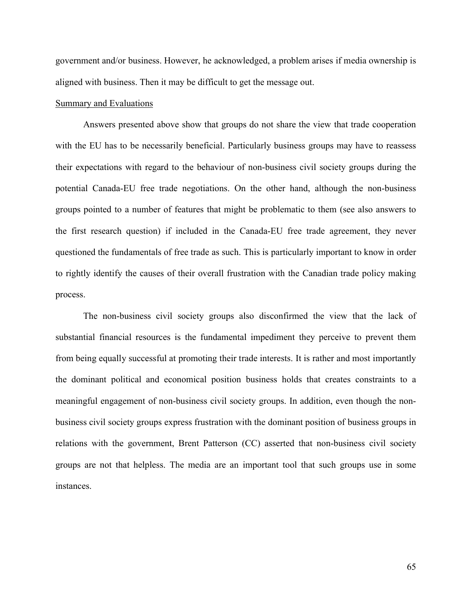government and/or business. However, he acknowledged, a problem arises if media ownership is aligned with business. Then it may be difficult to get the message out.

### Summary and Evaluations

Answers presented above show that groups do not share the view that trade cooperation with the EU has to be necessarily beneficial. Particularly business groups may have to reassess their expectations with regard to the behaviour of non-business civil society groups during the potential Canada-EU free trade negotiations. On the other hand, although the non-business groups pointed to a number of features that might be problematic to them (see also answers to the first research question) if included in the Canada-EU free trade agreement, they never questioned the fundamentals of free trade as such. This is particularly important to know in order to rightly identify the causes of their overall frustration with the Canadian trade policy making process.

The non-business civil society groups also disconfirmed the view that the lack of substantial financial resources is the fundamental impediment they perceive to prevent them from being equally successful at promoting their trade interests. It is rather and most importantly the dominant political and economical position business holds that creates constraints to a meaningful engagement of non-business civil society groups. In addition, even though the nonbusiness civil society groups express frustration with the dominant position of business groups in relations with the government, Brent Patterson (CC) asserted that non-business civil society groups are not that helpless. The media are an important tool that such groups use in some instances.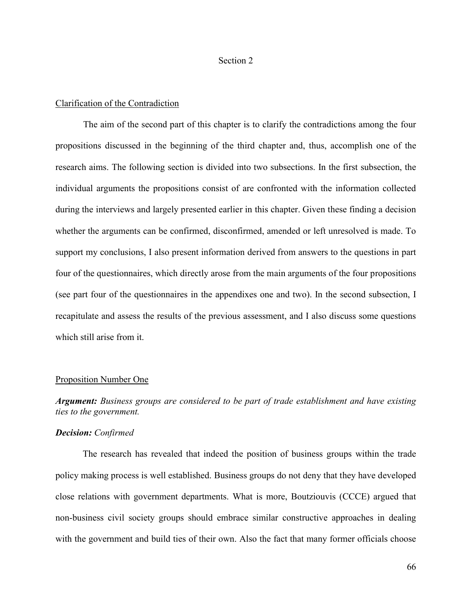#### Section 2

## Clarification of the Contradiction

The aim of the second part of this chapter is to clarify the contradictions among the four propositions discussed in the beginning of the third chapter and, thus, accomplish one of the research aims. The following section is divided into two subsections. In the first subsection, the individual arguments the propositions consist of are confronted with the information collected during the interviews and largely presented earlier in this chapter. Given these finding a decision whether the arguments can be confirmed, disconfirmed, amended or left unresolved is made. To support my conclusions, I also present information derived from answers to the questions in part four of the questionnaires, which directly arose from the main arguments of the four propositions (see part four of the questionnaires in the appendixes one and two). In the second subsection, I recapitulate and assess the results of the previous assessment, and I also discuss some questions which still arise from it.

## Proposition Number One

# *Argument: Business groups are considered to be part of trade establishment and have existing ties to the government.*

# *Decision: Confirmed*

The research has revealed that indeed the position of business groups within the trade policy making process is well established. Business groups do not deny that they have developed close relations with government departments. What is more, Boutziouvis (CCCE) argued that non-business civil society groups should embrace similar constructive approaches in dealing with the government and build ties of their own. Also the fact that many former officials choose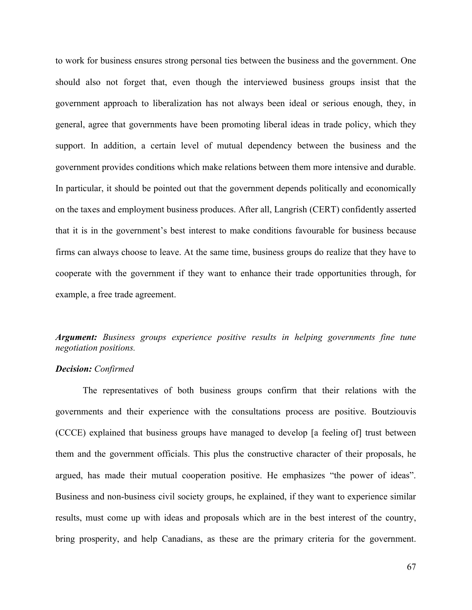to work for business ensures strong personal ties between the business and the government. One should also not forget that, even though the interviewed business groups insist that the government approach to liberalization has not always been ideal or serious enough, they, in general, agree that governments have been promoting liberal ideas in trade policy, which they support. In addition, a certain level of mutual dependency between the business and the government provides conditions which make relations between them more intensive and durable. In particular, it should be pointed out that the government depends politically and economically on the taxes and employment business produces. After all, Langrish (CERT) confidently asserted that it is in the government's best interest to make conditions favourable for business because firms can always choose to leave. At the same time, business groups do realize that they have to cooperate with the government if they want to enhance their trade opportunities through, for example, a free trade agreement.

# *Argument: Business groups experience positive results in helping governments fine tune negotiation positions.*

## *Decision: Confirmed*

The representatives of both business groups confirm that their relations with the governments and their experience with the consultations process are positive. Boutziouvis (CCCE) explained that business groups have managed to develop [a feeling of] trust between them and the government officials. This plus the constructive character of their proposals, he argued, has made their mutual cooperation positive. He emphasizes "the power of ideas". Business and non-business civil society groups, he explained, if they want to experience similar results, must come up with ideas and proposals which are in the best interest of the country, bring prosperity, and help Canadians, as these are the primary criteria for the government.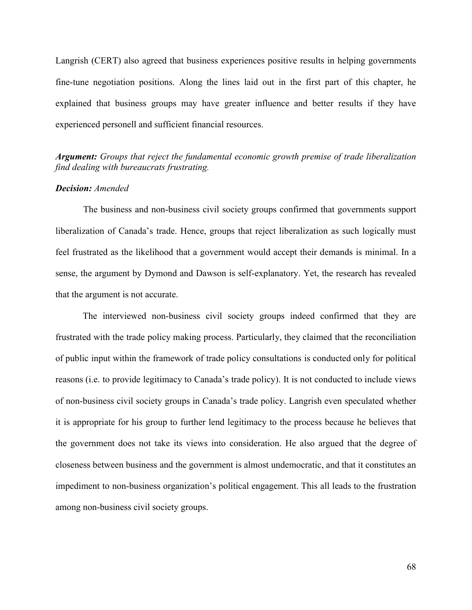Langrish (CERT) also agreed that business experiences positive results in helping governments fine-tune negotiation positions. Along the lines laid out in the first part of this chapter, he explained that business groups may have greater influence and better results if they have experienced personell and sufficient financial resources.

# *Argument: Groups that reject the fundamental economic growth premise of trade liberalization find dealing with bureaucrats frustrating.*

## *Decision: Amended*

The business and non-business civil society groups confirmed that governments support liberalization of Canada's trade. Hence, groups that reject liberalization as such logically must feel frustrated as the likelihood that a government would accept their demands is minimal. In a sense, the argument by Dymond and Dawson is self-explanatory. Yet, the research has revealed that the argument is not accurate.

The interviewed non-business civil society groups indeed confirmed that they are frustrated with the trade policy making process. Particularly, they claimed that the reconciliation of public input within the framework of trade policy consultations is conducted only for political reasons (i.e. to provide legitimacy to Canada's trade policy). It is not conducted to include views of non-business civil society groups in Canada's trade policy. Langrish even speculated whether it is appropriate for his group to further lend legitimacy to the process because he believes that the government does not take its views into consideration. He also argued that the degree of closeness between business and the government is almost undemocratic, and that it constitutes an impediment to non-business organization's political engagement. This all leads to the frustration among non-business civil society groups.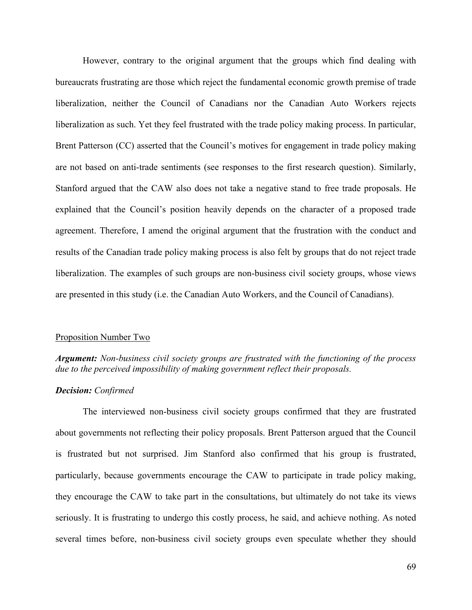However, contrary to the original argument that the groups which find dealing with bureaucrats frustrating are those which reject the fundamental economic growth premise of trade liberalization, neither the Council of Canadians nor the Canadian Auto Workers rejects liberalization as such. Yet they feel frustrated with the trade policy making process. In particular, Brent Patterson (CC) asserted that the Council's motives for engagement in trade policy making are not based on anti-trade sentiments (see responses to the first research question). Similarly, Stanford argued that the CAW also does not take a negative stand to free trade proposals. He explained that the Council's position heavily depends on the character of a proposed trade agreement. Therefore, I amend the original argument that the frustration with the conduct and results of the Canadian trade policy making process is also felt by groups that do not reject trade liberalization. The examples of such groups are non-business civil society groups, whose views are presented in this study (i.e. the Canadian Auto Workers, and the Council of Canadians).

#### Proposition Number Two

*Argument: Non-business civil society groups are frustrated with the functioning of the process due to the perceived impossibility of making government reflect their proposals.* 

### *Decision: Confirmed*

The interviewed non-business civil society groups confirmed that they are frustrated about governments not reflecting their policy proposals. Brent Patterson argued that the Council is frustrated but not surprised. Jim Stanford also confirmed that his group is frustrated, particularly, because governments encourage the CAW to participate in trade policy making, they encourage the CAW to take part in the consultations, but ultimately do not take its views seriously. It is frustrating to undergo this costly process, he said, and achieve nothing. As noted several times before, non-business civil society groups even speculate whether they should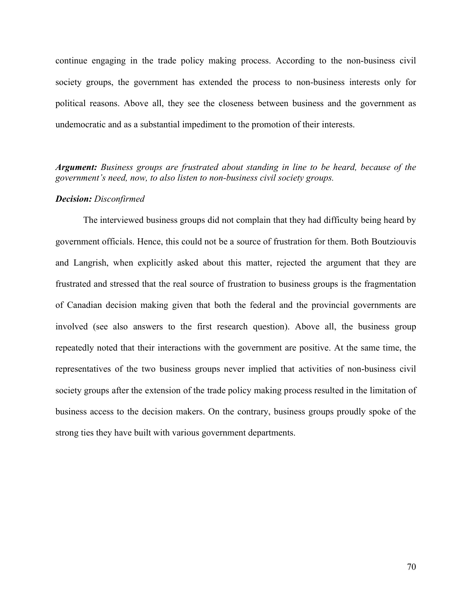continue engaging in the trade policy making process. According to the non-business civil society groups, the government has extended the process to non-business interests only for political reasons. Above all, they see the closeness between business and the government as undemocratic and as a substantial impediment to the promotion of their interests.

*Argument: Business groups are frustrated about standing in line to be heard, because of the government's need, now, to also listen to non-business civil society groups.*

#### *Decision: Disconfirmed*

The interviewed business groups did not complain that they had difficulty being heard by government officials. Hence, this could not be a source of frustration for them. Both Boutziouvis and Langrish, when explicitly asked about this matter, rejected the argument that they are frustrated and stressed that the real source of frustration to business groups is the fragmentation of Canadian decision making given that both the federal and the provincial governments are involved (see also answers to the first research question). Above all, the business group repeatedly noted that their interactions with the government are positive. At the same time, the representatives of the two business groups never implied that activities of non-business civil society groups after the extension of the trade policy making process resulted in the limitation of business access to the decision makers. On the contrary, business groups proudly spoke of the strong ties they have built with various government departments.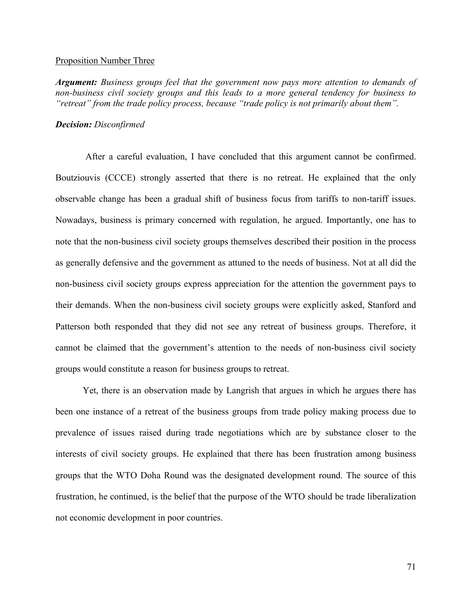#### Proposition Number Three

*Argument: Business groups feel that the government now pays more attention to demands of non-business civil society groups and this leads to a more general tendency for business to "retreat" from the trade policy process, because "trade policy is not primarily about them".*

## *Decision: Disconfirmed*

After a careful evaluation, I have concluded that this argument cannot be confirmed. Boutziouvis (CCCE) strongly asserted that there is no retreat. He explained that the only observable change has been a gradual shift of business focus from tariffs to non-tariff issues. Nowadays, business is primary concerned with regulation, he argued. Importantly, one has to note that the non-business civil society groups themselves described their position in the process as generally defensive and the government as attuned to the needs of business. Not at all did the non-business civil society groups express appreciation for the attention the government pays to their demands. When the non-business civil society groups were explicitly asked, Stanford and Patterson both responded that they did not see any retreat of business groups. Therefore, it cannot be claimed that the government's attention to the needs of non-business civil society groups would constitute a reason for business groups to retreat.

Yet, there is an observation made by Langrish that argues in which he argues there has been one instance of a retreat of the business groups from trade policy making process due to prevalence of issues raised during trade negotiations which are by substance closer to the interests of civil society groups. He explained that there has been frustration among business groups that the WTO Doha Round was the designated development round. The source of this frustration, he continued, is the belief that the purpose of the WTO should be trade liberalization not economic development in poor countries.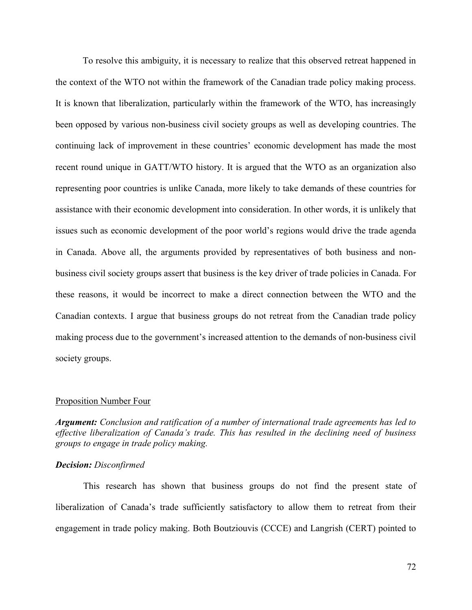To resolve this ambiguity, it is necessary to realize that this observed retreat happened in the context of the WTO not within the framework of the Canadian trade policy making process. It is known that liberalization, particularly within the framework of the WTO, has increasingly been opposed by various non-business civil society groups as well as developing countries. The continuing lack of improvement in these countries' economic development has made the most recent round unique in GATT/WTO history. It is argued that the WTO as an organization also representing poor countries is unlike Canada, more likely to take demands of these countries for assistance with their economic development into consideration. In other words, it is unlikely that issues such as economic development of the poor world's regions would drive the trade agenda in Canada. Above all, the arguments provided by representatives of both business and nonbusiness civil society groups assert that business is the key driver of trade policies in Canada. For these reasons, it would be incorrect to make a direct connection between the WTO and the Canadian contexts. I argue that business groups do not retreat from the Canadian trade policy making process due to the government's increased attention to the demands of non-business civil society groups.

#### Proposition Number Four

*Argument: Conclusion and ratification of a number of international trade agreements has led to effective liberalization of Canada's trade. This has resulted in the declining need of business groups to engage in trade policy making.*

#### *Decision: Disconfirmed*

This research has shown that business groups do not find the present state of liberalization of Canada's trade sufficiently satisfactory to allow them to retreat from their engagement in trade policy making. Both Boutziouvis (CCCE) and Langrish (CERT) pointed to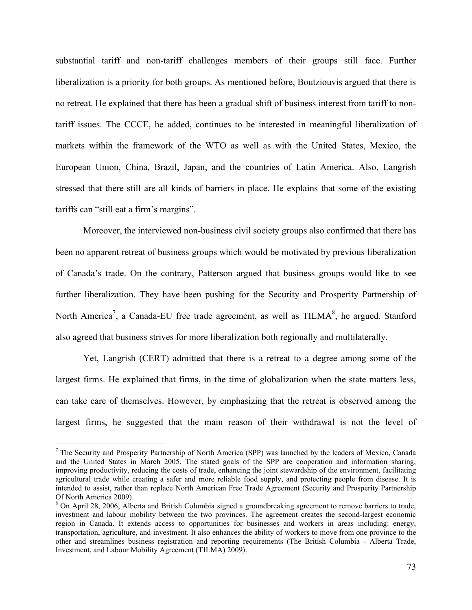substantial tariff and non-tariff challenges members of their groups still face. Further liberalization is a priority for both groups. As mentioned before, Boutziouvis argued that there is no retreat. He explained that there has been a gradual shift of business interest from tariff to nontariff issues. The CCCE, he added, continues to be interested in meaningful liberalization of markets within the framework of the WTO as well as with the United States, Mexico, the European Union, China, Brazil, Japan, and the countries of Latin America. Also, Langrish stressed that there still are all kinds of barriers in place. He explains that some of the existing tariffs can "still eat a firm's margins".

Moreover, the interviewed non-business civil society groups also confirmed that there has been no apparent retreat of business groups which would be motivated by previous liberalization of Canada's trade. On the contrary, Patterson argued that business groups would like to see further liberalization. They have been pushing for the Security and Prosperity Partnership of North America<sup>7</sup>, a Canada-EU free trade agreement, as well as  $THMA^8$ , he argued. Stanford also agreed that business strives for more liberalization both regionally and multilaterally.

Yet, Langrish (CERT) admitted that there is a retreat to a degree among some of the largest firms. He explained that firms, in the time of globalization when the state matters less, can take care of themselves. However, by emphasizing that the retreat is observed among the largest firms, he suggested that the main reason of their withdrawal is not the level of

<u>.</u>

<sup>&</sup>lt;sup>7</sup> The Security and Prosperity Partnership of North America (SPP) was launched by the leaders of Mexico, Canada and the United States in March 2005. The stated goals of the SPP are cooperation and information sharing, improving productivity, reducing the costs of trade, enhancing the joint stewardship of the environment, facilitating agricultural trade while creating a safer and more reliable food supply, and protecting people from disease. It is intended to assist, rather than replace North American Free Trade Agreement (Security and Prosperity Partnership Of North America 2009).

<sup>&</sup>lt;sup>8</sup> On April 28, 2006, Alberta and British Columbia signed a groundbreaking agreement to remove barriers to trade, investment and labour mobility between the two provinces. The agreement creates the second-largest economic region in Canada. It extends access to opportunities for businesses and workers in areas including: energy, transportation, agriculture, and investment. It also enhances the ability of workers to move from one province to the other and streamlines business registration and reporting requirements (The British Columbia - Alberta Trade, Investment, and Labour Mobility Agreement (TILMA) 2009).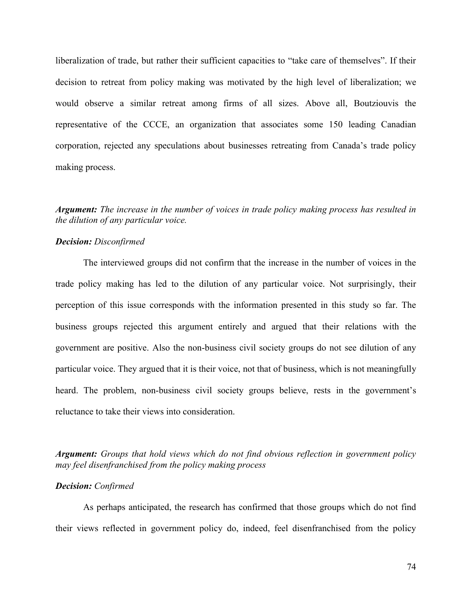liberalization of trade, but rather their sufficient capacities to "take care of themselves". If their decision to retreat from policy making was motivated by the high level of liberalization; we would observe a similar retreat among firms of all sizes. Above all, Boutziouvis the representative of the CCCE, an organization that associates some 150 leading Canadian corporation, rejected any speculations about businesses retreating from Canada's trade policy making process.

## *Argument: The increase in the number of voices in trade policy making process has resulted in the dilution of any particular voice.*

## *Decision: Disconfirmed*

The interviewed groups did not confirm that the increase in the number of voices in the trade policy making has led to the dilution of any particular voice. Not surprisingly, their perception of this issue corresponds with the information presented in this study so far. The business groups rejected this argument entirely and argued that their relations with the government are positive. Also the non-business civil society groups do not see dilution of any particular voice. They argued that it is their voice, not that of business, which is not meaningfully heard. The problem, non-business civil society groups believe, rests in the government's reluctance to take their views into consideration.

*Argument: Groups that hold views which do not find obvious reflection in government policy may feel disenfranchised from the policy making process*

## *Decision: Confirmed*

As perhaps anticipated, the research has confirmed that those groups which do not find their views reflected in government policy do, indeed, feel disenfranchised from the policy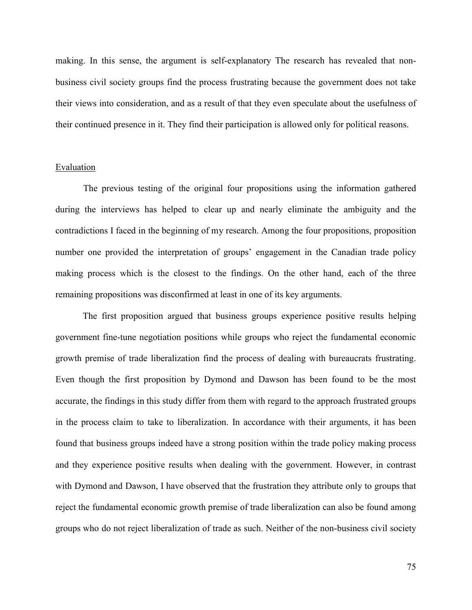making. In this sense, the argument is self-explanatory The research has revealed that nonbusiness civil society groups find the process frustrating because the government does not take their views into consideration, and as a result of that they even speculate about the usefulness of their continued presence in it. They find their participation is allowed only for political reasons.

## Evaluation

The previous testing of the original four propositions using the information gathered during the interviews has helped to clear up and nearly eliminate the ambiguity and the contradictions I faced in the beginning of my research. Among the four propositions, proposition number one provided the interpretation of groups' engagement in the Canadian trade policy making process which is the closest to the findings. On the other hand, each of the three remaining propositions was disconfirmed at least in one of its key arguments.

The first proposition argued that business groups experience positive results helping government fine-tune negotiation positions while groups who reject the fundamental economic growth premise of trade liberalization find the process of dealing with bureaucrats frustrating. Even though the first proposition by Dymond and Dawson has been found to be the most accurate, the findings in this study differ from them with regard to the approach frustrated groups in the process claim to take to liberalization. In accordance with their arguments, it has been found that business groups indeed have a strong position within the trade policy making process and they experience positive results when dealing with the government. However, in contrast with Dymond and Dawson, I have observed that the frustration they attribute only to groups that reject the fundamental economic growth premise of trade liberalization can also be found among groups who do not reject liberalization of trade as such. Neither of the non-business civil society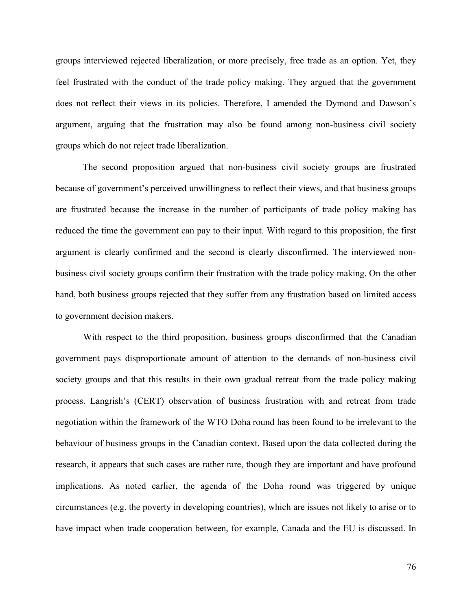groups interviewed rejected liberalization, or more precisely, free trade as an option. Yet, they feel frustrated with the conduct of the trade policy making. They argued that the government does not reflect their views in its policies. Therefore, I amended the Dymond and Dawson's argument, arguing that the frustration may also be found among non-business civil society groups which do not reject trade liberalization.

The second proposition argued that non-business civil society groups are frustrated because of government's perceived unwillingness to reflect their views, and that business groups are frustrated because the increase in the number of participants of trade policy making has reduced the time the government can pay to their input. With regard to this proposition, the first argument is clearly confirmed and the second is clearly disconfirmed. The interviewed nonbusiness civil society groups confirm their frustration with the trade policy making. On the other hand, both business groups rejected that they suffer from any frustration based on limited access to government decision makers.

With respect to the third proposition, business groups disconfirmed that the Canadian government pays disproportionate amount of attention to the demands of non-business civil society groups and that this results in their own gradual retreat from the trade policy making process. Langrish's (CERT) observation of business frustration with and retreat from trade negotiation within the framework of the WTO Doha round has been found to be irrelevant to the behaviour of business groups in the Canadian context. Based upon the data collected during the research, it appears that such cases are rather rare, though they are important and have profound implications. As noted earlier, the agenda of the Doha round was triggered by unique circumstances (e.g. the poverty in developing countries), which are issues not likely to arise or to have impact when trade cooperation between, for example, Canada and the EU is discussed. In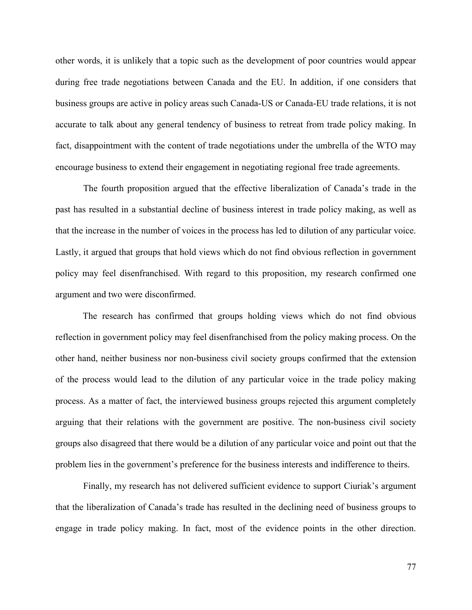other words, it is unlikely that a topic such as the development of poor countries would appear during free trade negotiations between Canada and the EU. In addition, if one considers that business groups are active in policy areas such Canada-US or Canada-EU trade relations, it is not accurate to talk about any general tendency of business to retreat from trade policy making. In fact, disappointment with the content of trade negotiations under the umbrella of the WTO may encourage business to extend their engagement in negotiating regional free trade agreements.

The fourth proposition argued that the effective liberalization of Canada's trade in the past has resulted in a substantial decline of business interest in trade policy making, as well as that the increase in the number of voices in the process has led to dilution of any particular voice. Lastly, it argued that groups that hold views which do not find obvious reflection in government policy may feel disenfranchised. With regard to this proposition, my research confirmed one argument and two were disconfirmed.

The research has confirmed that groups holding views which do not find obvious reflection in government policy may feel disenfranchised from the policy making process. On the other hand, neither business nor non-business civil society groups confirmed that the extension of the process would lead to the dilution of any particular voice in the trade policy making process. As a matter of fact, the interviewed business groups rejected this argument completely arguing that their relations with the government are positive. The non-business civil society groups also disagreed that there would be a dilution of any particular voice and point out that the problem lies in the government's preference for the business interests and indifference to theirs.

Finally, my research has not delivered sufficient evidence to support Ciuriak's argument that the liberalization of Canada's trade has resulted in the declining need of business groups to engage in trade policy making. In fact, most of the evidence points in the other direction.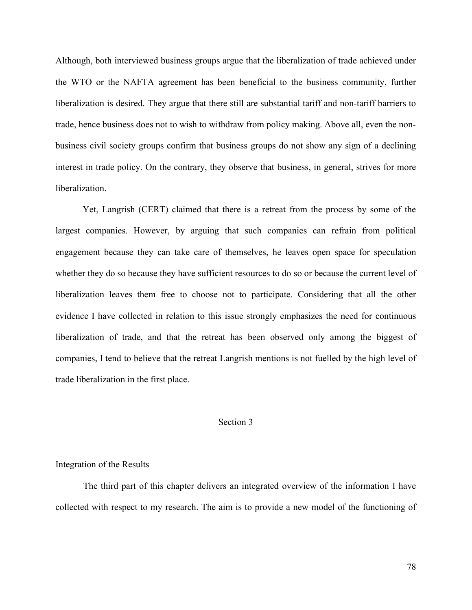Although, both interviewed business groups argue that the liberalization of trade achieved under the WTO or the NAFTA agreement has been beneficial to the business community, further liberalization is desired. They argue that there still are substantial tariff and non-tariff barriers to trade, hence business does not to wish to withdraw from policy making. Above all, even the nonbusiness civil society groups confirm that business groups do not show any sign of a declining interest in trade policy. On the contrary, they observe that business, in general, strives for more liberalization.

Yet, Langrish (CERT) claimed that there is a retreat from the process by some of the largest companies. However, by arguing that such companies can refrain from political engagement because they can take care of themselves, he leaves open space for speculation whether they do so because they have sufficient resources to do so or because the current level of liberalization leaves them free to choose not to participate. Considering that all the other evidence I have collected in relation to this issue strongly emphasizes the need for continuous liberalization of trade, and that the retreat has been observed only among the biggest of companies, I tend to believe that the retreat Langrish mentions is not fuelled by the high level of trade liberalization in the first place.

### Section 3

## Integration of the Results

The third part of this chapter delivers an integrated overview of the information I have collected with respect to my research. The aim is to provide a new model of the functioning of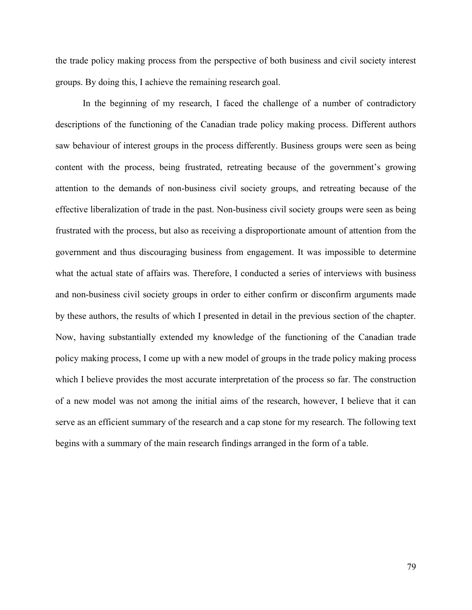the trade policy making process from the perspective of both business and civil society interest groups. By doing this, I achieve the remaining research goal.

In the beginning of my research, I faced the challenge of a number of contradictory descriptions of the functioning of the Canadian trade policy making process. Different authors saw behaviour of interest groups in the process differently. Business groups were seen as being content with the process, being frustrated, retreating because of the government's growing attention to the demands of non-business civil society groups, and retreating because of the effective liberalization of trade in the past. Non-business civil society groups were seen as being frustrated with the process, but also as receiving a disproportionate amount of attention from the government and thus discouraging business from engagement. It was impossible to determine what the actual state of affairs was. Therefore, I conducted a series of interviews with business and non-business civil society groups in order to either confirm or disconfirm arguments made by these authors, the results of which I presented in detail in the previous section of the chapter. Now, having substantially extended my knowledge of the functioning of the Canadian trade policy making process, I come up with a new model of groups in the trade policy making process which I believe provides the most accurate interpretation of the process so far. The construction of a new model was not among the initial aims of the research, however, I believe that it can serve as an efficient summary of the research and a cap stone for my research. The following text begins with a summary of the main research findings arranged in the form of a table.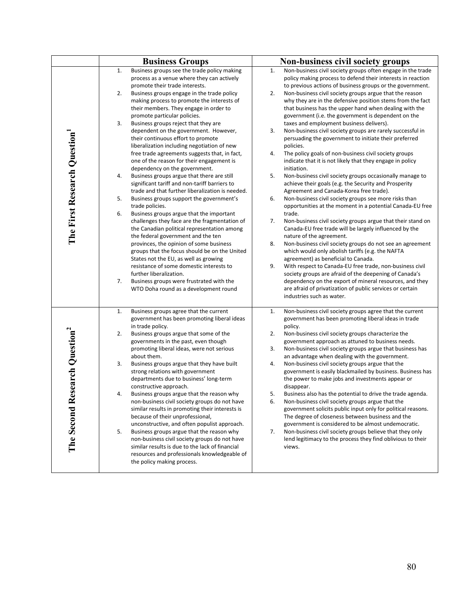|                                              | <b>Business Groups</b>                                                                                                                                                                                                                                                                                                                                                                                                                                                                                                                                                                                                                                                                                                                                                                                                                                                                                                                                                                                                                                                                                                                                                                                                                                                                                                                                | Non-business civil society groups                                                                                                                                                                                                                                                                                                                                                                                                                                                                                                                                                                                                                                                                                                                                                                                                                                                                                                                                                                                                                                                                                                                                                                                                                                                                                                                                                                                                                                                                                                                                                                                                                                                                    |
|----------------------------------------------|-------------------------------------------------------------------------------------------------------------------------------------------------------------------------------------------------------------------------------------------------------------------------------------------------------------------------------------------------------------------------------------------------------------------------------------------------------------------------------------------------------------------------------------------------------------------------------------------------------------------------------------------------------------------------------------------------------------------------------------------------------------------------------------------------------------------------------------------------------------------------------------------------------------------------------------------------------------------------------------------------------------------------------------------------------------------------------------------------------------------------------------------------------------------------------------------------------------------------------------------------------------------------------------------------------------------------------------------------------|------------------------------------------------------------------------------------------------------------------------------------------------------------------------------------------------------------------------------------------------------------------------------------------------------------------------------------------------------------------------------------------------------------------------------------------------------------------------------------------------------------------------------------------------------------------------------------------------------------------------------------------------------------------------------------------------------------------------------------------------------------------------------------------------------------------------------------------------------------------------------------------------------------------------------------------------------------------------------------------------------------------------------------------------------------------------------------------------------------------------------------------------------------------------------------------------------------------------------------------------------------------------------------------------------------------------------------------------------------------------------------------------------------------------------------------------------------------------------------------------------------------------------------------------------------------------------------------------------------------------------------------------------------------------------------------------------|
| The First Research Question                  | 1.<br>Business groups see the trade policy making<br>process as a venue where they can actively<br>promote their trade interests.<br>2.<br>Business groups engage in the trade policy<br>making process to promote the interests of<br>their members. They engage in order to<br>promote particular policies.<br>3.<br>Business groups reject that they are<br>dependent on the government. However,<br>their continuous effort to promote<br>liberalization including negotiation of new<br>free trade agreements suggests that, in fact,<br>one of the reason for their engagement is<br>dependency on the government.<br>4.<br>Business groups argue that there are still<br>significant tariff and non-tariff barriers to<br>trade and that further liberalization is needed.<br>5.<br>Business groups support the government's<br>trade policies.<br>Business groups argue that the important<br>6.<br>challenges they face are the fragmentation of<br>the Canadian political representation among<br>the federal government and the ten<br>provinces, the opinion of some business<br>groups that the focus should be on the United<br>States not the EU, as well as growing<br>resistance of some domestic interests to<br>further liberalization.<br>7.<br>Business groups were frustrated with the<br>WTO Doha round as a development round | 1.<br>Non-business civil society groups often engage in the trade<br>policy making process to defend their interests in reaction<br>to previous actions of business groups or the government.<br>2.<br>Non-business civil society groups argue that the reason<br>why they are in the defensive position stems from the fact<br>that business has the upper hand when dealing with the<br>government (i.e. the government is dependent on the<br>taxes and employment business delivers).<br>3.<br>Non-business civil society groups are rarely successful in<br>persuading the government to initiate their preferred<br>policies.<br>The policy goals of non-business civil society groups<br>4.<br>indicate that it is not likely that they engage in policy<br>initiation.<br>5.<br>Non-business civil society groups occasionally manage to<br>achieve their goals (e.g. the Security and Prosperity<br>Agreement and Canada-Korea free trade).<br>6.<br>Non-business civil society groups see more risks than<br>opportunities at the moment in a potential Canada-EU free<br>trade.<br>7.<br>Non-business civil society groups argue that their stand on<br>Canada-EU free trade will be largely influenced by the<br>nature of the agreement.<br>Non-business civil society groups do not see an agreement<br>8.<br>which would only abolish tariffs (e.g. the NAFTA<br>agreement) as beneficial to Canada.<br>9.<br>With respect to Canada-EU free trade, non-business civil<br>society groups are afraid of the deepening of Canada's<br>dependency on the export of mineral resources, and they<br>are afraid of privatization of public services or certain<br>industries such as water. |
| Research Question <sup>2</sup><br>The Second | 1.<br>Business groups agree that the current<br>government has been promoting liberal ideas<br>in trade policy.<br>2.<br>Business groups argue that some of the<br>governments in the past, even though<br>promoting liberal ideas, were not serious<br>about them.<br>3.<br>Business groups argue that they have built<br>strong relations with government<br>departments due to business' long-term<br>constructive approach.<br>4.<br>Business groups argue that the reason why<br>non-business civil society groups do not have<br>similar results in promoting their interests is<br>because of their unprofessional,<br>unconstructive, and often populist approach.<br>Business groups argue that the reason why<br>5.<br>non-business civil society groups do not have<br>similar results is due to the lack of financial<br>resources and professionals knowledgeable of<br>the policy making process.                                                                                                                                                                                                                                                                                                                                                                                                                                       | 1.<br>Non-business civil society groups agree that the current<br>government has been promoting liberal ideas in trade<br>policy.<br>2.<br>Non-business civil society groups characterize the<br>government approach as attuned to business needs.<br>3.<br>Non-business civil society groups argue that business has<br>an advantage when dealing with the government.<br>4.<br>Non-business civil society groups argue that the<br>government is easily blackmailed by business. Business has<br>the power to make jobs and investments appear or<br>disappear.<br>Business also has the potential to drive the trade agenda.<br>5.<br>Non-business civil society groups argue that the<br>6.<br>government solicits public input only for political reasons.<br>The degree of closeness between business and the<br>government is considered to be almost undemocratic.<br>Non-business civil society groups believe that they only<br>7.<br>lend legitimacy to the process they find oblivious to their<br>views.                                                                                                                                                                                                                                                                                                                                                                                                                                                                                                                                                                                                                                                                                |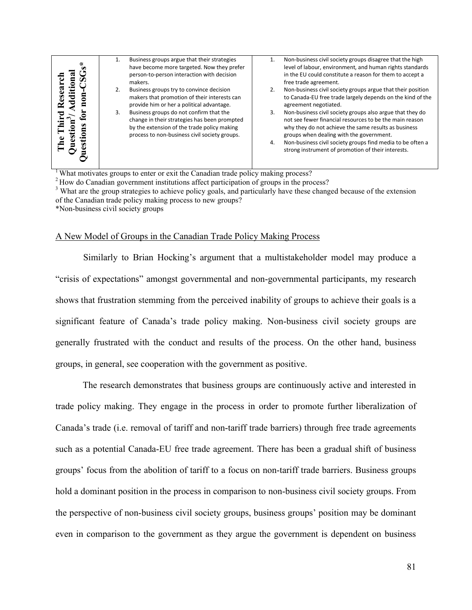| ü<br>ನ<br>З |    | Business groups argue that their strategies<br>have become more targeted. Now they prefer<br>person-to-person interaction with decision<br>makers.<br>Business groups try to convince decision<br>makers that promotion of their interests can | 2.       | Non-business civil society groups disagree that the high<br>level of labour, environment, and human rights standards<br>in the EU could constitute a reason for them to accept a<br>free trade agreement.<br>Non-business civil society groups argue that their position<br>to Canada-EU free trade largely depends on the kind of the                                |
|-------------|----|------------------------------------------------------------------------------------------------------------------------------------------------------------------------------------------------------------------------------------------------|----------|-----------------------------------------------------------------------------------------------------------------------------------------------------------------------------------------------------------------------------------------------------------------------------------------------------------------------------------------------------------------------|
|             | 3. | provide him or her a political advantage.<br>Business groups do not confirm that the<br>change in their strategies has been prompted<br>by the extension of the trade policy making<br>process to non-business civil society groups.           | 3.<br>4. | agreement negotiated.<br>Non-business civil society groups also argue that they do<br>not see fewer financial resources to be the main reason<br>why they do not achieve the same results as business<br>groups when dealing with the government.<br>Non-business civil society groups find media to be often a<br>strong instrument of promotion of their interests. |

<sup>1</sup> What motivates groups to enter or exit the Canadian trade policy making process?

<sup>2</sup> How do Canadian government institutions affect participation of groups in the process?

<sup>3</sup> What are the group strategies to achieve policy goals, and particularly have these changed because of the extension of the Canadian trade policy making process to new groups?

\*Non-business civil society groups

#### A New Model of Groups in the Canadian Trade Policy Making Process

Similarly to Brian Hocking's argument that a multistakeholder model may produce a "crisis of expectations" amongst governmental and non-governmental participants, my research shows that frustration stemming from the perceived inability of groups to achieve their goals is a significant feature of Canada's trade policy making. Non-business civil society groups are generally frustrated with the conduct and results of the process. On the other hand, business groups, in general, see cooperation with the government as positive.

The research demonstrates that business groups are continuously active and interested in trade policy making. They engage in the process in order to promote further liberalization of Canada's trade (i.e. removal of tariff and non-tariff trade barriers) through free trade agreements such as a potential Canada-EU free trade agreement. There has been a gradual shift of business groups' focus from the abolition of tariff to a focus on non-tariff trade barriers. Business groups hold a dominant position in the process in comparison to non-business civil society groups. From the perspective of non-business civil society groups, business groups' position may be dominant even in comparison to the government as they argue the government is dependent on business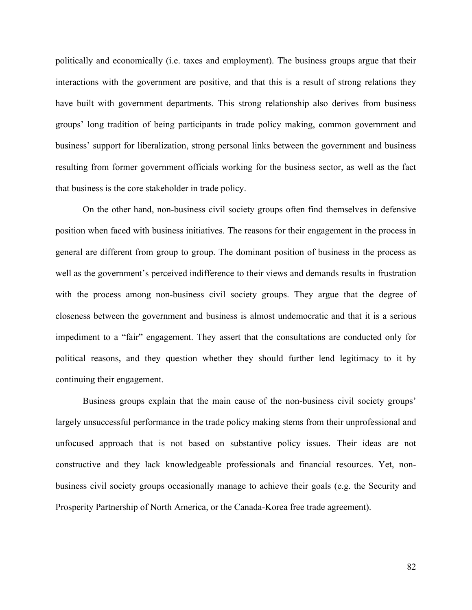politically and economically (i.e. taxes and employment). The business groups argue that their interactions with the government are positive, and that this is a result of strong relations they have built with government departments. This strong relationship also derives from business groups' long tradition of being participants in trade policy making, common government and business' support for liberalization, strong personal links between the government and business resulting from former government officials working for the business sector, as well as the fact that business is the core stakeholder in trade policy.

On the other hand, non-business civil society groups often find themselves in defensive position when faced with business initiatives. The reasons for their engagement in the process in general are different from group to group. The dominant position of business in the process as well as the government's perceived indifference to their views and demands results in frustration with the process among non-business civil society groups. They argue that the degree of closeness between the government and business is almost undemocratic and that it is a serious impediment to a "fair" engagement. They assert that the consultations are conducted only for political reasons, and they question whether they should further lend legitimacy to it by continuing their engagement.

Business groups explain that the main cause of the non-business civil society groups' largely unsuccessful performance in the trade policy making stems from their unprofessional and unfocused approach that is not based on substantive policy issues. Their ideas are not constructive and they lack knowledgeable professionals and financial resources. Yet, nonbusiness civil society groups occasionally manage to achieve their goals (e.g. the Security and Prosperity Partnership of North America, or the Canada-Korea free trade agreement).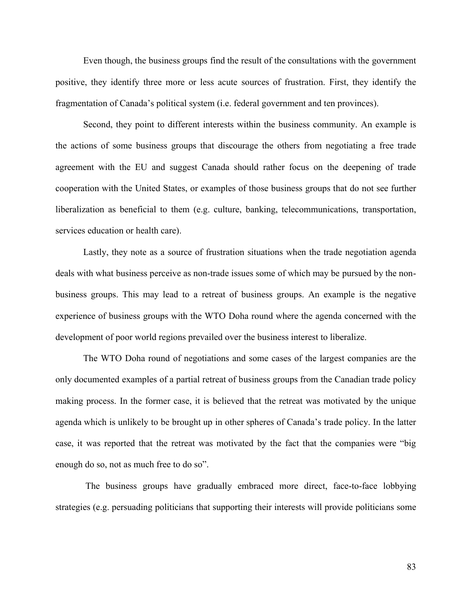Even though, the business groups find the result of the consultations with the government positive, they identify three more or less acute sources of frustration. First, they identify the fragmentation of Canada's political system (i.e. federal government and ten provinces).

Second, they point to different interests within the business community. An example is the actions of some business groups that discourage the others from negotiating a free trade agreement with the EU and suggest Canada should rather focus on the deepening of trade cooperation with the United States, or examples of those business groups that do not see further liberalization as beneficial to them (e.g. culture, banking, telecommunications, transportation, services education or health care).

Lastly, they note as a source of frustration situations when the trade negotiation agenda deals with what business perceive as non-trade issues some of which may be pursued by the nonbusiness groups. This may lead to a retreat of business groups. An example is the negative experience of business groups with the WTO Doha round where the agenda concerned with the development of poor world regions prevailed over the business interest to liberalize.

The WTO Doha round of negotiations and some cases of the largest companies are the only documented examples of a partial retreat of business groups from the Canadian trade policy making process. In the former case, it is believed that the retreat was motivated by the unique agenda which is unlikely to be brought up in other spheres of Canada's trade policy. In the latter case, it was reported that the retreat was motivated by the fact that the companies were "big enough do so, not as much free to do so".

The business groups have gradually embraced more direct, face-to-face lobbying strategies (e.g. persuading politicians that supporting their interests will provide politicians some

83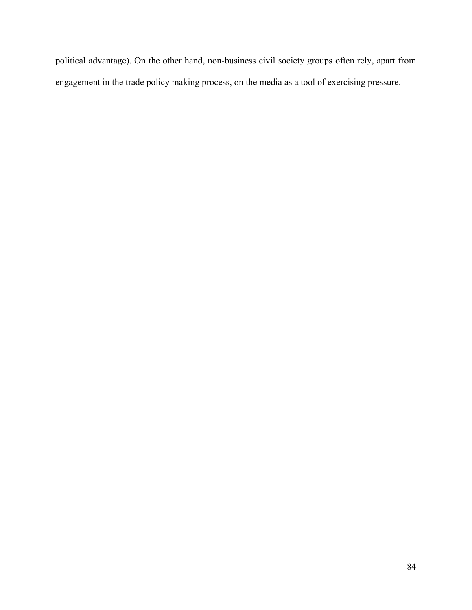political advantage). On the other hand, non-business civil society groups often rely, apart from engagement in the trade policy making process, on the media as a tool of exercising pressure.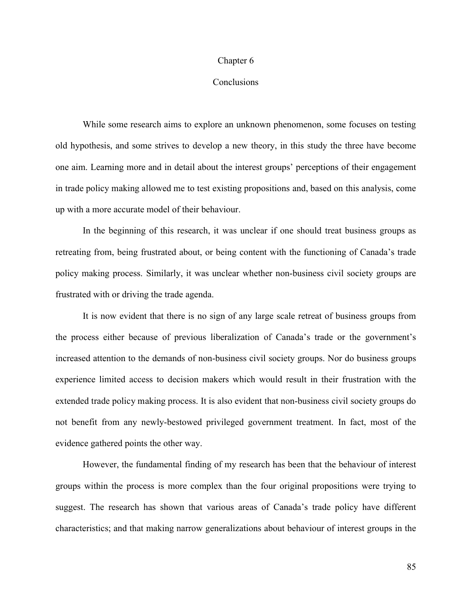#### Chapter 6

## **Conclusions**

While some research aims to explore an unknown phenomenon, some focuses on testing old hypothesis, and some strives to develop a new theory, in this study the three have become one aim. Learning more and in detail about the interest groups' perceptions of their engagement in trade policy making allowed me to test existing propositions and, based on this analysis, come up with a more accurate model of their behaviour.

In the beginning of this research, it was unclear if one should treat business groups as retreating from, being frustrated about, or being content with the functioning of Canada's trade policy making process. Similarly, it was unclear whether non-business civil society groups are frustrated with or driving the trade agenda.

It is now evident that there is no sign of any large scale retreat of business groups from the process either because of previous liberalization of Canada's trade or the government's increased attention to the demands of non-business civil society groups. Nor do business groups experience limited access to decision makers which would result in their frustration with the extended trade policy making process. It is also evident that non-business civil society groups do not benefit from any newly-bestowed privileged government treatment. In fact, most of the evidence gathered points the other way.

However, the fundamental finding of my research has been that the behaviour of interest groups within the process is more complex than the four original propositions were trying to suggest. The research has shown that various areas of Canada's trade policy have different characteristics; and that making narrow generalizations about behaviour of interest groups in the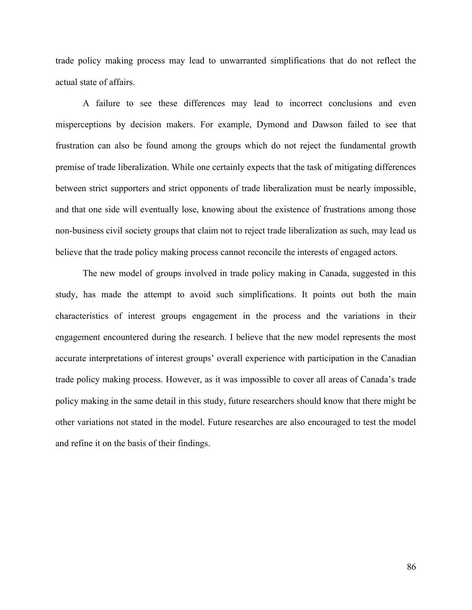trade policy making process may lead to unwarranted simplifications that do not reflect the actual state of affairs.

A failure to see these differences may lead to incorrect conclusions and even misperceptions by decision makers. For example, Dymond and Dawson failed to see that frustration can also be found among the groups which do not reject the fundamental growth premise of trade liberalization. While one certainly expects that the task of mitigating differences between strict supporters and strict opponents of trade liberalization must be nearly impossible, and that one side will eventually lose, knowing about the existence of frustrations among those non-business civil society groups that claim not to reject trade liberalization as such, may lead us believe that the trade policy making process cannot reconcile the interests of engaged actors.

The new model of groups involved in trade policy making in Canada, suggested in this study, has made the attempt to avoid such simplifications. It points out both the main characteristics of interest groups engagement in the process and the variations in their engagement encountered during the research. I believe that the new model represents the most accurate interpretations of interest groups' overall experience with participation in the Canadian trade policy making process. However, as it was impossible to cover all areas of Canada's trade policy making in the same detail in this study, future researchers should know that there might be other variations not stated in the model. Future researches are also encouraged to test the model and refine it on the basis of their findings.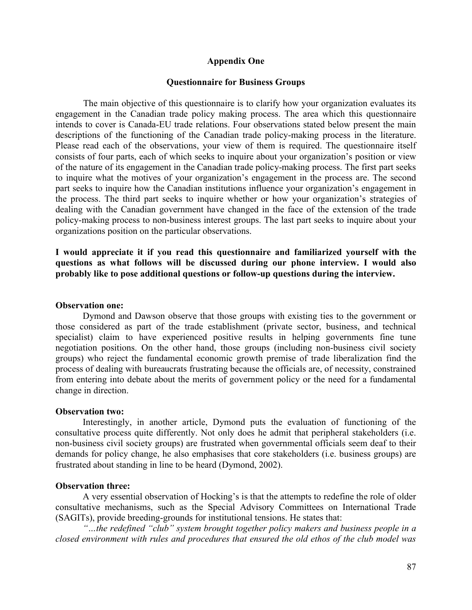## **Appendix One**

### **Questionnaire for Business Groups**

The main objective of this questionnaire is to clarify how your organization evaluates its engagement in the Canadian trade policy making process. The area which this questionnaire intends to cover is Canada-EU trade relations. Four observations stated below present the main descriptions of the functioning of the Canadian trade policy-making process in the literature. Please read each of the observations, your view of them is required. The questionnaire itself consists of four parts, each of which seeks to inquire about your organization's position or view of the nature of its engagement in the Canadian trade policy-making process. The first part seeks to inquire what the motives of your organization's engagement in the process are. The second part seeks to inquire how the Canadian institutions influence your organization's engagement in the process. The third part seeks to inquire whether or how your organization's strategies of dealing with the Canadian government have changed in the face of the extension of the trade policy-making process to non-business interest groups. The last part seeks to inquire about your organizations position on the particular observations.

**I would appreciate it if you read this questionnaire and familiarized yourself with the questions as what follows will be discussed during our phone interview. I would also probably like to pose additional questions or follow-up questions during the interview.** 

### **Observation one:**

Dymond and Dawson observe that those groups with existing ties to the government or those considered as part of the trade establishment (private sector, business, and technical specialist) claim to have experienced positive results in helping governments fine tune negotiation positions. On the other hand, those groups (including non-business civil society groups) who reject the fundamental economic growth premise of trade liberalization find the process of dealing with bureaucrats frustrating because the officials are, of necessity, constrained from entering into debate about the merits of government policy or the need for a fundamental change in direction.

#### **Observation two:**

Interestingly, in another article, Dymond puts the evaluation of functioning of the consultative process quite differently. Not only does he admit that peripheral stakeholders (i.e. non-business civil society groups) are frustrated when governmental officials seem deaf to their demands for policy change, he also emphasises that core stakeholders (i.e. business groups) are frustrated about standing in line to be heard (Dymond, 2002).

#### **Observation three:**

A very essential observation of Hocking's is that the attempts to redefine the role of older consultative mechanisms, such as the Special Advisory Committees on International Trade (SAGITs), provide breeding-grounds for institutional tensions. He states that:

*"…the redefined "club" system brought together policy makers and business people in a closed environment with rules and procedures that ensured the old ethos of the club model was*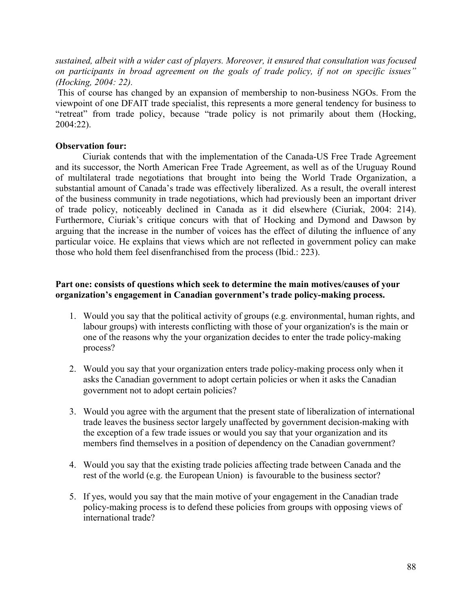*sustained, albeit with a wider cast of players. Moreover, it ensured that consultation was focused on participants in broad agreement on the goals of trade policy, if not on specific issues" (Hocking, 2004: 22).*

This of course has changed by an expansion of membership to non-business NGOs. From the viewpoint of one DFAIT trade specialist, this represents a more general tendency for business to "retreat" from trade policy, because "trade policy is not primarily about them (Hocking, 2004:22).

## **Observation four:**

Ciuriak contends that with the implementation of the Canada-US Free Trade Agreement and its successor, the North American Free Trade Agreement, as well as of the Uruguay Round of multilateral trade negotiations that brought into being the World Trade Organization, a substantial amount of Canada's trade was effectively liberalized. As a result, the overall interest of the business community in trade negotiations, which had previously been an important driver of trade policy, noticeably declined in Canada as it did elsewhere (Ciuriak, 2004: 214). Furthermore, Ciuriak's critique concurs with that of Hocking and Dymond and Dawson by arguing that the increase in the number of voices has the effect of diluting the influence of any particular voice. He explains that views which are not reflected in government policy can make those who hold them feel disenfranchised from the process (Ibid.: 223).

# **Part one: consists of questions which seek to determine the main motives/causes of your organization's engagement in Canadian government's trade policy-making process.**

- 1. Would you say that the political activity of groups (e.g. environmental, human rights, and labour groups) with interests conflicting with those of your organization's is the main or one of the reasons why the your organization decides to enter the trade policy-making process?
- 2. Would you say that your organization enters trade policy-making process only when it asks the Canadian government to adopt certain policies or when it asks the Canadian government not to adopt certain policies?
- 3. Would you agree with the argument that the present state of liberalization of international trade leaves the business sector largely unaffected by government decision-making with the exception of a few trade issues or would you say that your organization and its members find themselves in a position of dependency on the Canadian government?
- 4. Would you say that the existing trade policies affecting trade between Canada and the rest of the world (e.g. the European Union) is favourable to the business sector?
- 5. If yes, would you say that the main motive of your engagement in the Canadian trade policy-making process is to defend these policies from groups with opposing views of international trade?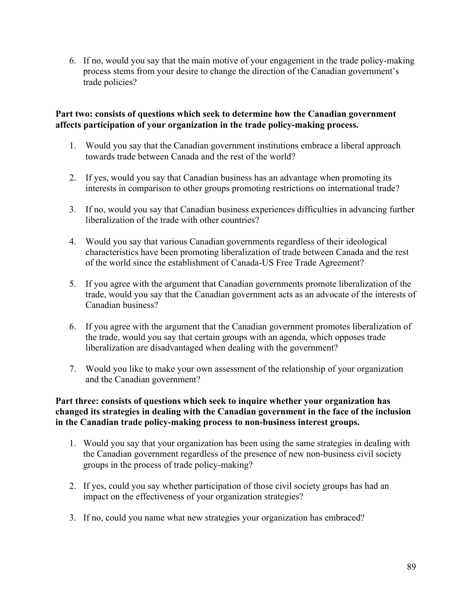6. If no, would you say that the main motive of your engagement in the trade policy-making process stems from your desire to change the direction of the Canadian government's trade policies?

# **Part two: consists of questions which seek to determine how the Canadian government affects participation of your organization in the trade policy-making process.**

- 1. Would you say that the Canadian government institutions embrace a liberal approach towards trade between Canada and the rest of the world?
- 2. If yes, would you say that Canadian business has an advantage when promoting its interests in comparison to other groups promoting restrictions on international trade?
- 3. If no, would you say that Canadian business experiences difficulties in advancing further liberalization of the trade with other countries?
- 4. Would you say that various Canadian governments regardless of their ideological characteristics have been promoting liberalization of trade between Canada and the rest of the world since the establishment of Canada-US Free Trade Agreement?
- 5. If you agree with the argument that Canadian governments promote liberalization of the trade, would you say that the Canadian government acts as an advocate of the interests of Canadian business?
- 6. If you agree with the argument that the Canadian government promotes liberalization of the trade, would you say that certain groups with an agenda, which opposes trade liberalization are disadvantaged when dealing with the government?
- 7. Would you like to make your own assessment of the relationship of your organization and the Canadian government?

# **Part three: consists of questions which seek to inquire whether your organization has changed its strategies in dealing with the Canadian government in the face of the inclusion in the Canadian trade policy-making process to non-business interest groups.**

- 1. Would you say that your organization has been using the same strategies in dealing with the Canadian government regardless of the presence of new non-business civil society groups in the process of trade policy-making?
- 2. If yes, could you say whether participation of those civil society groups has had an impact on the effectiveness of your organization strategies?
- 3. If no, could you name what new strategies your organization has embraced?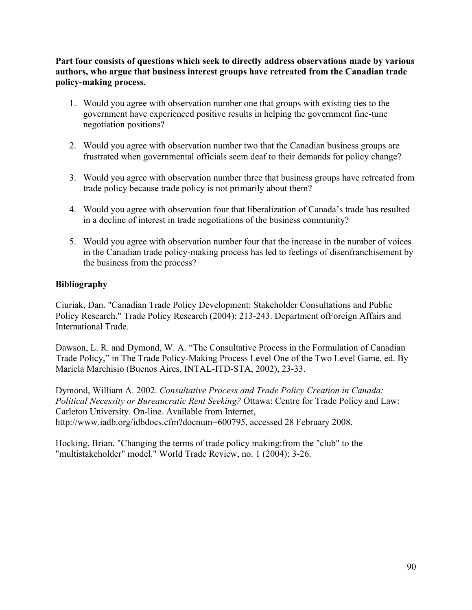**Part four consists of questions which seek to directly address observations made by various authors, who argue that business interest groups have retreated from the Canadian trade policy-making process.**

- 1. Would you agree with observation number one that groups with existing ties to the government have experienced positive results in helping the government fine-tune negotiation positions?
- 2. Would you agree with observation number two that the Canadian business groups are frustrated when governmental officials seem deaf to their demands for policy change?
- 3. Would you agree with observation number three that business groups have retreated from trade policy because trade policy is not primarily about them?
- 4. Would you agree with observation four that liberalization of Canada's trade has resulted in a decline of interest in trade negotiations of the business community?
- 5. Would you agree with observation number four that the increase in the number of voices in the Canadian trade policy-making process has led to feelings of disenfranchisement by the business from the process?

# **Bibliography**

Ciuriak, Dan. "Canadian Trade Policy Development: Stakeholder Consultations and Public Policy Research." Trade Policy Research (2004): 213-243. Department ofForeign Affairs and International Trade.

Dawson, L. R. and Dymond, W. A. "The Consultative Process in the Formulation of Canadian Trade Policy," in The Trade Policy-Making Process Level One of the Two Level Game, ed. By Mariela Marchisio (Buenos Aires, INTAL-ITD-STA, 2002), 23-33.

Dymond, William A. 2002. *Consultative Process and Trade Policy Creation in Canada: Political Necessity or Bureaucratic Rent Seeking?* Ottawa: Centre for Trade Policy and Law: Carleton University. On-line. Available from Internet, http://www.iadb.org/idbdocs.cfm?docnum=600795, accessed 28 February 2008.

Hocking, Brian. "Changing the terms of trade policy making:from the "club" to the "multistakeholder" model." World Trade Review, no. 1 (2004): 3-26.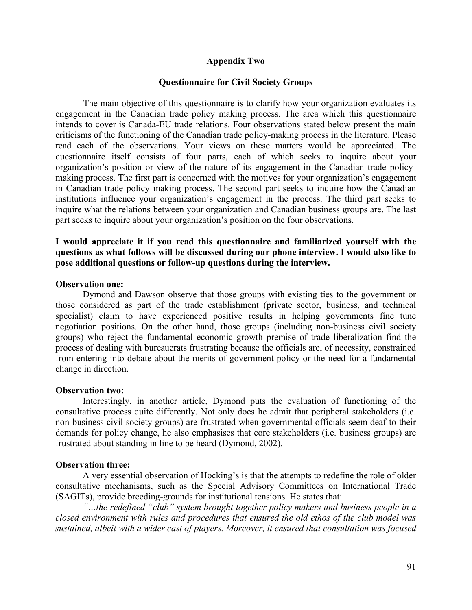## **Appendix Two**

### **Questionnaire for Civil Society Groups**

The main objective of this questionnaire is to clarify how your organization evaluates its engagement in the Canadian trade policy making process. The area which this questionnaire intends to cover is Canada-EU trade relations. Four observations stated below present the main criticisms of the functioning of the Canadian trade policy-making process in the literature. Please read each of the observations. Your views on these matters would be appreciated. The questionnaire itself consists of four parts, each of which seeks to inquire about your organization's position or view of the nature of its engagement in the Canadian trade policymaking process. The first part is concerned with the motives for your organization's engagement in Canadian trade policy making process. The second part seeks to inquire how the Canadian institutions influence your organization's engagement in the process. The third part seeks to inquire what the relations between your organization and Canadian business groups are. The last part seeks to inquire about your organization's position on the four observations.

## **I would appreciate it if you read this questionnaire and familiarized yourself with the questions as what follows will be discussed during our phone interview. I would also like to pose additional questions or follow-up questions during the interview.**

#### **Observation one:**

Dymond and Dawson observe that those groups with existing ties to the government or those considered as part of the trade establishment (private sector, business, and technical specialist) claim to have experienced positive results in helping governments fine tune negotiation positions. On the other hand, those groups (including non-business civil society groups) who reject the fundamental economic growth premise of trade liberalization find the process of dealing with bureaucrats frustrating because the officials are, of necessity, constrained from entering into debate about the merits of government policy or the need for a fundamental change in direction.

#### **Observation two:**

Interestingly, in another article, Dymond puts the evaluation of functioning of the consultative process quite differently. Not only does he admit that peripheral stakeholders (i.e. non-business civil society groups) are frustrated when governmental officials seem deaf to their demands for policy change, he also emphasises that core stakeholders (i.e. business groups) are frustrated about standing in line to be heard (Dymond, 2002).

#### **Observation three:**

A very essential observation of Hocking's is that the attempts to redefine the role of older consultative mechanisms, such as the Special Advisory Committees on International Trade (SAGITs), provide breeding-grounds for institutional tensions. He states that:

*"…the redefined "club" system brought together policy makers and business people in a closed environment with rules and procedures that ensured the old ethos of the club model was sustained, albeit with a wider cast of players. Moreover, it ensured that consultation was focused*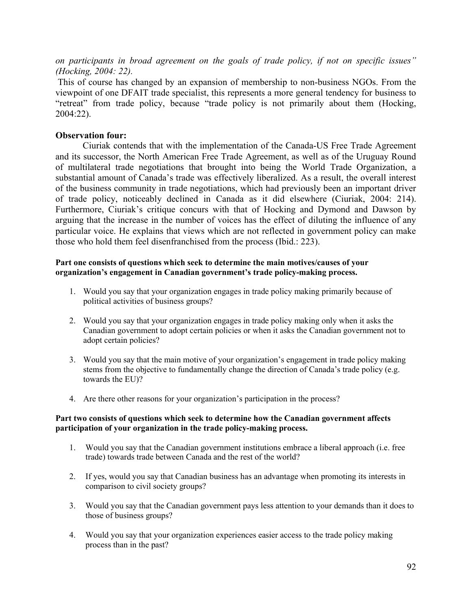*on participants in broad agreement on the goals of trade policy, if not on specific issues" (Hocking, 2004: 22).*

This of course has changed by an expansion of membership to non-business NGOs. From the viewpoint of one DFAIT trade specialist, this represents a more general tendency for business to "retreat" from trade policy, because "trade policy is not primarily about them (Hocking, 2004:22).

## **Observation four:**

Ciuriak contends that with the implementation of the Canada-US Free Trade Agreement and its successor, the North American Free Trade Agreement, as well as of the Uruguay Round of multilateral trade negotiations that brought into being the World Trade Organization, a substantial amount of Canada's trade was effectively liberalized. As a result, the overall interest of the business community in trade negotiations, which had previously been an important driver of trade policy, noticeably declined in Canada as it did elsewhere (Ciuriak, 2004: 214). Furthermore, Ciuriak's critique concurs with that of Hocking and Dymond and Dawson by arguing that the increase in the number of voices has the effect of diluting the influence of any particular voice. He explains that views which are not reflected in government policy can make those who hold them feel disenfranchised from the process (Ibid.: 223).

## **Part one consists of questions which seek to determine the main motives/causes of your organization's engagement in Canadian government's trade policy-making process.**

- 1. Would you say that your organization engages in trade policy making primarily because of political activities of business groups?
- 2. Would you say that your organization engages in trade policy making only when it asks the Canadian government to adopt certain policies or when it asks the Canadian government not to adopt certain policies?
- 3. Would you say that the main motive of your organization's engagement in trade policy making stems from the objective to fundamentally change the direction of Canada's trade policy (e.g. towards the EU)?
- 4. Are there other reasons for your organization's participation in the process?

## **Part two consists of questions which seek to determine how the Canadian government affects participation of your organization in the trade policy-making process.**

- 1. Would you say that the Canadian government institutions embrace a liberal approach (i.e. free trade) towards trade between Canada and the rest of the world?
- 2. If yes, would you say that Canadian business has an advantage when promoting its interests in comparison to civil society groups?
- 3. Would you say that the Canadian government pays less attention to your demands than it does to those of business groups?
- 4. Would you say that your organization experiences easier access to the trade policy making process than in the past?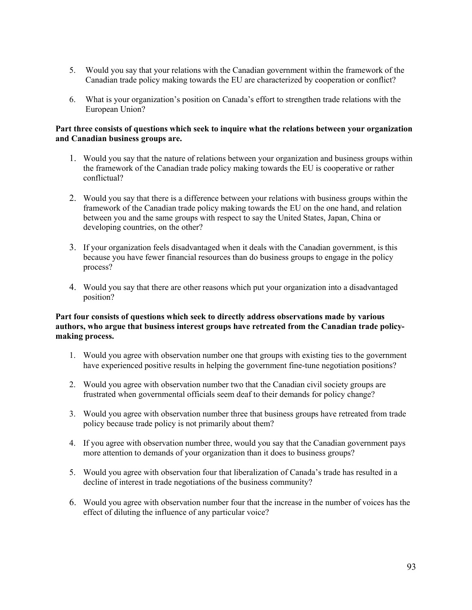- 5. Would you say that your relations with the Canadian government within the framework of the Canadian trade policy making towards the EU are characterized by cooperation or conflict?
- 6. What is your organization's position on Canada's effort to strengthen trade relations with the European Union?

### **Part three consists of questions which seek to inquire what the relations between your organization and Canadian business groups are.**

- 1. Would you say that the nature of relations between your organization and business groups within the framework of the Canadian trade policy making towards the EU is cooperative or rather conflictual?
- 2. Would you say that there is a difference between your relations with business groups within the framework of the Canadian trade policy making towards the EU on the one hand, and relation between you and the same groups with respect to say the United States, Japan, China or developing countries, on the other?
- 3. If your organization feels disadvantaged when it deals with the Canadian government, is this because you have fewer financial resources than do business groups to engage in the policy process?
- 4. Would you say that there are other reasons which put your organization into a disadvantaged position?

## **Part four consists of questions which seek to directly address observations made by various authors, who argue that business interest groups have retreated from the Canadian trade policymaking process.**

- 1. Would you agree with observation number one that groups with existing ties to the government have experienced positive results in helping the government fine-tune negotiation positions?
- 2. Would you agree with observation number two that the Canadian civil society groups are frustrated when governmental officials seem deaf to their demands for policy change?
- 3. Would you agree with observation number three that business groups have retreated from trade policy because trade policy is not primarily about them?
- 4. If you agree with observation number three, would you say that the Canadian government pays more attention to demands of your organization than it does to business groups?
- 5. Would you agree with observation four that liberalization of Canada's trade has resulted in a decline of interest in trade negotiations of the business community?
- 6. Would you agree with observation number four that the increase in the number of voices has the effect of diluting the influence of any particular voice?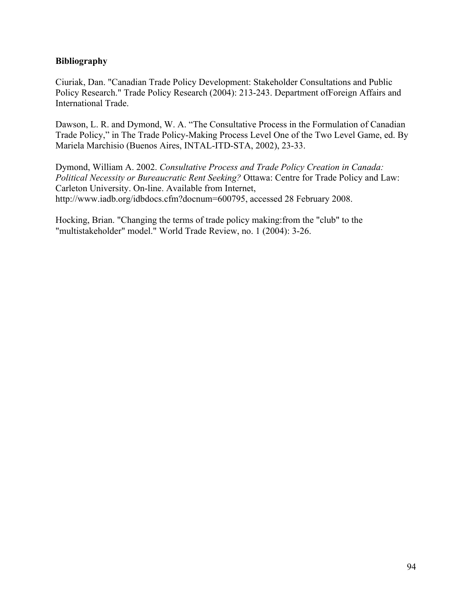# **Bibliography**

Ciuriak, Dan. "Canadian Trade Policy Development: Stakeholder Consultations and Public Policy Research." Trade Policy Research (2004): 213-243. Department ofForeign Affairs and International Trade.

Dawson, L. R. and Dymond, W. A. "The Consultative Process in the Formulation of Canadian Trade Policy," in The Trade Policy-Making Process Level One of the Two Level Game, ed. By Mariela Marchisio (Buenos Aires, INTAL-ITD-STA, 2002), 23-33.

Dymond, William A. 2002. *Consultative Process and Trade Policy Creation in Canada: Political Necessity or Bureaucratic Rent Seeking?* Ottawa: Centre for Trade Policy and Law: Carleton University. On-line. Available from Internet, http://www.iadb.org/idbdocs.cfm?docnum=600795, accessed 28 February 2008.

Hocking, Brian. "Changing the terms of trade policy making:from the "club" to the "multistakeholder" model." World Trade Review, no. 1 (2004): 3-26.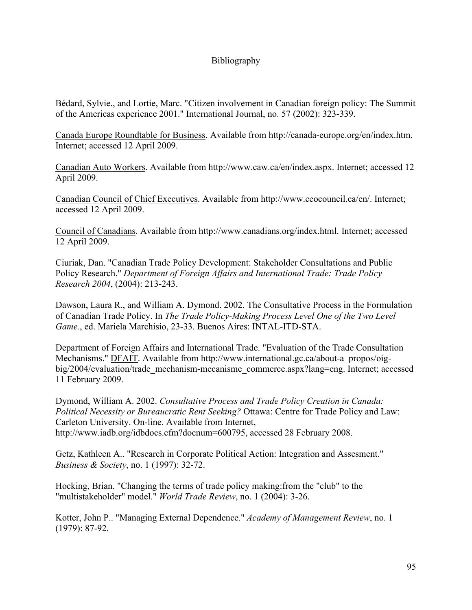# Bibliography

Bédard, Sylvie., and Lortie, Marc. "Citizen involvement in Canadian foreign policy: The Summit of the Americas experience 2001." International Journal, no. 57 (2002): 323-339.

Canada Europe Roundtable for Business. Available from http://canada-europe.org/en/index.htm. Internet; accessed 12 April 2009.

Canadian Auto Workers. Available from http://www.caw.ca/en/index.aspx. Internet; accessed 12 April 2009.

Canadian Council of Chief Executives. Available from http://www.ceocouncil.ca/en/. Internet; accessed 12 April 2009.

Council of Canadians. Available from http://www.canadians.org/index.html. Internet; accessed 12 April 2009.

Ciuriak, Dan. "Canadian Trade Policy Development: Stakeholder Consultations and Public Policy Research." *Department of Foreign Affairs and International Trade: Trade Policy Research 2004*, (2004): 213-243.

Dawson, Laura R., and William A. Dymond. 2002. The Consultative Process in the Formulation of Canadian Trade Policy. In *The Trade Policy-Making Process Level One of the Two Level Game.*, ed. Mariela Marchisio, 23-33. Buenos Aires: INTAL-ITD-STA.

Department of Foreign Affairs and International Trade. "Evaluation of the Trade Consultation Mechanisms." DFAIT. Available from http://www.international.gc.ca/about-a\_propos/oigbig/2004/evaluation/trade\_mechanism-mecanisme\_commerce.aspx?lang=eng. Internet; accessed 11 February 2009.

Dymond, William A. 2002. *Consultative Process and Trade Policy Creation in Canada: Political Necessity or Bureaucratic Rent Seeking?* Ottawa: Centre for Trade Policy and Law: Carleton University. On-line. Available from Internet, http://www.iadb.org/idbdocs.cfm?docnum=600795, accessed 28 February 2008.

Getz, Kathleen A.. "Research in Corporate Political Action: Integration and Assesment." *Business & Society*, no. 1 (1997): 32-72.

Hocking, Brian. "Changing the terms of trade policy making:from the "club" to the "multistakeholder" model." *World Trade Review*, no. 1 (2004): 3-26.

Kotter, John P.. "Managing External Dependence." *Academy of Management Review*, no. 1 (1979): 87-92.